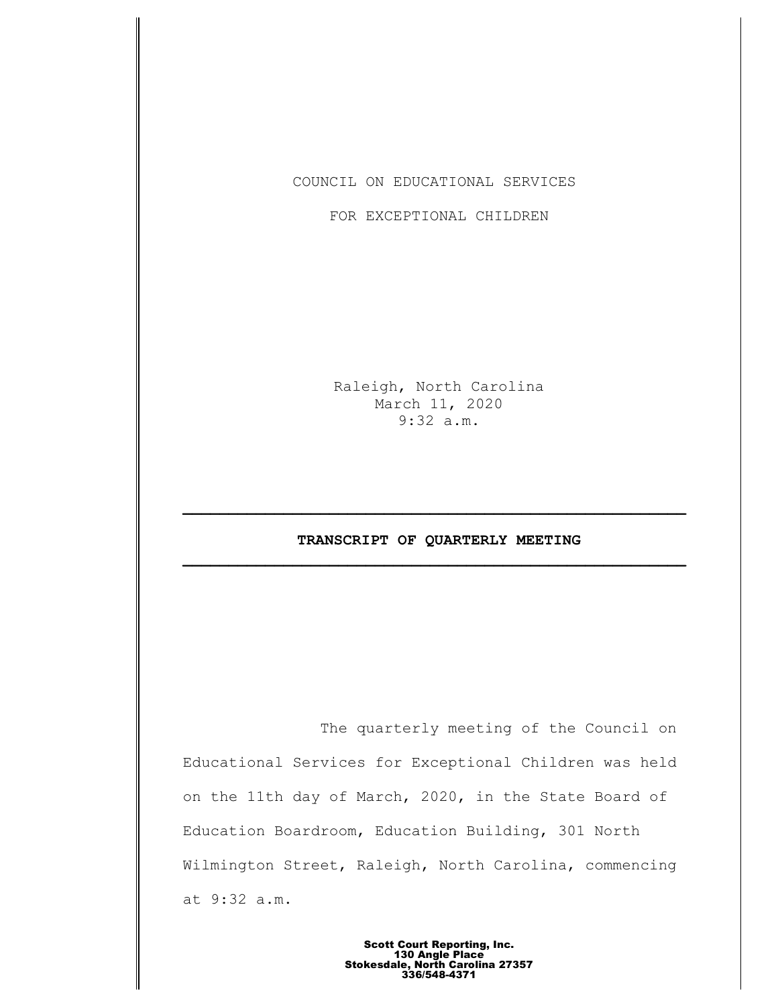COUNCIL ON EDUCATIONAL SERVICES

FOR EXCEPTIONAL CHILDREN

Raleigh, North Carolina March 11, 2020 9:32 a.m.

# **TRANSCRIPT OF QUARTERLY MEETING \_\_\_\_\_\_\_\_\_\_\_\_\_\_\_\_\_\_\_\_\_\_\_\_\_\_\_\_\_\_\_\_\_\_\_\_\_\_\_\_\_\_\_\_\_\_\_\_\_\_\_\_\_\_\_**

**\_\_\_\_\_\_\_\_\_\_\_\_\_\_\_\_\_\_\_\_\_\_\_\_\_\_\_\_\_\_\_\_\_\_\_\_\_\_\_\_\_\_\_\_\_\_\_\_\_\_\_\_\_\_\_**

The quarterly meeting of the Council on Educational Services for Exceptional Children was held on the 11th day of March, 2020, in the State Board of Education Boardroom, Education Building, 301 North Wilmington Street, Raleigh, North Carolina, commencing at 9:32 a.m.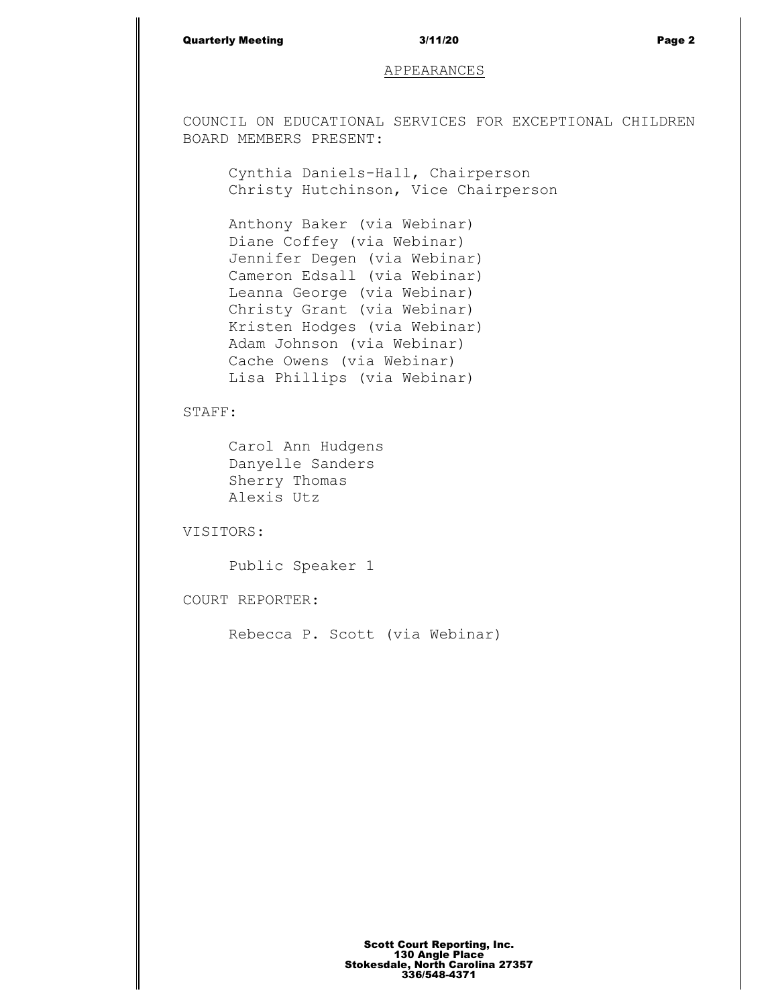## Quarterly Meeting and the state of the 3/11/20 and the state of the Page 2

# APPEARANCES

COUNCIL ON EDUCATIONAL SERVICES FOR EXCEPTIONAL CHILDREN BOARD MEMBERS PRESENT:

Cynthia Daniels-Hall, Chairperson Christy Hutchinson, Vice Chairperson

Anthony Baker (via Webinar) Diane Coffey (via Webinar) Jennifer Degen (via Webinar) Cameron Edsall (via Webinar) Leanna George (via Webinar) Christy Grant (via Webinar) Kristen Hodges (via Webinar) Adam Johnson (via Webinar) Cache Owens (via Webinar) Lisa Phillips (via Webinar)

STAFF:

Carol Ann Hudgens Danyelle Sanders Sherry Thomas Alexis Utz

VISITORS:

Public Speaker 1

COURT REPORTER:

Rebecca P. Scott (via Webinar)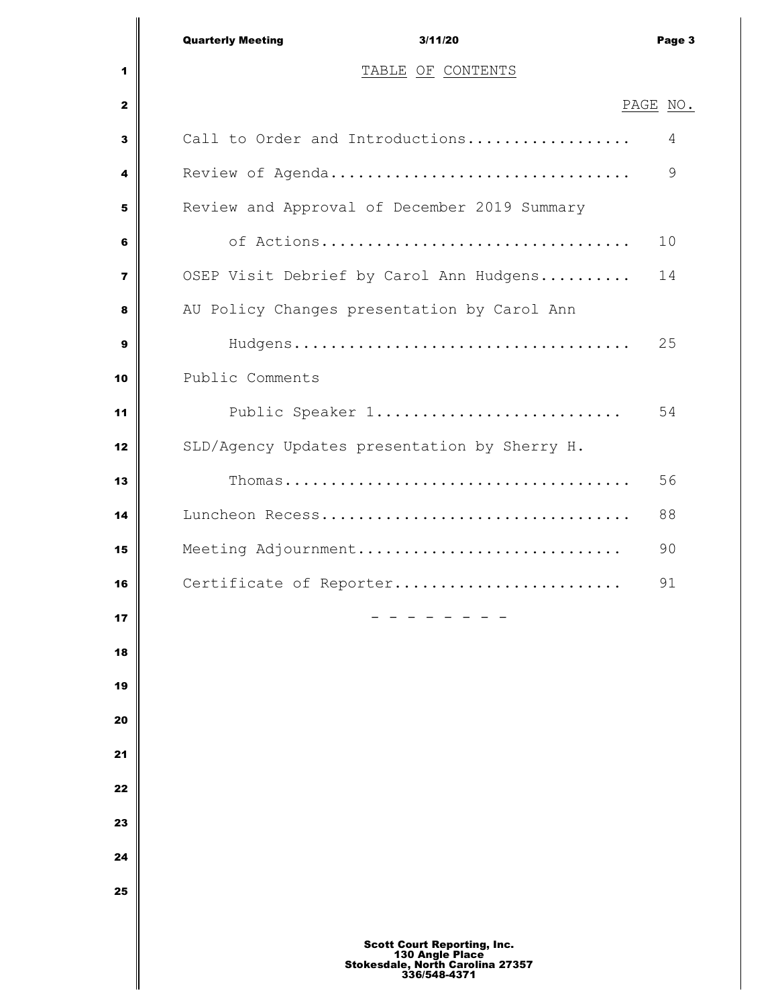|                         | <b>Quarterly Meeting</b><br>3/11/20                                                                       | Page 3   |
|-------------------------|-----------------------------------------------------------------------------------------------------------|----------|
| 1                       | TABLE OF CONTENTS                                                                                         |          |
| $\mathbf{2}$            |                                                                                                           | PAGE NO. |
| 3                       | Call to Order and Introductions                                                                           | 4        |
| 4                       | Review of Agenda                                                                                          | 9        |
| 5                       | Review and Approval of December 2019 Summary                                                              |          |
| 6                       | of Actions                                                                                                | 10       |
| $\overline{\mathbf{r}}$ | OSEP Visit Debrief by Carol Ann Hudgens                                                                   | 14       |
| 8                       | AU Policy Changes presentation by Carol Ann                                                               |          |
| 9                       |                                                                                                           | 25       |
| 10                      | Public Comments                                                                                           |          |
| 11                      | Public Speaker 1                                                                                          | 54       |
| 12                      | SLD/Agency Updates presentation by Sherry H.                                                              |          |
| 13                      |                                                                                                           | 56       |
| 14                      |                                                                                                           | 88       |
| 15                      | Meeting Adjournment                                                                                       | 90       |
| 16                      | Certificate of Reporter                                                                                   | 91       |
| 17                      |                                                                                                           |          |
| 18                      |                                                                                                           |          |
| 19                      |                                                                                                           |          |
| 20                      |                                                                                                           |          |
| 21                      |                                                                                                           |          |
| 22                      |                                                                                                           |          |
| 23                      |                                                                                                           |          |
| 24                      |                                                                                                           |          |
| 25                      |                                                                                                           |          |
|                         | <b>Scott Court Reporting, Inc.</b><br>130 Angle Place<br>Stokesdale, North Carolina 27357<br>336/548-4371 |          |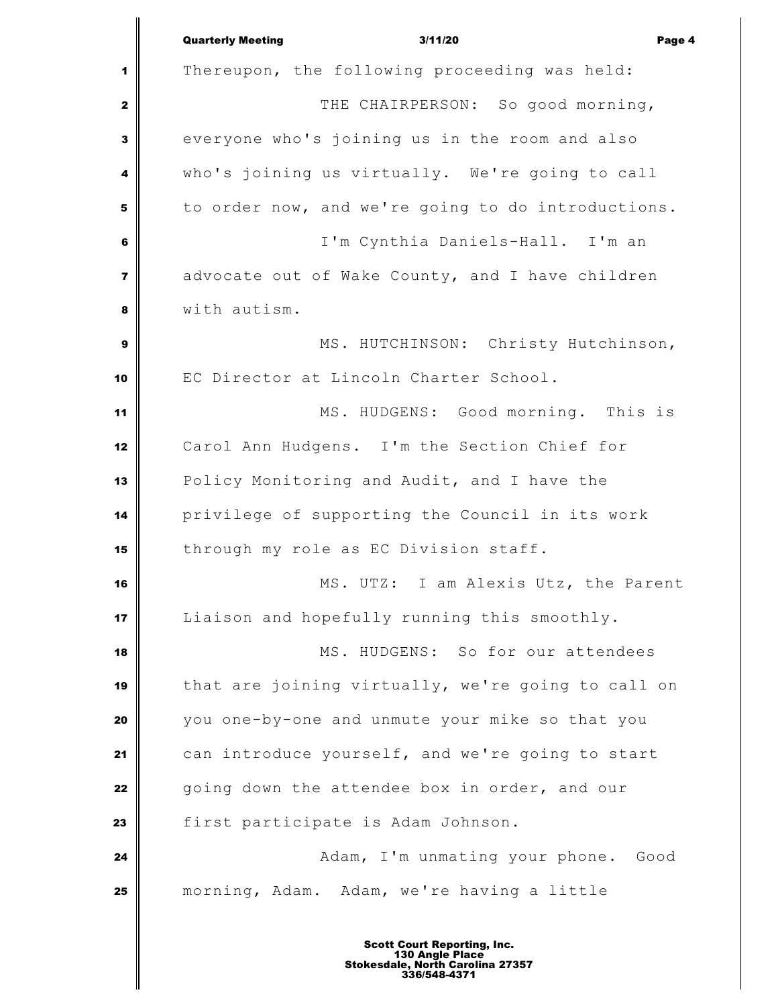|                         | <b>Quarterly Meeting</b><br>3/11/20<br>Page 4      |
|-------------------------|----------------------------------------------------|
| 1                       | Thereupon, the following proceeding was held:      |
| $\mathbf{2}$            | THE CHAIRPERSON: So good morning,                  |
| 3                       | everyone who's joining us in the room and also     |
| 4                       | who's joining us virtually. We're going to call    |
| 5                       | to order now, and we're going to do introductions. |
| 6                       | I'm Cynthia Daniels-Hall. I'm an                   |
| $\overline{\mathbf{z}}$ | advocate out of Wake County, and I have children   |
| 8                       | with autism.                                       |
| $\mathbf{9}$            | MS. HUTCHINSON: Christy Hutchinson,                |
| 10                      | EC Director at Lincoln Charter School.             |
| 11                      | MS. HUDGENS: Good morning. This is                 |
| 12                      | Carol Ann Hudgens. I'm the Section Chief for       |
| 13                      | Policy Monitoring and Audit, and I have the        |
| 14                      | privilege of supporting the Council in its work    |
| 15                      | through my role as EC Division staff.              |
| 16                      | MS. UTZ: I am Alexis Utz, the Parent               |
| 17                      | Liaison and hopefully running this smoothly.       |
| 18                      | MS. HUDGENS: So for our attendees                  |
| 19                      | that are joining virtually, we're going to call on |
| 20                      | you one-by-one and unmute your mike so that you    |
| 21                      | can introduce yourself, and we're going to start   |
| 22                      | going down the attendee box in order, and our      |
| 23                      | first participate is Adam Johnson.                 |
| 24                      | Adam, I'm unmating your phone. Good                |
| 25                      | morning, Adam. Adam, we're having a little         |
|                         |                                                    |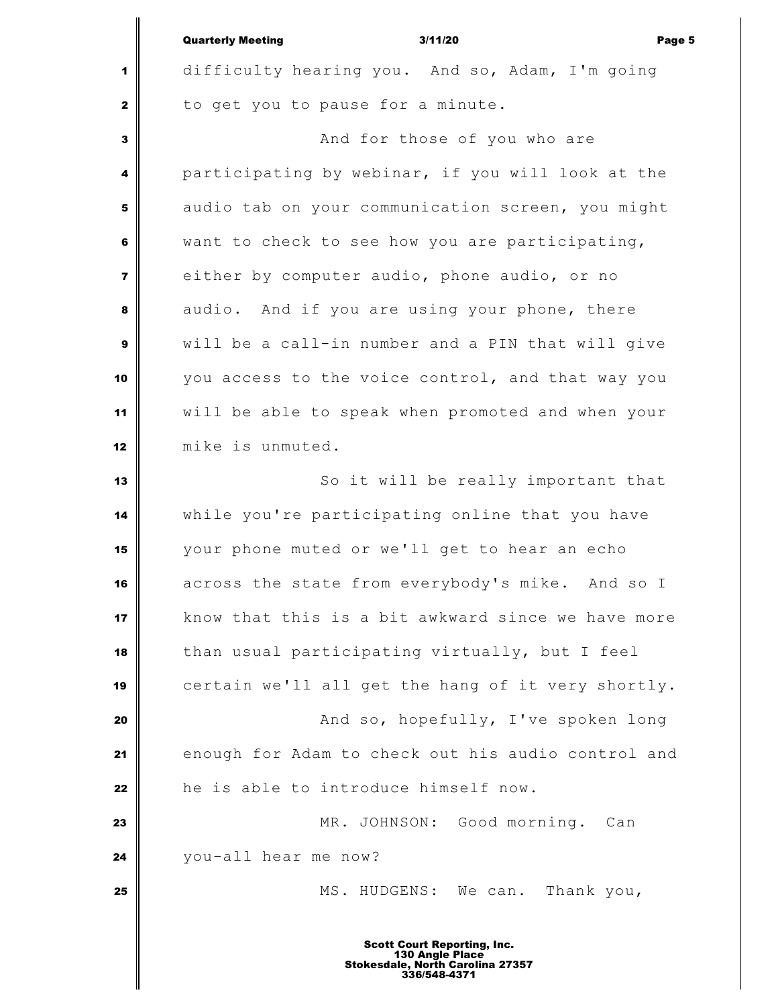|                         | <b>Quarterly Meeting</b><br>3/11/20<br>Page 5      |
|-------------------------|----------------------------------------------------|
| 1                       | difficulty hearing you. And so, Adam, I'm going    |
| 2                       | to get you to pause for a minute.                  |
| 3                       | And for those of you who are                       |
| 4                       | participating by webinar, if you will look at the  |
| 5                       | audio tab on your communication screen, you might  |
| 6                       | want to check to see how you are participating,    |
| $\overline{\mathbf{z}}$ | either by computer audio, phone audio, or no       |
| 8                       | audio. And if you are using your phone, there      |
| 9                       | will be a call-in number and a PIN that will give  |
| 10                      | you access to the voice control, and that way you  |
| 11                      | will be able to speak when promoted and when your  |
| 12                      | mike is unmuted.                                   |
| 13                      | So it will be really important that                |
| 14                      | while you're participating online that you have    |
| 15                      | your phone muted or we'll get to hear an echo      |
| 16                      | across the state from everybody's mike. And so I   |
| 17                      | know that this is a bit awkward since we have more |
| 18                      | than usual participating virtually, but I feel     |
| 19                      | certain we'll all get the hang of it very shortly. |
| 20                      | And so, hopefully, I've spoken long                |
| 21                      | enough for Adam to check out his audio control and |
| 22                      | he is able to introduce himself now.               |
| 23                      | MR. JOHNSON: Good morning. Can                     |
| 24                      | you-all hear me now?                               |
| 25                      | MS. HUDGENS: We can.<br>Thank you,                 |
|                         | <b>Scott Court Reporting, Inc.</b>                 |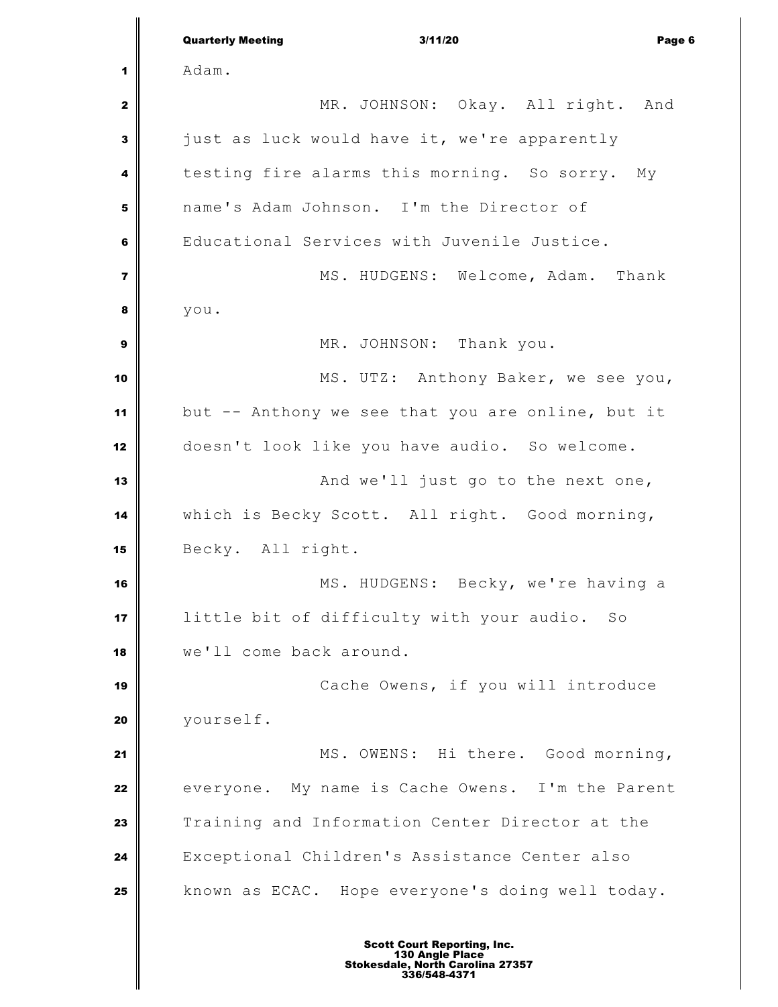|                         | <b>Quarterly Meeting</b><br>3/11/20<br>Page 6     |
|-------------------------|---------------------------------------------------|
| 1                       | Adam.                                             |
| $\mathbf{z}$            | MR. JOHNSON: Okay. All right. And                 |
| 3                       | just as luck would have it, we're apparently      |
| 4                       | testing fire alarms this morning. So sorry. My    |
| 5                       | name's Adam Johnson. I'm the Director of          |
| 6                       | Educational Services with Juvenile Justice.       |
| $\overline{\mathbf{z}}$ | MS. HUDGENS: Welcome, Adam. Thank                 |
| 8                       | you.                                              |
| 9                       | MR. JOHNSON: Thank you.                           |
| 10                      | MS. UTZ: Anthony Baker, we see you,               |
| 11                      | but -- Anthony we see that you are online, but it |
| 12                      | doesn't look like you have audio. So welcome.     |
| 13                      | And we'll just go to the next one,                |
| 14                      | which is Becky Scott. All right. Good morning,    |
| 15                      | Becky. All right.                                 |
| 16                      | MS. HUDGENS: Becky, we're having a                |
| 17                      | little bit of difficulty with your audio. So      |
| 18                      | we'll come back around.                           |
| 19                      | Cache Owens, if you will introduce                |
| 20                      | yourself.                                         |
| 21                      | MS. OWENS: Hi there. Good morning,                |
| 22                      | everyone. My name is Cache Owens. I'm the Parent  |
| 23                      | Training and Information Center Director at the   |
| 24                      | Exceptional Children's Assistance Center also     |
| 25                      | known as ECAC. Hope everyone's doing well today.  |
|                         |                                                   |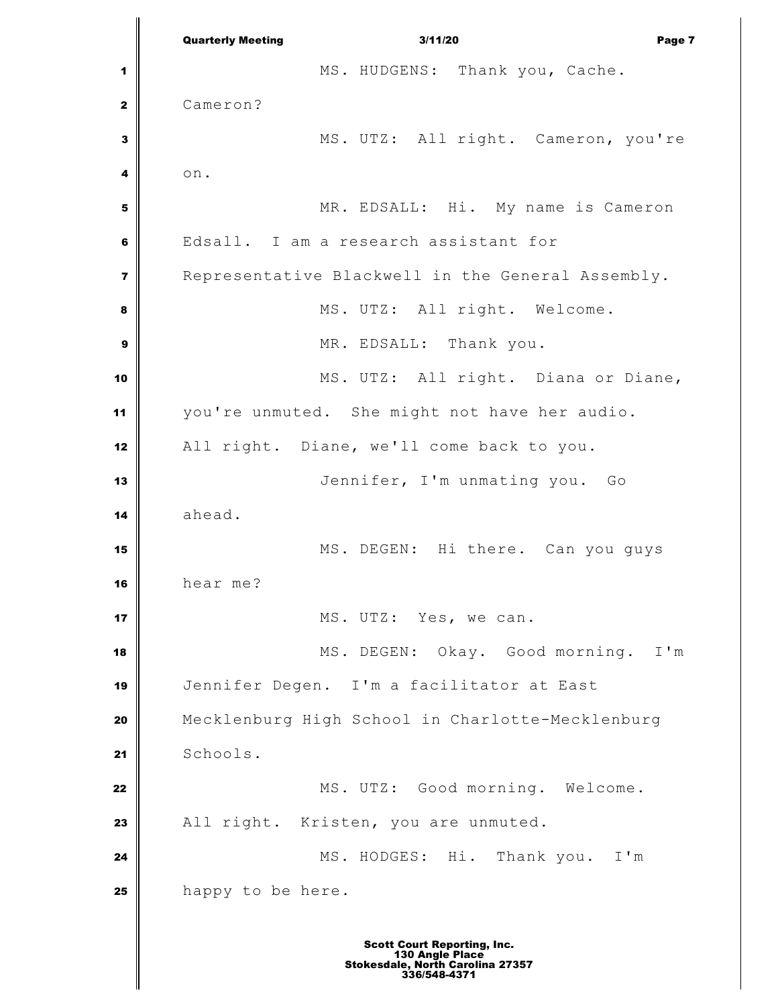Quarterly Meeting 3/11/20 Page 7 MS. HUDGENS: Thank you, Cache. Cameron? MS. UTZ: All right. Cameron, you're on. MR. EDSALL: Hi. My name is Cameron Edsall. I am a research assistant for Representative Blackwell in the General Assembly. **8** MS. UTZ: All right. Welcome. MR. EDSALL: Thank you. MS. UTZ: All right. Diana or Diane, you're unmuted. She might not have her audio. All right. Diane, we'll come back to you. Jennifer, I'm unmating you. Go ahead. MS. DEGEN: Hi there. Can you quys hear me? MS. UTZ: Yes, we can. MS. DEGEN: Okay. Good morning. I'm Jennifer Degen. I'm a facilitator at East Mecklenburg High School in Charlotte-Mecklenburg 21 Schools. MS. UTZ: Good morning. Welcome. 23 | All right. Kristen, you are unmuted. MS. HODGES: Hi. Thank you. I'm happy to be here.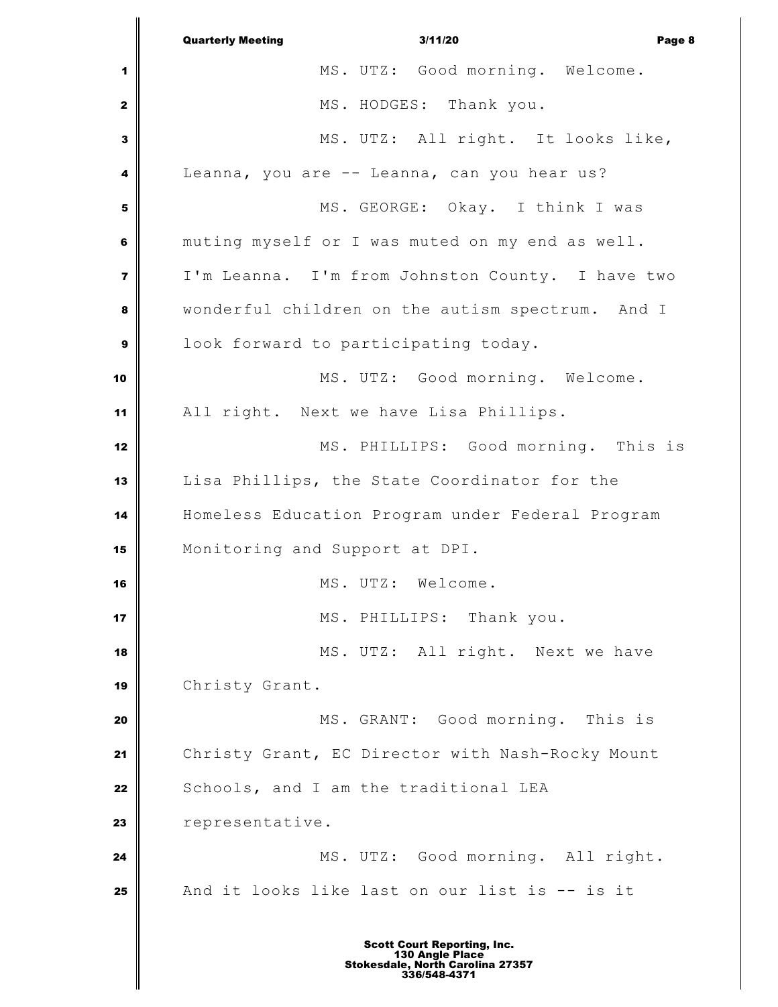Quarterly Meeting 3/11/20 Page 8 MS. UTZ: Good morning. Welcome. MS. HODGES: Thank you. MS. UTZ: All right. It looks like, Leanna, you are -- Leanna, can you hear us? MS. GEORGE: Okay. I think I was muting myself or I was muted on my end as well. I'm Leanna. I'm from Johnston County. I have two wonderful children on the autism spectrum. And I **look** forward to participating today. 10 | MS. UTZ: Good morning. Welcome. All right. Next we have Lisa Phillips. MS. PHILLIPS: Good morning. This is Lisa Phillips, the State Coordinator for the Homeless Education Program under Federal Program Monitoring and Support at DPI. MS. UTZ: Welcome. MS. PHILLIPS: Thank you. MS. UTZ: All right. Next we have Christy Grant. MS. GRANT: Good morning. This is Christy Grant, EC Director with Nash-Rocky Mount Schools, and I am the traditional LEA representative. MS. UTZ: Good morning. All right. And it looks like last on our list is -- is it Scott Court Reporting, Inc. 130 Angle Place Stokesdale, North Carolina 27357 336/548-4371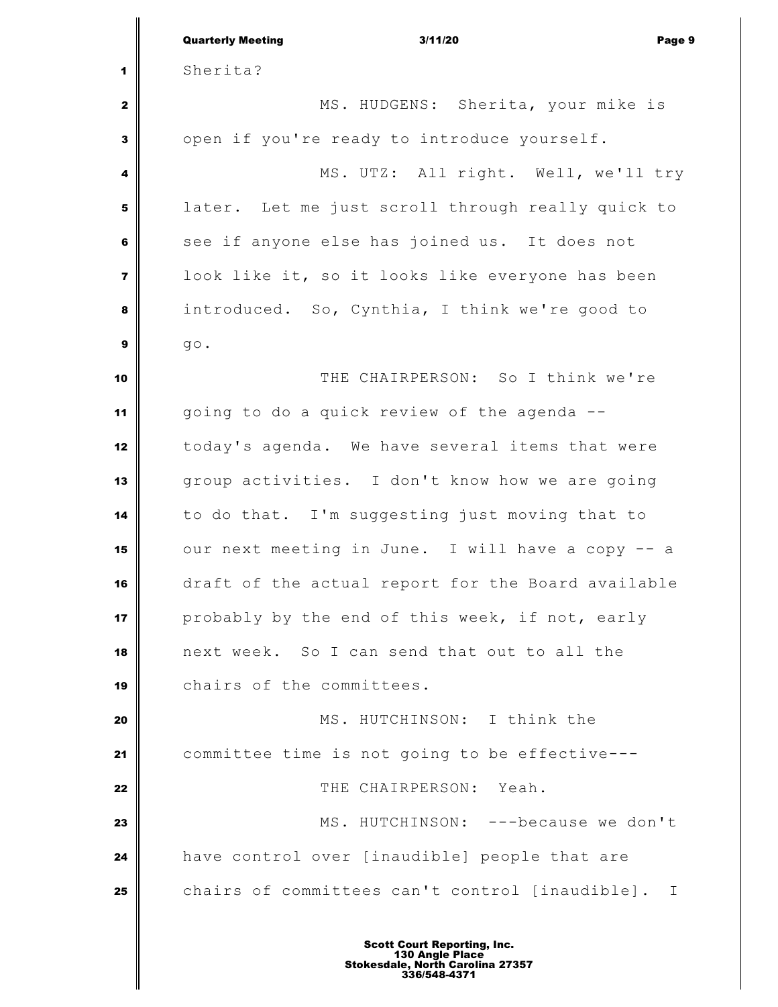|                | <b>Quarterly Meeting</b><br>3/11/20<br>Page 9      |
|----------------|----------------------------------------------------|
| 1              | Sherita?                                           |
| $\mathbf{z}$   | MS. HUDGENS: Sherita, your mike is                 |
| 3              | open if you're ready to introduce yourself.        |
| 4              | MS. UTZ: All right. Well, we'll try                |
| 5              | later. Let me just scroll through really quick to  |
| 6              | see if anyone else has joined us. It does not      |
| $\overline{7}$ | look like it, so it looks like everyone has been   |
| 8              | introduced. So, Cynthia, I think we're good to     |
| 9              | $g \circ$ .                                        |
| 10             | THE CHAIRPERSON: So I think we're                  |
| 11             | going to do a quick review of the agenda --        |
| 12             | today's agenda. We have several items that were    |
| 13             | group activities. I don't know how we are going    |
| 14             | to do that. I'm suggesting just moving that to     |
| 15             | our next meeting in June. I will have a copy -- a  |
| 16             | draft of the actual report for the Board available |
| 17             | probably by the end of this week, if not, early    |
| 18             | next week. So I can send that out to all the       |
| 19             | chairs of the committees.                          |
| 20             | MS. HUTCHINSON: I think the                        |
| 21             | committee time is not going to be effective---     |
| 22             | THE CHAIRPERSON: Yeah.                             |
| 23             | MS. HUTCHINSON: ---because we don't                |
| 24             | have control over [inaudible] people that are      |
| 25             | chairs of committees can't control [inaudible]. I  |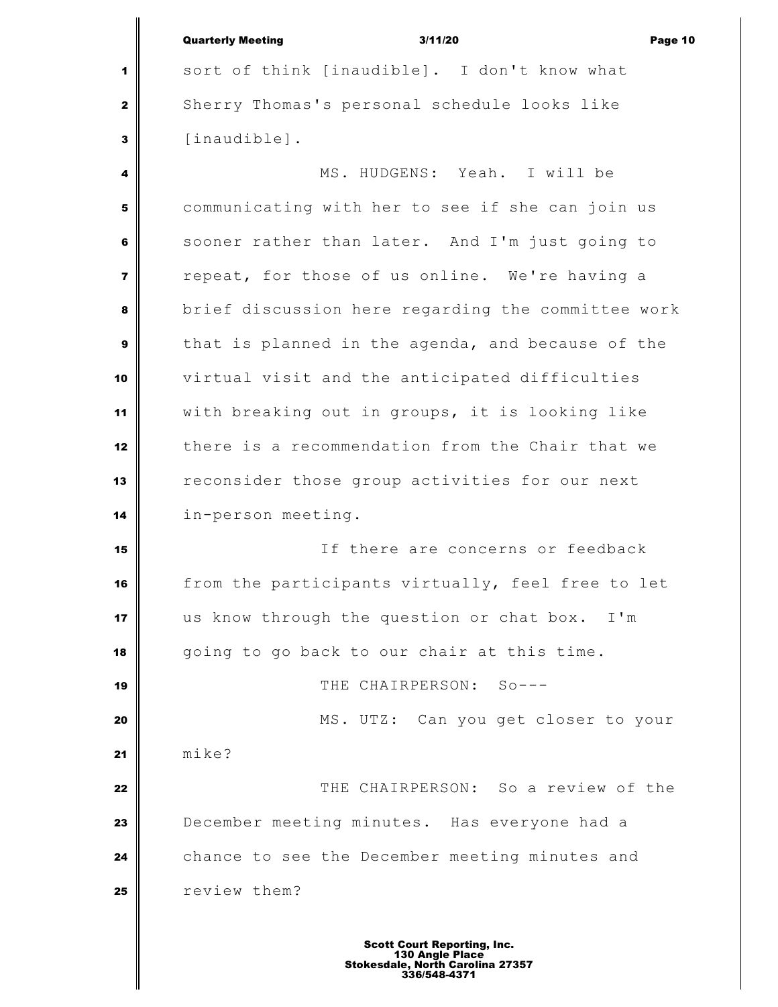|                         | <b>Quarterly Meeting</b><br>3/11/20<br>Page 10     |
|-------------------------|----------------------------------------------------|
| 1                       | sort of think [inaudible]. I don't know what       |
| $\mathbf{z}$            | Sherry Thomas's personal schedule looks like       |
| 3                       | [inaudible].                                       |
| 4                       | MS. HUDGENS: Yeah. I will be                       |
| 5                       | communicating with her to see if she can join us   |
| 6                       | sooner rather than later. And I'm just going to    |
| $\overline{\mathbf{z}}$ | repeat, for those of us online. We're having a     |
| 8                       | brief discussion here regarding the committee work |
| 9                       | that is planned in the agenda, and because of the  |
| 10                      | virtual visit and the anticipated difficulties     |
| 11                      | with breaking out in groups, it is looking like    |
| 12                      | there is a recommendation from the Chair that we   |
| 13                      | reconsider those group activities for our next     |
| 14                      | in-person meeting.                                 |
| 15                      | If there are concerns or feedback                  |
| 16                      | from the participants virtually, feel free to let  |
| 17                      | us know through the question or chat box. I'm      |
| 18                      | going to go back to our chair at this time.        |
| 19                      | THE CHAIRPERSON: So---                             |
| 20                      | MS. UTZ: Can you get closer to your                |
| 21                      | mike?                                              |
| 22                      | THE CHAIRPERSON: So a review of the                |
| 23                      | December meeting minutes. Has everyone had a       |
| 24                      | chance to see the December meeting minutes and     |
| 25                      | review them?                                       |
|                         |                                                    |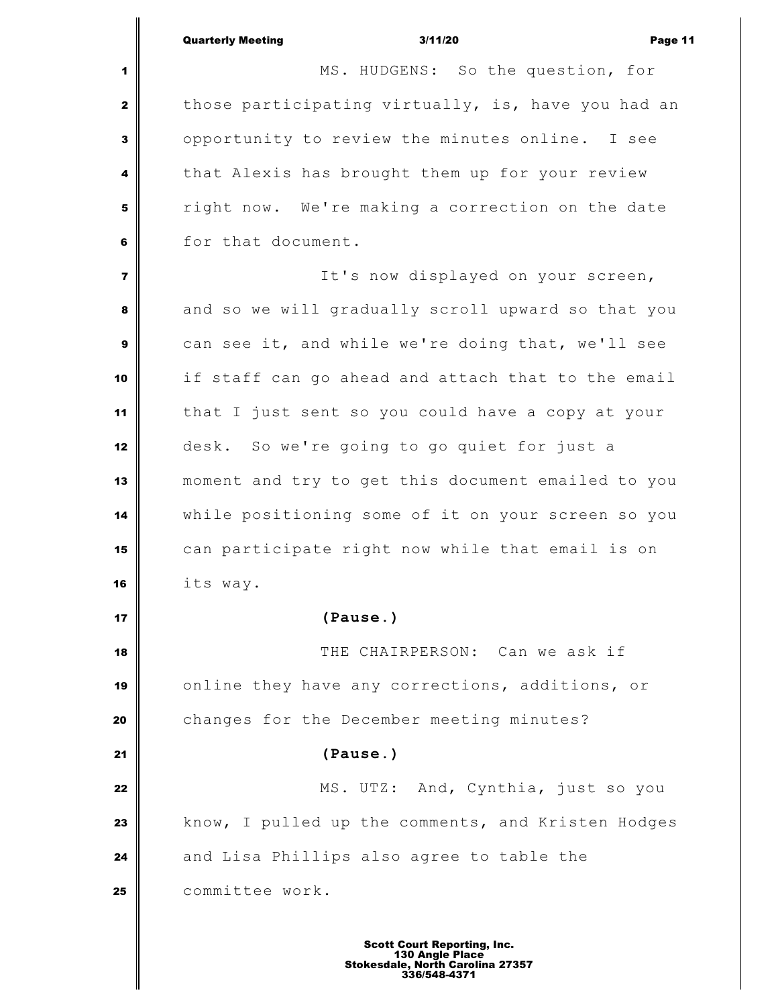|                | 3/11/20<br><b>Quarterly Meeting</b><br>Page 11     |
|----------------|----------------------------------------------------|
| 1              | MS. HUDGENS: So the question, for                  |
| $\mathbf{2}$   | those participating virtually, is, have you had an |
| 3              | opportunity to review the minutes online. I see    |
| 4              | that Alexis has brought them up for your review    |
| 5              | right now. We're making a correction on the date   |
| 6              | for that document.                                 |
| $\overline{7}$ | It's now displayed on your screen,                 |
| 8              | and so we will gradually scroll upward so that you |
| 9              | can see it, and while we're doing that, we'll see  |
| 10             | if staff can go ahead and attach that to the email |
| 11             | that I just sent so you could have a copy at your  |
| 12             | desk. So we're going to go quiet for just a        |
| 13             | moment and try to get this document emailed to you |
| 14             | while positioning some of it on your screen so you |
| 15             | can participate right now while that email is on   |
| 16             | its way.                                           |
| 17             | (Pause.)                                           |
| 18             | THE CHAIRPERSON: Can we ask if                     |
| 19             | online they have any corrections, additions, or    |
| 20             | changes for the December meeting minutes?          |
| 21             | (Pause.)                                           |
| 22             | MS. UTZ: And, Cynthia, just so you                 |
| 23             | know, I pulled up the comments, and Kristen Hodges |
| 24             | and Lisa Phillips also agree to table the          |
| 25             | committee work.                                    |
|                |                                                    |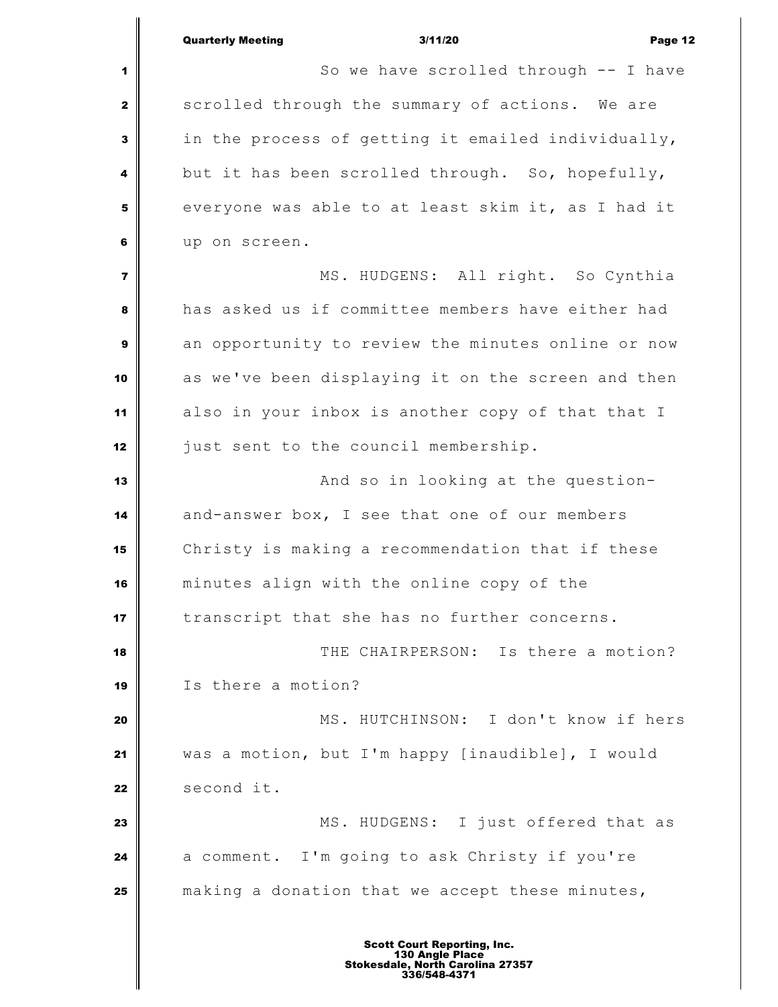Quarterly Meeting 3/11/20 Page 12 So we have scrolled through -- I have scrolled through the summary of actions. We are in the process of getting it emailed individually, but it has been scrolled through. So, hopefully, everyone was able to at least skim it, as I had it up on screen. MS. HUDGENS: All right. So Cynthia has asked us if committee members have either had an opportunity to review the minutes online or now as we've been displaying it on the screen and then also in your inbox is another copy of that that I just sent to the council membership. **And so in looking at the question-** and-answer box, I see that one of our members Christy is making a recommendation that if these minutes align with the online copy of the **i** transcript that she has no further concerns.  $\parallel$  **THE CHAIRPERSON:** Is there a motion? Is there a motion? MS. HUTCHINSON: I don't know if hers was a motion, but I'm happy [inaudible], I would second it. MS. HUDGENS: I just offered that as a comment. I'm going to ask Christy if you're making a donation that we accept these minutes,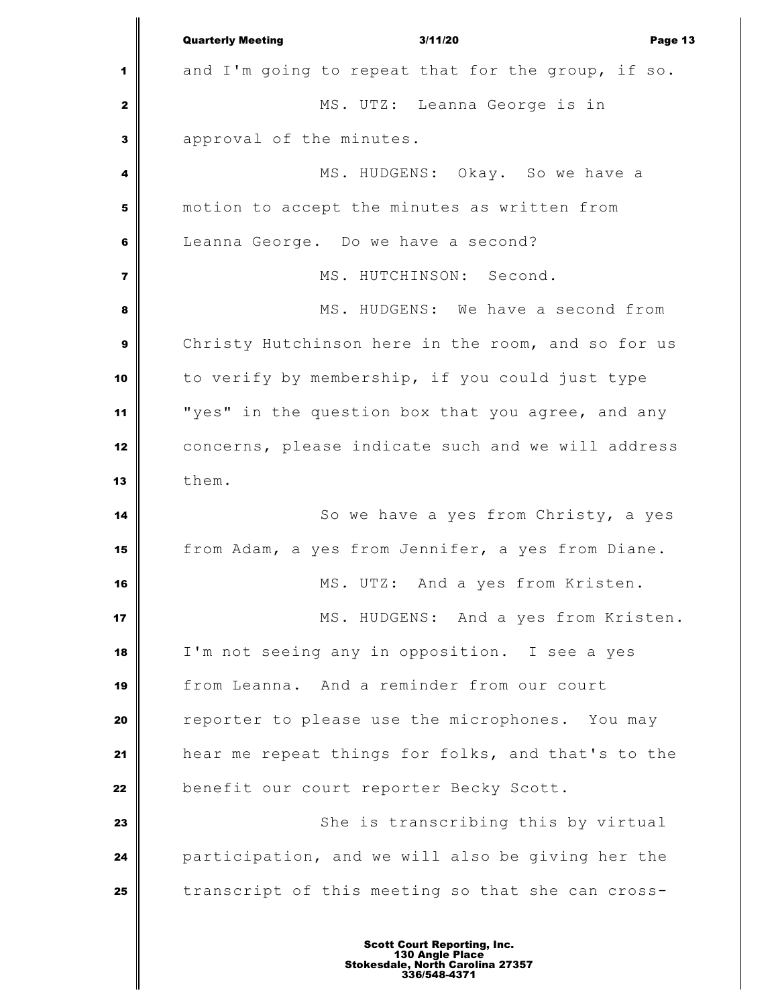|                         | <b>Quarterly Meeting</b><br>3/11/20<br>Page 13     |
|-------------------------|----------------------------------------------------|
| 1                       | and I'm going to repeat that for the group, if so. |
| $\mathbf{2}$            | MS. UTZ: Leanna George is in                       |
| 3                       | approval of the minutes.                           |
| 4                       | MS. HUDGENS: Okay. So we have a                    |
| 5                       | motion to accept the minutes as written from       |
| 6                       | Leanna George. Do we have a second?                |
| $\overline{\mathbf{z}}$ | MS. HUTCHINSON: Second.                            |
| 8                       | MS. HUDGENS: We have a second from                 |
| $\boldsymbol{9}$        | Christy Hutchinson here in the room, and so for us |
| 10                      | to verify by membership, if you could just type    |
| 11                      | "yes" in the question box that you agree, and any  |
| 12                      | concerns, please indicate such and we will address |
| 13                      | them.                                              |
| 14                      | So we have a yes from Christy, a yes               |
| 15                      | from Adam, a yes from Jennifer, a yes from Diane.  |
| 16                      | MS. UTZ: And a yes from Kristen.                   |
| 17                      | MS. HUDGENS: And a yes from Kristen.               |
| 18                      | I'm not seeing any in opposition. I see a yes      |
| 19                      | from Leanna. And a reminder from our court         |
| 20                      | reporter to please use the microphones. You may    |
| 21                      | hear me repeat things for folks, and that's to the |
| 22                      | benefit our court reporter Becky Scott.            |
| 23                      | She is transcribing this by virtual                |
| 24                      | participation, and we will also be giving her the  |
| 25                      | transcript of this meeting so that she can cross-  |
|                         |                                                    |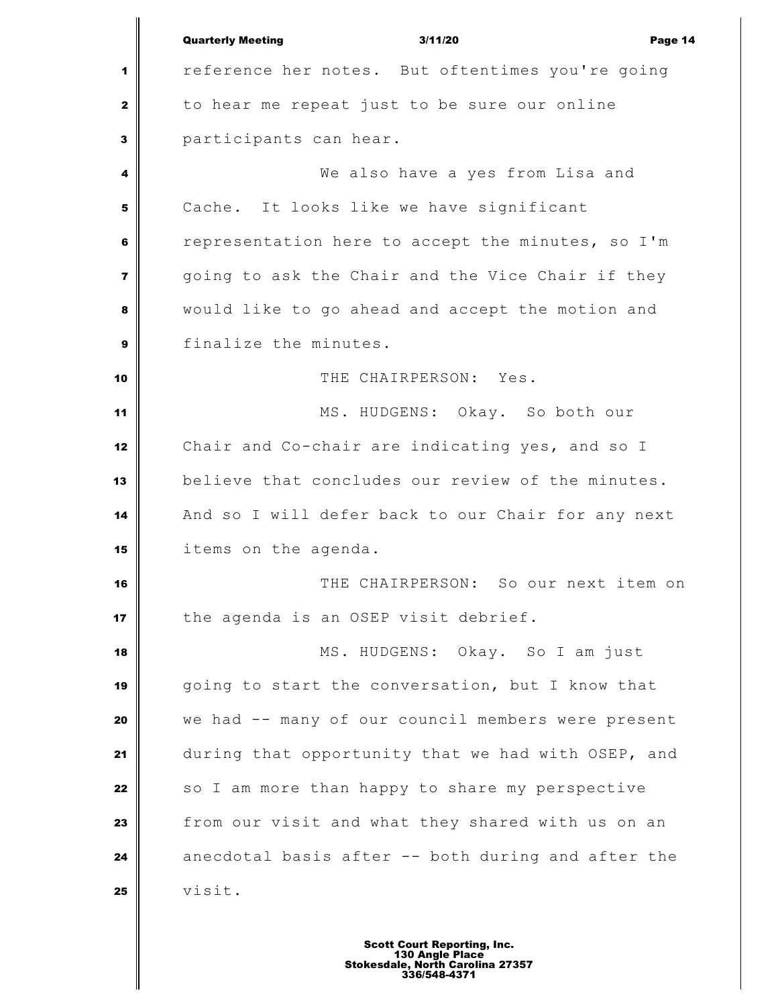|                         | <b>Quarterly Meeting</b><br>3/11/20<br>Page 14     |
|-------------------------|----------------------------------------------------|
| 1                       | reference her notes. But oftentimes you're going   |
| $\mathbf{2}$            | to hear me repeat just to be sure our online       |
| 3                       | participants can hear.                             |
| 4                       | We also have a yes from Lisa and                   |
| 5                       | Cache. It looks like we have significant           |
| 6                       | representation here to accept the minutes, so I'm  |
| $\overline{\mathbf{z}}$ | going to ask the Chair and the Vice Chair if they  |
| 8                       | would like to go ahead and accept the motion and   |
| 9                       | finalize the minutes.                              |
| 10                      | THE CHAIRPERSON: Yes.                              |
| 11                      | MS. HUDGENS: Okay. So both our                     |
| 12                      | Chair and Co-chair are indicating yes, and so I    |
| 13                      | believe that concludes our review of the minutes.  |
| 14                      | And so I will defer back to our Chair for any next |
| 15                      | items on the agenda.                               |
| 16                      | THE CHAIRPERSON: So our next item on               |
| 17                      | the agenda is an OSEP visit debrief.               |
| 18                      | MS. HUDGENS: Okay. So I am just                    |
| 19                      | going to start the conversation, but I know that   |
| 20                      | we had -- many of our council members were present |
| 21                      | during that opportunity that we had with OSEP, and |
| 22                      | so I am more than happy to share my perspective    |
| 23                      | from our visit and what they shared with us on an  |
| 24                      | anecdotal basis after -- both during and after the |
| 25                      | visit.                                             |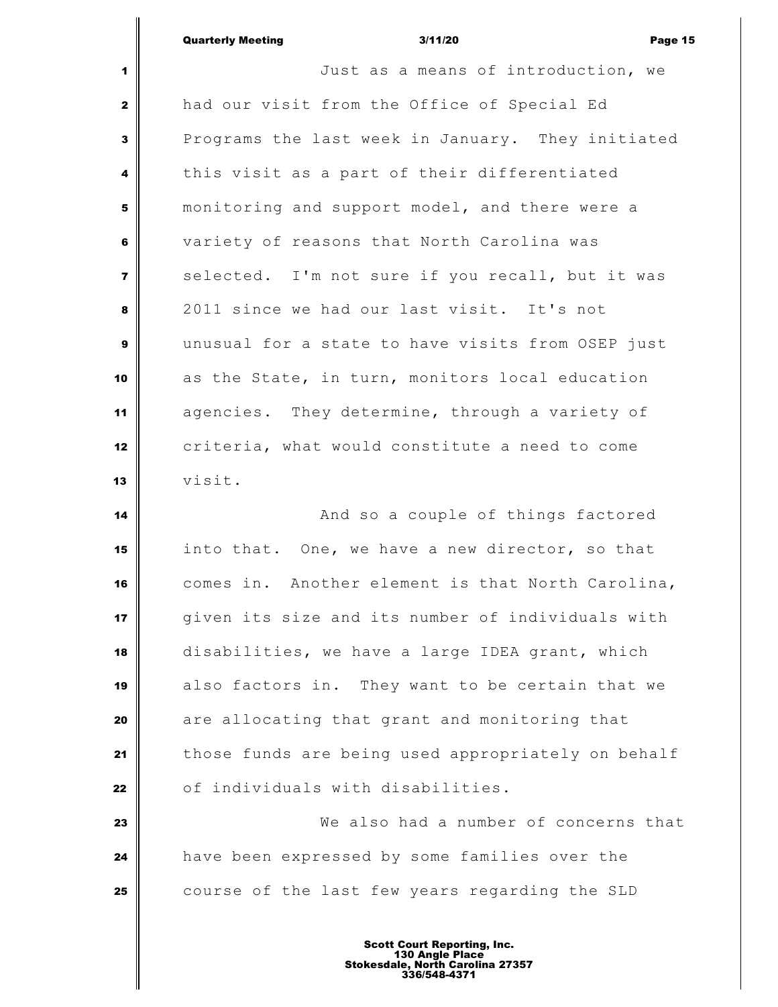|                | <b>Quarterly Meeting</b> | 3/11/20                                           | Page 15 |
|----------------|--------------------------|---------------------------------------------------|---------|
|                |                          | Just as a means of introduction, we               |         |
| 2 <sup>1</sup> |                          | had our visit from the Office of Special Ed       |         |
| 3 <sup>1</sup> |                          | Programs the last week in January. They initiated |         |

 this visit as a part of their differentiated monitoring and support model, and there were a variety of reasons that North Carolina was Selected. I'm not sure if you recall, but it was 2011 since we had our last visit. It's not unusual for a state to have visits from OSEP just as the State, in turn, monitors local education agencies. They determine, through a variety of criteria, what would constitute a need to come visit.

 **And so a couple of things factored**  into that. One, we have a new director, so that comes in. Another element is that North Carolina, given its size and its number of individuals with disabilities, we have a large IDEA grant, which also factors in. They want to be certain that we are allocating that grant and monitoring that those funds are being used appropriately on behalf **o**f individuals with disabilities.

 We also had a number of concerns that have been expressed by some families over the course of the last few years regarding the SLD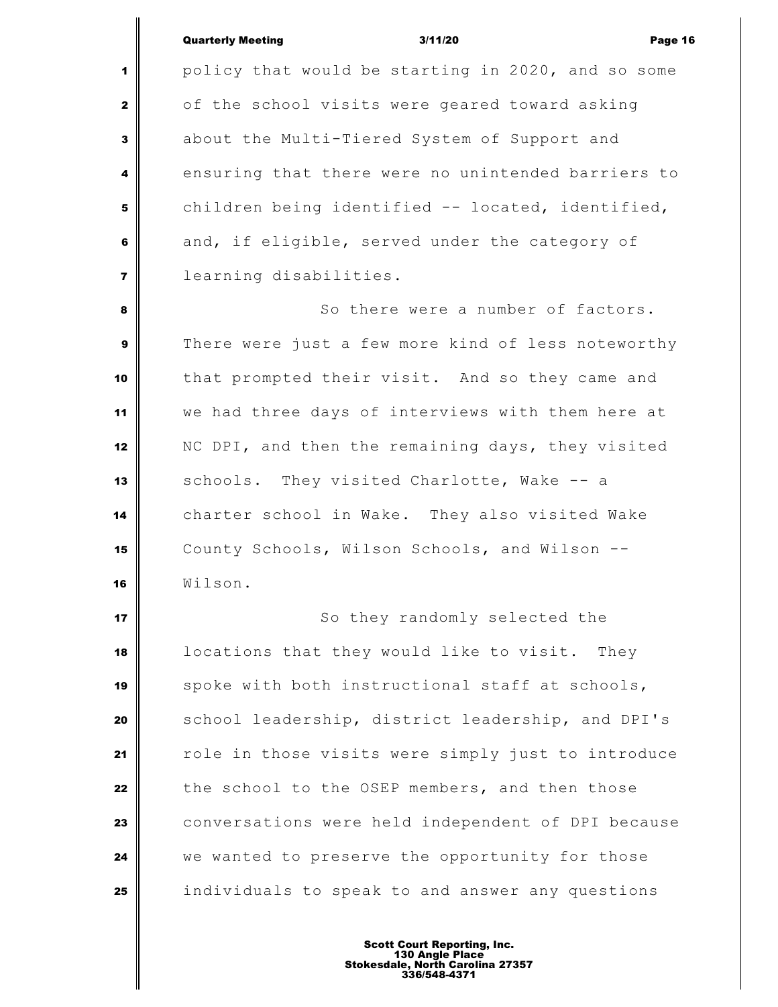### Quarterly Meeting 3/11/20 Page 16

 policy that would be starting in 2020, and so some of the school visits were geared toward asking about the Multi-Tiered System of Support and ensuring that there were no unintended barriers to children being identified -- located, identified, and, if eligible, served under the category of learning disabilities.

 So there were a number of factors. There were just a few more kind of less noteworthy that prompted their visit. And so they came and we had three days of interviews with them here at NC DPI, and then the remaining days, they visited schools. They visited Charlotte, Wake -- a charter school in Wake. They also visited Wake County Schools, Wilson Schools, and Wilson -- Wilson.

 So they randomly selected the locations that they would like to visit. They 19 spoke with both instructional staff at schools, School leadership, district leadership, and DPI's role in those visits were simply just to introduce the school to the OSEP members, and then those conversations were held independent of DPI because we wanted to preserve the opportunity for those individuals to speak to and answer any questions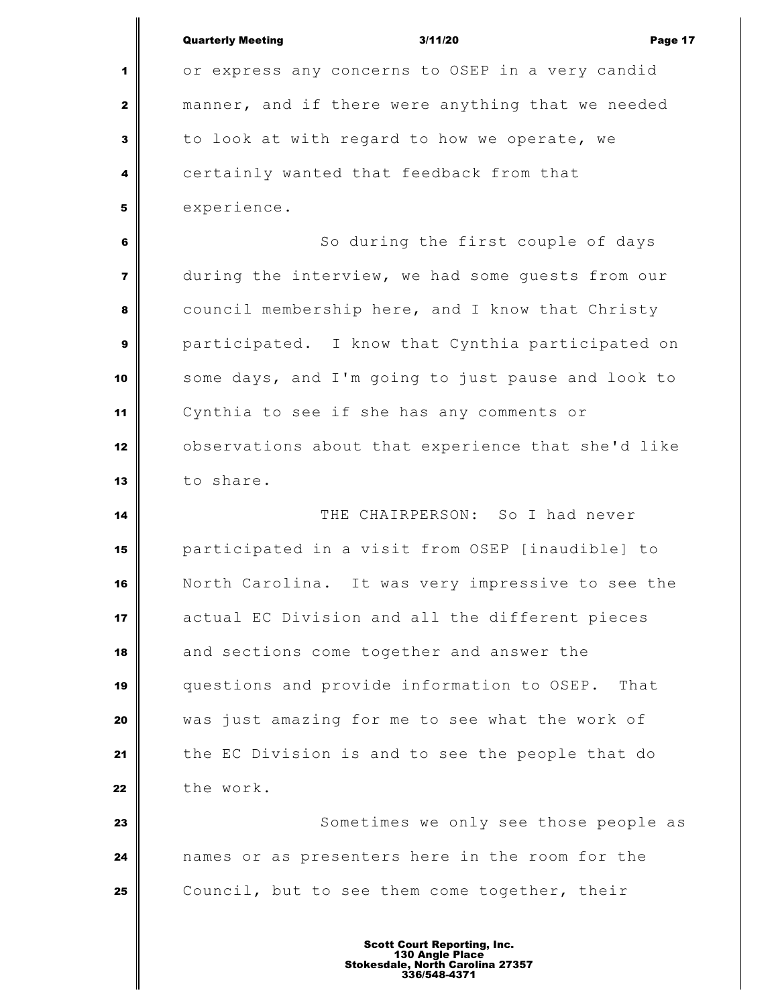|                | <b>Quarterly Meeting</b><br>3/11/20<br>Page 17     |
|----------------|----------------------------------------------------|
| 1              | or express any concerns to OSEP in a very candid   |
| 2              | manner, and if there were anything that we needed  |
| 3              | to look at with regard to how we operate, we       |
| 4              | certainly wanted that feedback from that           |
| 5              | experience.                                        |
| 6              | So during the first couple of days                 |
| $\overline{7}$ | during the interview, we had some guests from our  |
| 8              | council membership here, and I know that Christy   |
| 9              | participated. I know that Cynthia participated on  |
| 10             | some days, and I'm going to just pause and look to |
| 11             | Cynthia to see if she has any comments or          |
| 12             | observations about that experience that she'd like |
| 13             | to share.                                          |
| 14             | THE CHAIRPERSON: So I had never                    |
| 15             | participated in a visit from OSEP [inaudible] to   |
| 16             | North Carolina. It was very impressive to see the  |
| 17             | actual EC Division and all the different pieces    |
| 18             | and sections come together and answer the          |
| 19             | questions and provide information to OSEP. That    |
| 20             | was just amazing for me to see what the work of    |
| 21             | the EC Division is and to see the people that do   |
| 22             | the work.                                          |
| 23             | Sometimes we only see those people as              |
| 24             | names or as presenters here in the room for the    |
| 25             | Council, but to see them come together, their      |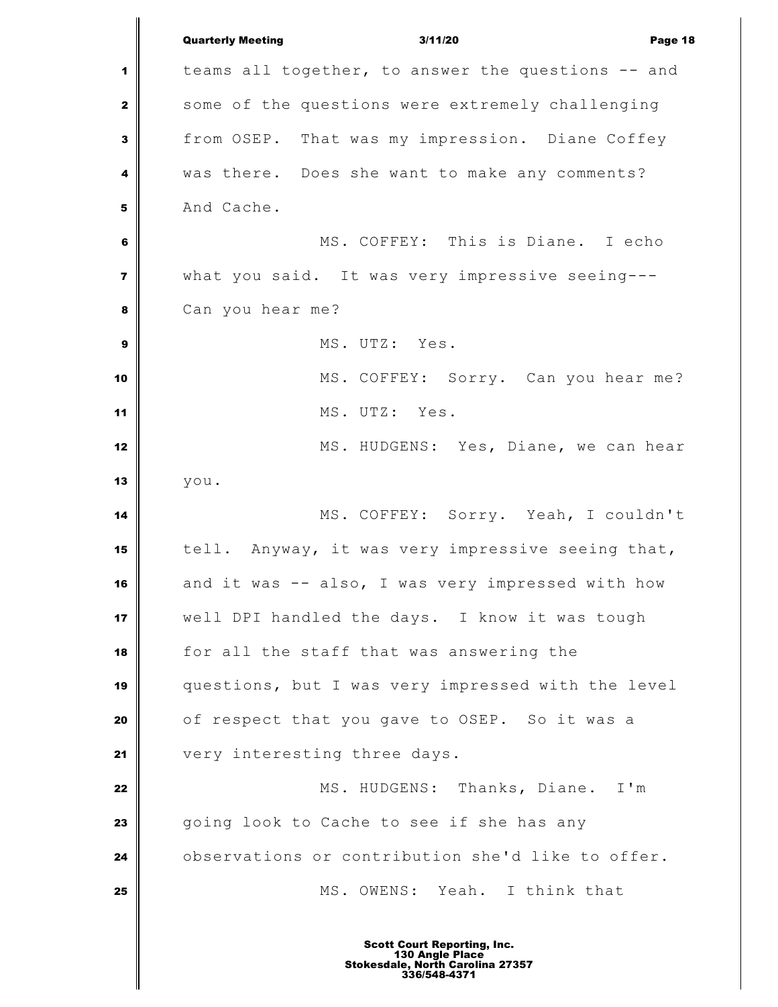|                         | <b>Quarterly Meeting</b><br>3/11/20<br>Page 18                                                            |
|-------------------------|-----------------------------------------------------------------------------------------------------------|
| 1                       | teams all together, to answer the questions -- and                                                        |
| $\mathbf{2}$            | some of the questions were extremely challenging                                                          |
| 3                       | from OSEP. That was my impression. Diane Coffey                                                           |
| 4                       | was there. Does she want to make any comments?                                                            |
| 5                       | And Cache.                                                                                                |
| 6                       | MS. COFFEY: This is Diane. I echo                                                                         |
| $\overline{\mathbf{z}}$ | what you said. It was very impressive seeing---                                                           |
| 8                       | Can you hear me?                                                                                          |
| 9                       | MS. UTZ: Yes.                                                                                             |
| 10                      | MS. COFFEY: Sorry. Can you hear me?                                                                       |
| 11                      | MS. UTZ: Yes.                                                                                             |
| 12                      | MS. HUDGENS: Yes, Diane, we can hear                                                                      |
| 13                      | you.                                                                                                      |
| 14                      | MS. COFFEY: Sorry. Yeah, I couldn't                                                                       |
| 15                      | tell. Anyway, it was very impressive seeing that,                                                         |
| 16                      | and it was -- also, I was very impressed with how                                                         |
| 17                      | well DPI handled the days. I know it was tough                                                            |
| 18                      | for all the staff that was answering the                                                                  |
| 19                      | questions, but I was very impressed with the level                                                        |
| 20                      | of respect that you gave to OSEP. So it was a                                                             |
| 21                      | very interesting three days.                                                                              |
| 22                      | MS. HUDGENS: Thanks, Diane. I'm                                                                           |
| 23                      | going look to Cache to see if she has any                                                                 |
| 24                      | observations or contribution she'd like to offer.                                                         |
| 25                      | MS. OWENS: Yeah. I think that                                                                             |
|                         | <b>Scott Court Reporting, Inc.</b><br>130 Angle Place<br>Stokesdale, North Carolina 27357<br>336/548-4371 |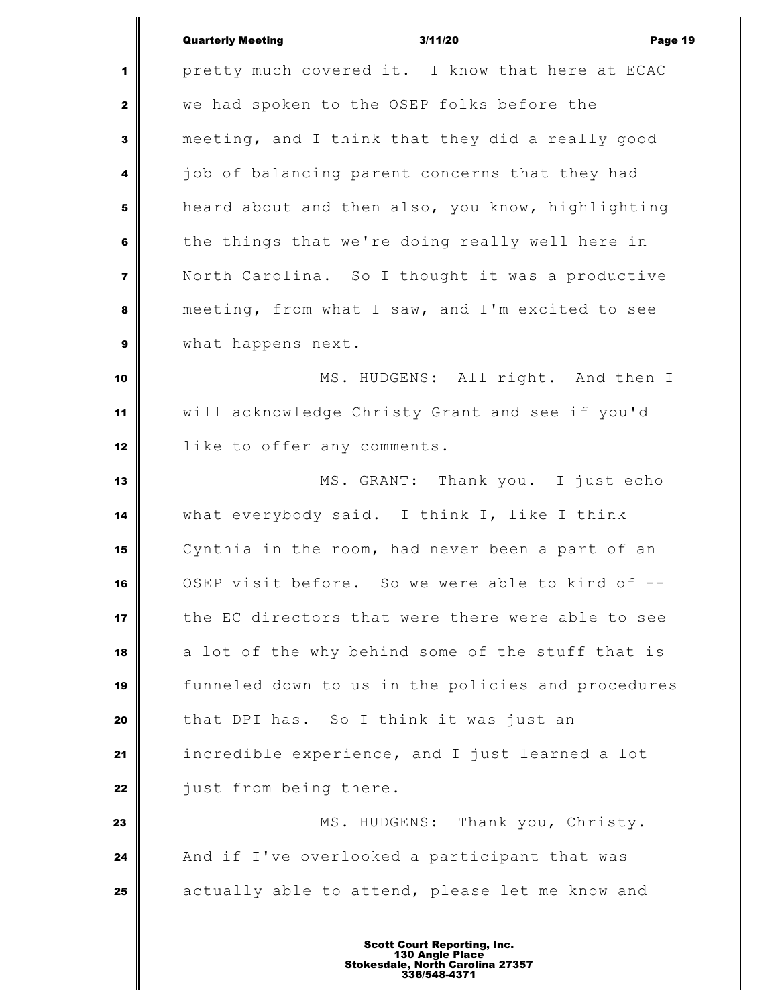|                | <b>Quarterly Meeting</b>                         | 3/11/20 |  | Page 19 |
|----------------|--------------------------------------------------|---------|--|---------|
| 1 <sup>1</sup> | pretty much covered it. I know that here at ECAC |         |  |         |

 we had spoken to the OSEP folks before the meeting, and I think that they did a really good job of balancing parent concerns that they had heard about and then also, you know, highlighting the things that we're doing really well here in North Carolina. So I thought it was a productive meeting, from what I saw, and I'm excited to see what happens next.

 MS. HUDGENS: All right. And then I will acknowledge Christy Grant and see if you'd like to offer any comments.

 MS. GRANT: Thank you. I just echo what everybody said. I think I, like I think Cynthia in the room, had never been a part of an OSEP visit before. So we were able to kind of -- the EC directors that were there were able to see a lot of the why behind some of the stuff that is funneled down to us in the policies and procedures that DPI has. So I think it was just an incredible experience, and I just learned a lot **just from being there.** 

 MS. HUDGENS: Thank you, Christy. And if I've overlooked a participant that was actually able to attend, please let me know and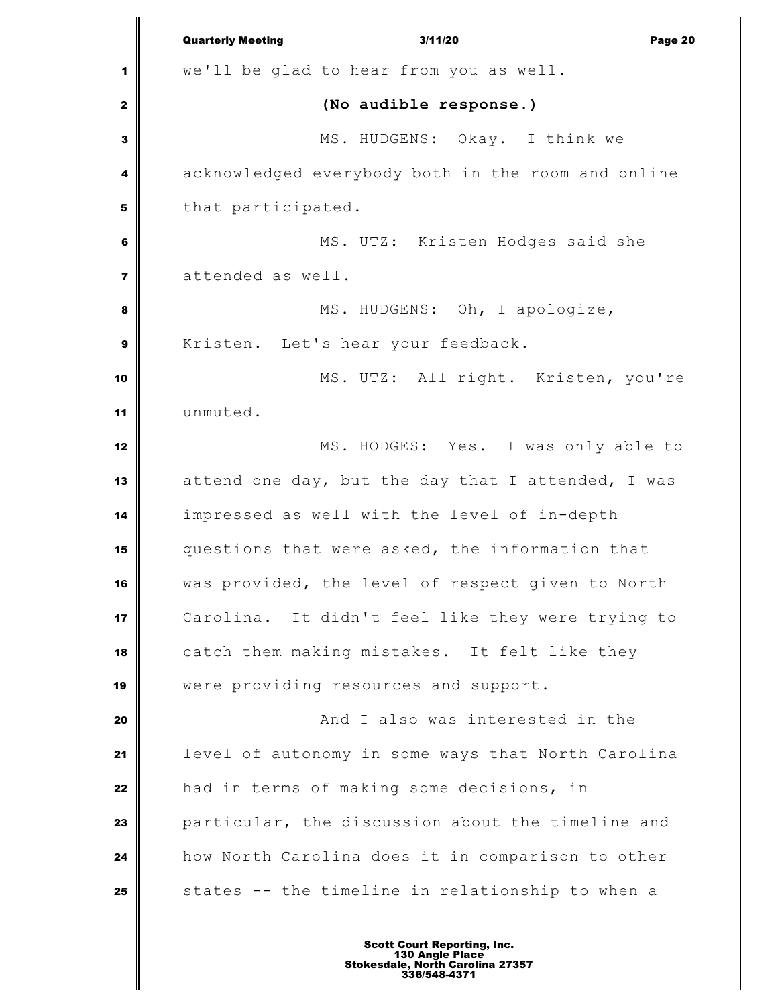| acknowledged everybody both in the room and online<br>MS. UTZ: Kristen Hodges said she |
|----------------------------------------------------------------------------------------|
|                                                                                        |
|                                                                                        |
|                                                                                        |
|                                                                                        |
|                                                                                        |
|                                                                                        |
|                                                                                        |
|                                                                                        |
|                                                                                        |
| MS. UTZ: All right. Kristen, you're                                                    |
|                                                                                        |
| MS. HODGES: Yes. I was only able to                                                    |
| attend one day, but the day that I attended, I was                                     |
|                                                                                        |
| questions that were asked, the information that                                        |
| was provided, the level of respect given to North                                      |
| Carolina. It didn't feel like they were trying to                                      |
| catch them making mistakes. It felt like they                                          |
|                                                                                        |
| And I also was interested in the                                                       |
| level of autonomy in some ways that North Carolina                                     |
|                                                                                        |
| particular, the discussion about the timeline and                                      |
| how North Carolina does it in comparison to other                                      |
| states -- the timeline in relationship to when a                                       |
|                                                                                        |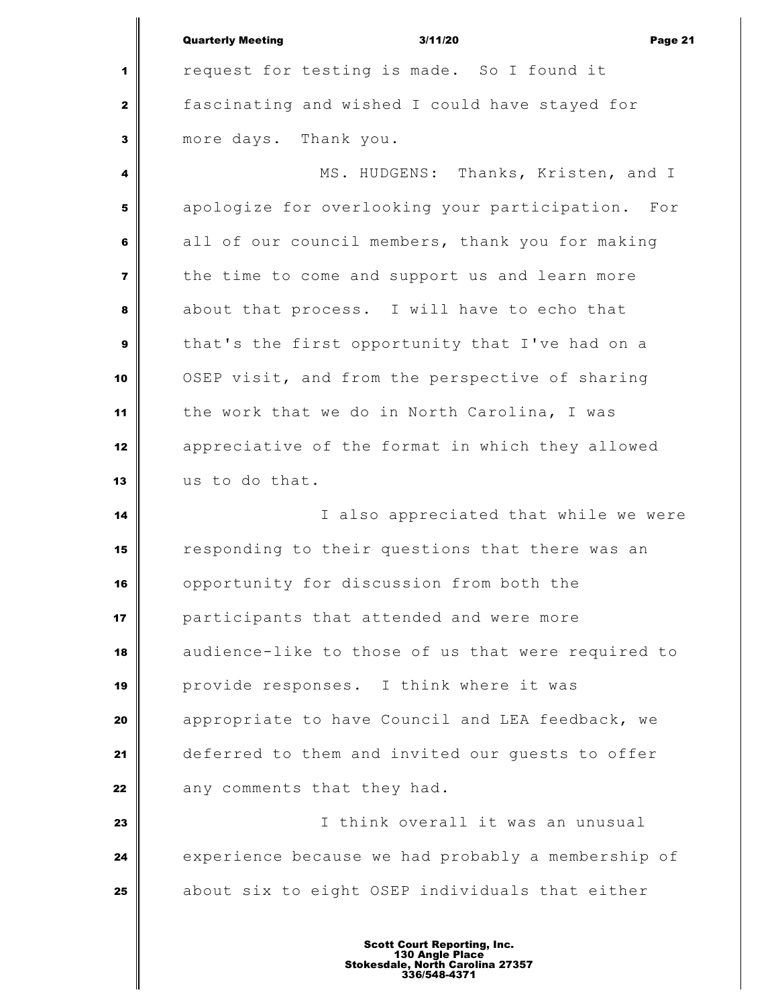|                | <b>Quarterly Meeting</b><br>3/11/20<br>Page 21     |
|----------------|----------------------------------------------------|
| 1              | request for testing is made. So I found it         |
| $\mathbf{2}$   | fascinating and wished I could have stayed for     |
| 3              | more days. Thank you.                              |
| 4              | MS. HUDGENS: Thanks, Kristen, and I                |
| 5              | apologize for overlooking your participation. For  |
| 6              | all of our council members, thank you for making   |
| $\overline{7}$ | the time to come and support us and learn more     |
| 8              | about that process. I will have to echo that       |
| 9              | that's the first opportunity that I've had on a    |
| 10             | OSEP visit, and from the perspective of sharing    |
| 11             | the work that we do in North Carolina, I was       |
| 12             | appreciative of the format in which they allowed   |
| 13             | us to do that.                                     |
| 14             | I also appreciated that while we were              |
| 15             | responding to their questions that there was an    |
| 16             | opportunity for discussion from both the           |
| 17             | participants that attended and were more           |
| 18             | audience-like to those of us that were required to |
| 19             | provide responses. I think where it was            |
| 20             | appropriate to have Council and LEA feedback, we   |
| 21             | deferred to them and invited our guests to offer   |
| 22             | any comments that they had.                        |
| 23             | I think overall it was an unusual                  |
| 24             | experience because we had probably a membership of |
| 25             | about six to eight OSEP individuals that either    |
|                |                                                    |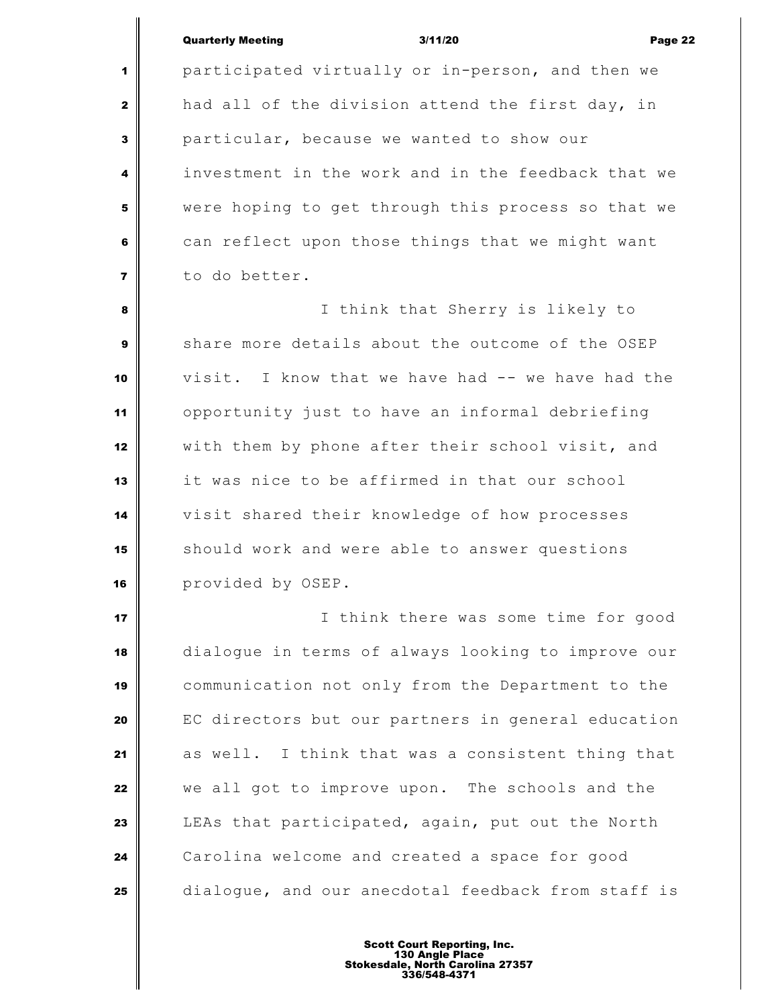### Quarterly Meeting 3/11/20 Page 22

 participated virtually or in-person, and then we had all of the division attend the first day, in particular, because we wanted to show our investment in the work and in the feedback that we were hoping to get through this process so that we can reflect upon those things that we might want to do better.

 I think that Sherry is likely to share more details about the outcome of the OSEP visit. I know that we have had -- we have had the opportunity just to have an informal debriefing with them by phone after their school visit, and it was nice to be affirmed in that our school visit shared their knowledge of how processes should work and were able to answer questions provided by OSEP.

 I think there was some time for good dialogue in terms of always looking to improve our communication not only from the Department to the EC directors but our partners in general education as well. I think that was a consistent thing that we all got to improve upon. The schools and the LEAs that participated, again, put out the North Carolina welcome and created a space for good dialogue, and our anecdotal feedback from staff is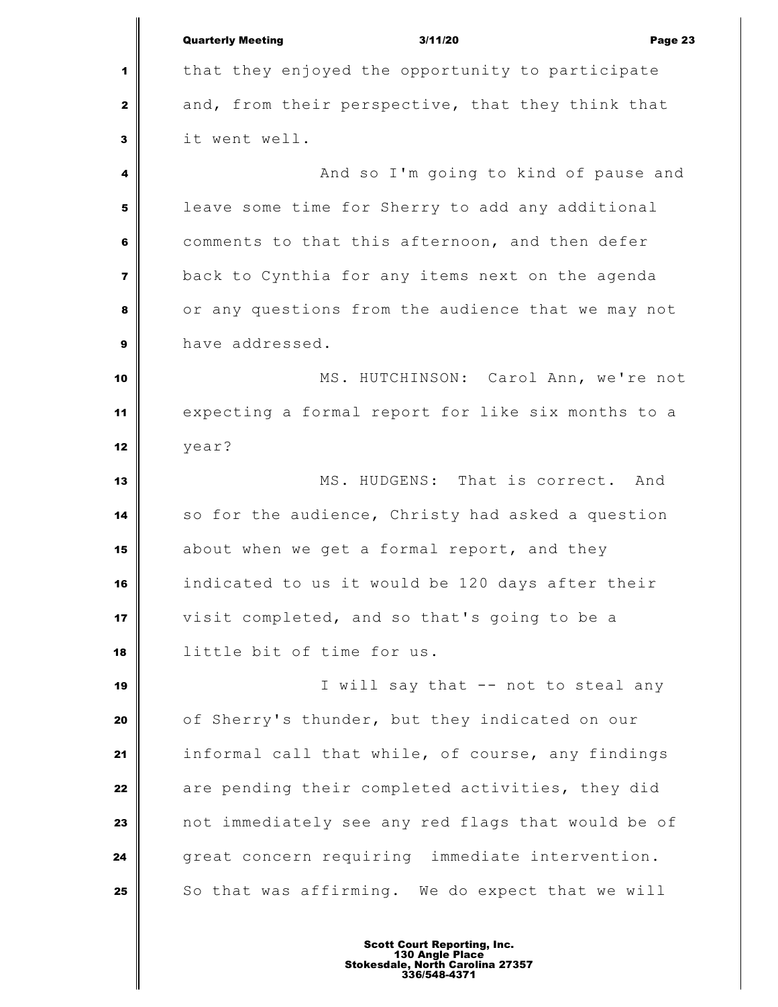|                         | <b>Quarterly Meeting</b><br>3/11/20<br>Page 23     |
|-------------------------|----------------------------------------------------|
| 1                       | that they enjoyed the opportunity to participate   |
| $\mathbf{2}$            | and, from their perspective, that they think that  |
| 3                       | it went well.                                      |
| 4                       | And so I'm going to kind of pause and              |
| 5                       | leave some time for Sherry to add any additional   |
| 6                       | comments to that this afternoon, and then defer    |
| $\overline{\mathbf{z}}$ | back to Cynthia for any items next on the agenda   |
| 8                       | or any questions from the audience that we may not |
| $\mathbf{9}$            | have addressed.                                    |
| 10                      | MS. HUTCHINSON: Carol Ann, we're not               |
| 11                      | expecting a formal report for like six months to a |
| 12                      | year?                                              |
| 13                      | MS. HUDGENS: That is correct. And                  |
| 14                      | so for the audience, Christy had asked a question  |
| 15                      | about when we get a formal report, and they        |
| 16                      | indicated to us it would be 120 days after their   |
| 17                      | visit completed, and so that's going to be a       |
| 18                      | little bit of time for us.                         |
| 19                      | I will say that -- not to steal any                |
| 20                      | of Sherry's thunder, but they indicated on our     |
| 21                      | informal call that while, of course, any findings  |
| 22                      | are pending their completed activities, they did   |
| 23                      | not immediately see any red flags that would be of |
| 24                      | great concern requiring immediate intervention.    |
| 25                      | So that was affirming. We do expect that we will   |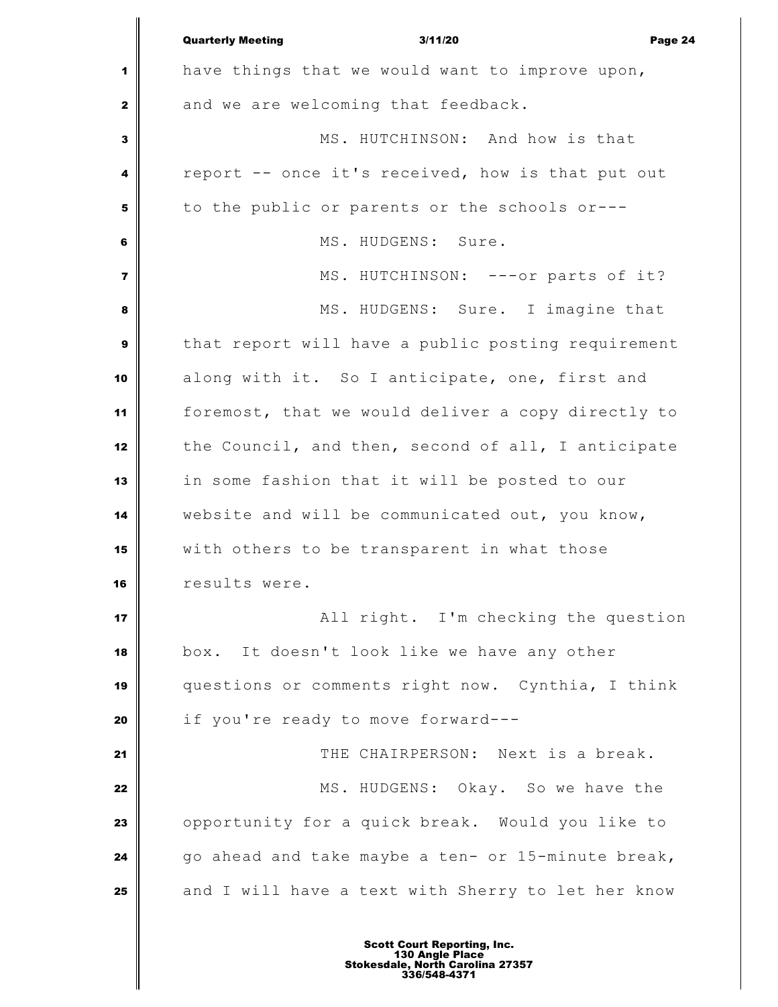|                         | <b>Quarterly Meeting</b><br>3/11/20<br>Page 24     |
|-------------------------|----------------------------------------------------|
| 1                       | have things that we would want to improve upon,    |
| $\mathbf{2}$            | and we are welcoming that feedback.                |
| $\mathbf{3}$            | MS. HUTCHINSON: And how is that                    |
| 4                       | report -- once it's received, how is that put out  |
| 5                       | to the public or parents or the schools or---      |
| 6                       | MS. HUDGENS: Sure.                                 |
| $\overline{\mathbf{z}}$ | MS. HUTCHINSON: --- or parts of it?                |
| 8                       | MS. HUDGENS: Sure. I imagine that                  |
| 9                       | that report will have a public posting requirement |
| 10                      | along with it. So I anticipate, one, first and     |
| 11                      | foremost, that we would deliver a copy directly to |
| 12                      | the Council, and then, second of all, I anticipate |
| 13                      | in some fashion that it will be posted to our      |
| 14                      | website and will be communicated out, you know,    |
| 15                      | with others to be transparent in what those        |
| 16                      | results were.                                      |
| 17                      | All right. I'm checking the question               |
| 18                      | box. It doesn't look like we have any other        |
| 19                      | questions or comments right now. Cynthia, I think  |
| 20                      | if you're ready to move forward---                 |
| 21                      | THE CHAIRPERSON: Next is a break.                  |
| 22                      | MS. HUDGENS: Okay. So we have the                  |
| 23                      | opportunity for a quick break. Would you like to   |
| 24                      | go ahead and take maybe a ten- or 15-minute break, |
| 25                      | and I will have a text with Sherry to let her know |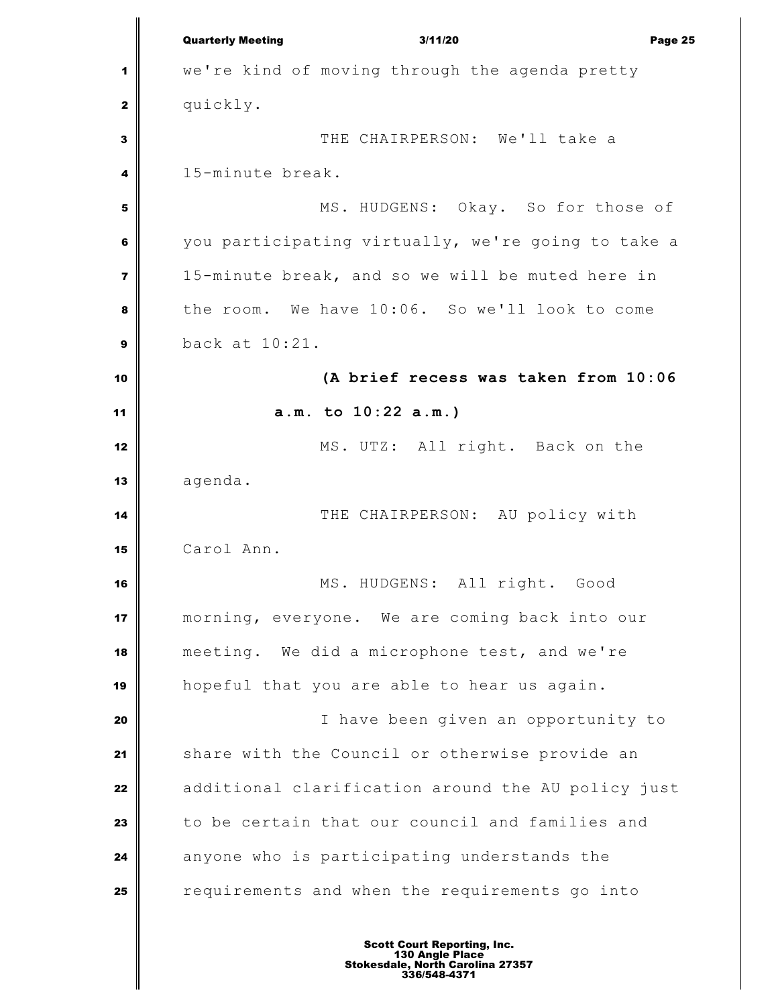|                         | <b>Quarterly Meeting</b><br>3/11/20<br>Page 25     |
|-------------------------|----------------------------------------------------|
| 1                       | we're kind of moving through the agenda pretty     |
| $\mathbf{z}$            | quickly.                                           |
| 3                       | THE CHAIRPERSON: We'll take a                      |
| 4                       | 15-minute break.                                   |
| 5                       | MS. HUDGENS: Okay. So for those of                 |
| 6                       | you participating virtually, we're going to take a |
| $\overline{\mathbf{z}}$ | 15-minute break, and so we will be muted here in   |
| 8                       | the room. We have 10:06. So we'll look to come     |
| 9                       | back at 10:21.                                     |
| 10                      | (A brief recess was taken from 10:06               |
| 11                      | a.m. to 10:22 a.m.)                                |
| 12                      | MS. UTZ: All right. Back on the                    |
| 13                      | agenda.                                            |
| 14                      | THE CHAIRPERSON: AU policy with                    |
| 15                      | Carol Ann.                                         |
| 16                      | MS.<br>HUDGENS: All right.<br>Good                 |
| 17                      | morning, everyone. We are coming back into our     |
| 18                      | meeting. We did a microphone test, and we're       |
| 19                      | hopeful that you are able to hear us again.        |
| 20                      | I have been given an opportunity to                |
| 21                      | share with the Council or otherwise provide an     |
| 22                      | additional clarification around the AU policy just |
| 23                      | to be certain that our council and families and    |
| 24                      | anyone who is participating understands the        |
| 25                      | requirements and when the requirements go into     |
|                         |                                                    |
|                         | <b>Scott Court Reporting, Inc.</b>                 |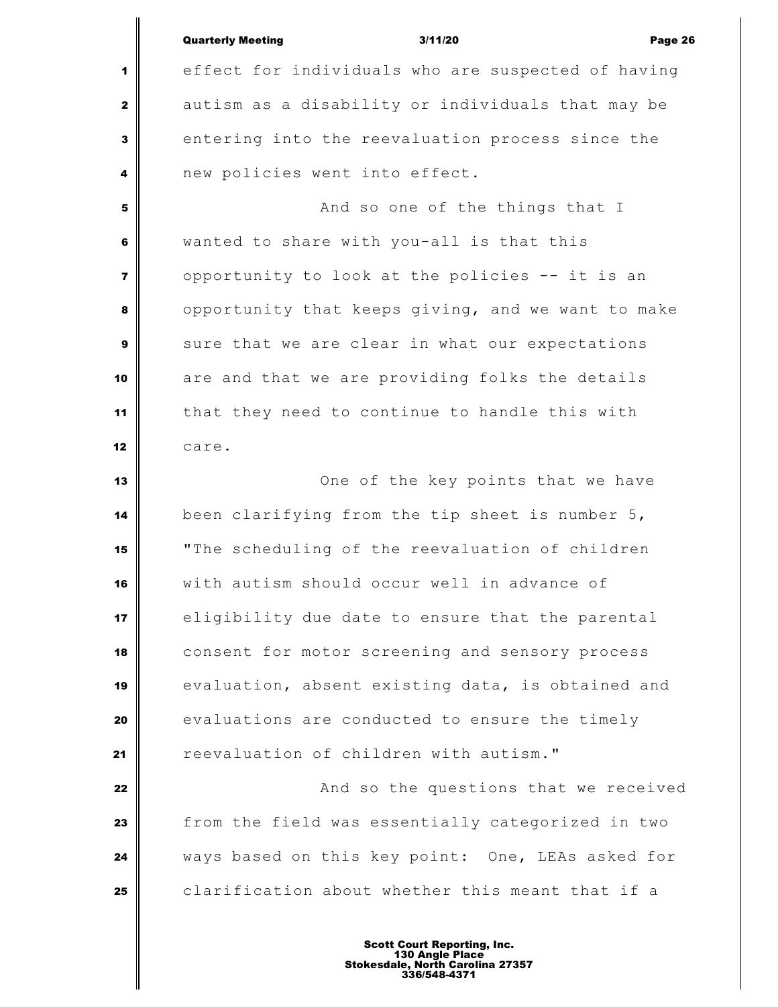|                | <b>Quarterly Meeting</b><br>3/11/20<br>Page 26     |
|----------------|----------------------------------------------------|
| 1              | effect for individuals who are suspected of having |
| $\mathbf{2}$   | autism as a disability or individuals that may be  |
| 3              | entering into the reevaluation process since the   |
| 4              | new policies went into effect.                     |
| 5              | And so one of the things that I                    |
| 6              | wanted to share with you-all is that this          |
| $\overline{7}$ | opportunity to look at the policies -- it is an    |
| 8              | opportunity that keeps giving, and we want to make |
| 9              | sure that we are clear in what our expectations    |
| 10             | are and that we are providing folks the details    |
| 11             | that they need to continue to handle this with     |
| 12             | care.                                              |
| 13             | One of the key points that we have                 |
| 14             | been clarifying from the tip sheet is number 5,    |
| 15             | "The scheduling of the reevaluation of children    |
| 16             | with autism should occur well in advance of        |
| 17             | eligibility due date to ensure that the parental   |
| 18             | consent for motor screening and sensory process    |
| 19             | evaluation, absent existing data, is obtained and  |
| 20             | evaluations are conducted to ensure the timely     |
| 21             | reevaluation of children with autism."             |
| 22             | And so the questions that we received              |
| 23             | from the field was essentially categorized in two  |
| 24             | ways based on this key point: One, LEAs asked for  |
| 25             | clarification about whether this meant that if a   |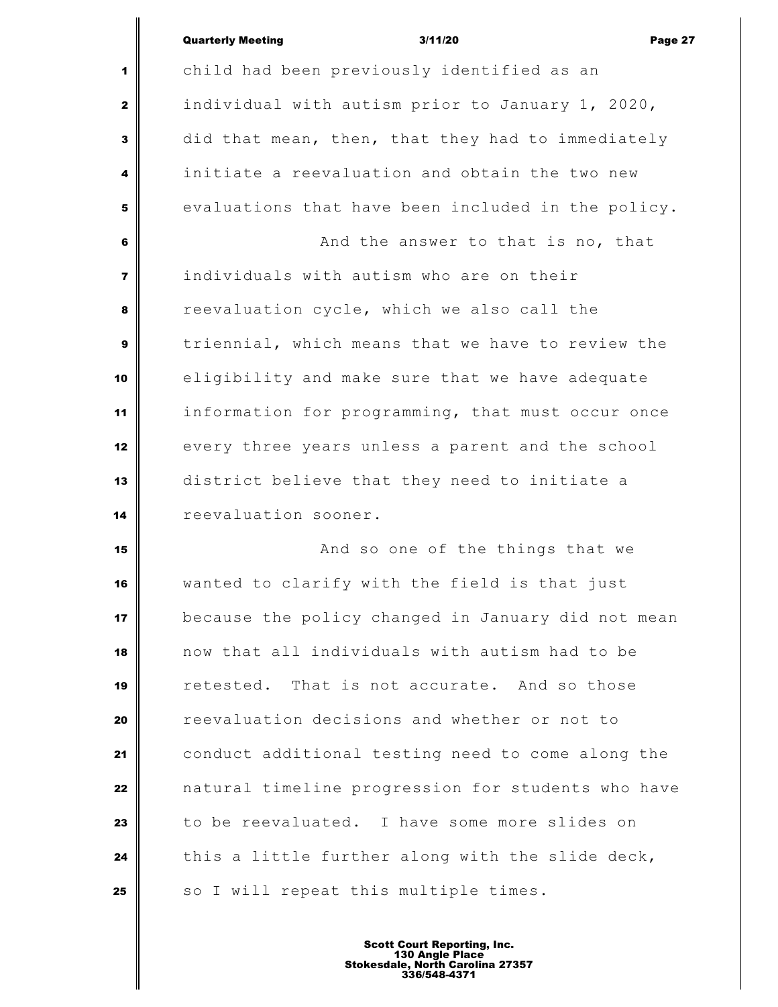### Quarterly Meeting 3/11/20 Page 27

 child had been previously identified as an individual with autism prior to January 1, 2020, did that mean, then, that they had to immediately initiate a reevaluation and obtain the two new evaluations that have been included in the policy. **And the answer to that is no, that**  individuals with autism who are on their reevaluation cycle, which we also call the triennial, which means that we have to review the eligibility and make sure that we have adequate information for programming, that must occur once every three years unless a parent and the school district believe that they need to initiate a reevaluation sooner. **And so one of the things that we**  wanted to clarify with the field is that just because the policy changed in January did not mean now that all individuals with autism had to be retested. That is not accurate. And so those reevaluation decisions and whether or not to conduct additional testing need to come along the natural timeline progression for students who have to be reevaluated. I have some more slides on this a little further along with the slide deck,

So I will repeat this multiple times.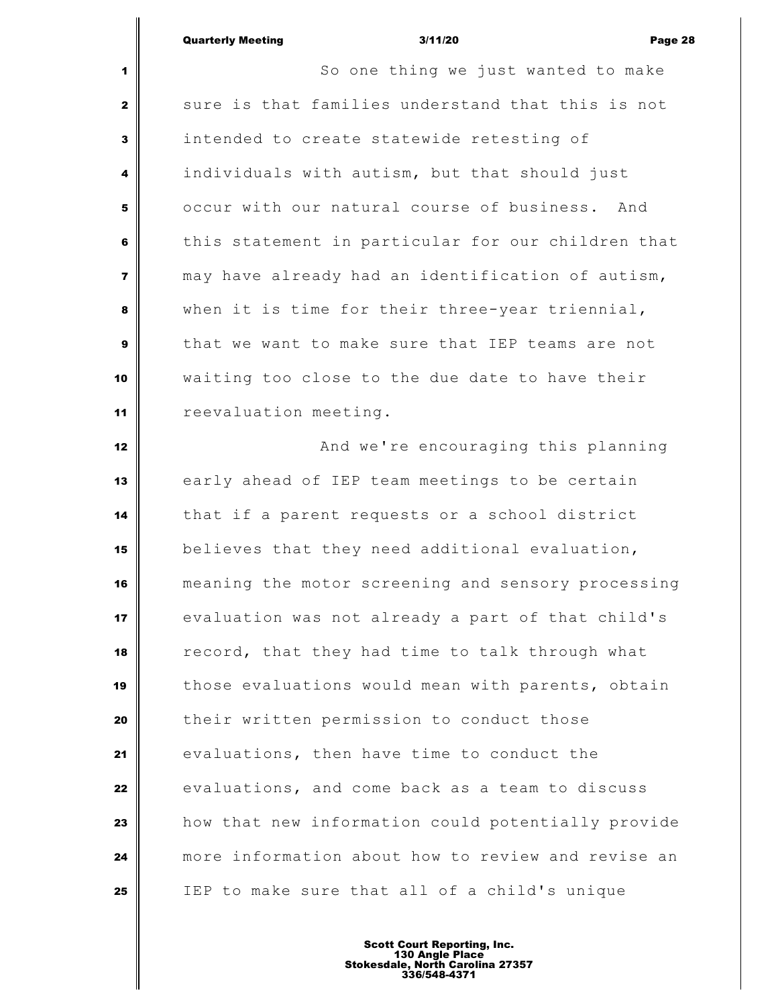## Quarterly Meeting 3/11/20 Page 28

 So one thing we just wanted to make sure is that families understand that this is not intended to create statewide retesting of individuals with autism, but that should just occur with our natural course of business. And this statement in particular for our children that may have already had an identification of autism, when it is time for their three-year triennial, that we want to make sure that IEP teams are not waiting too close to the due date to have their reevaluation meeting. And we're encouraging this planning early ahead of IEP team meetings to be certain that if a parent requests or a school district believes that they need additional evaluation, meaning the motor screening and sensory processing evaluation was not already a part of that child's record, that they had time to talk through what those evaluations would mean with parents, obtain their written permission to conduct those evaluations, then have time to conduct the evaluations, and come back as a team to discuss how that new information could potentially provide more information about how to review and revise an IEP to make sure that all of a child's unique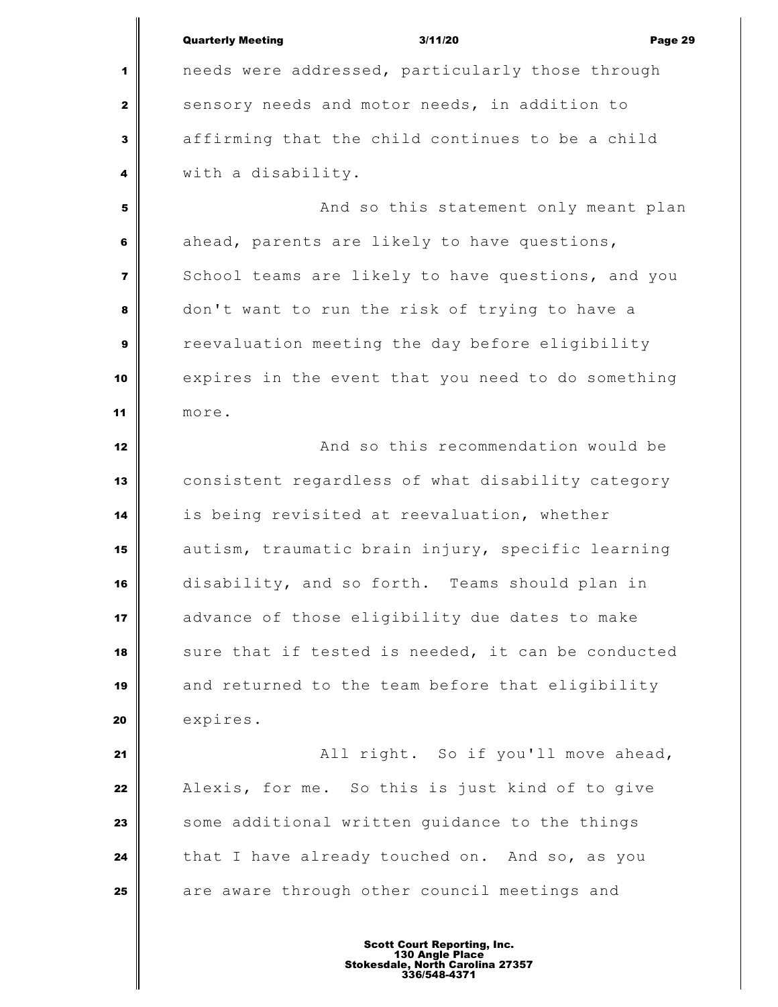Quarterly Meeting 3/11/20 Page 29 needs were addressed, particularly those through sensory needs and motor needs, in addition to affirming that the child continues to be a child with a disability. And so this statement only meant plan ahead, parents are likely to have questions, School teams are likely to have questions, and you don't want to run the risk of trying to have a reevaluation meeting the day before eligibility expires in the event that you need to do something more. **And so this recommendation would be**  consistent regardless of what disability category is being revisited at reevaluation, whether autism, traumatic brain injury, specific learning disability, and so forth. Teams should plan in advance of those eligibility due dates to make sure that if tested is needed, it can be conducted and returned to the team before that eligibility 20 expires. **All right.** So if you'll move ahead, Alexis, for me. So this is just kind of to give some additional written quidance to the things that I have already touched on. And so, as you are aware through other council meetings and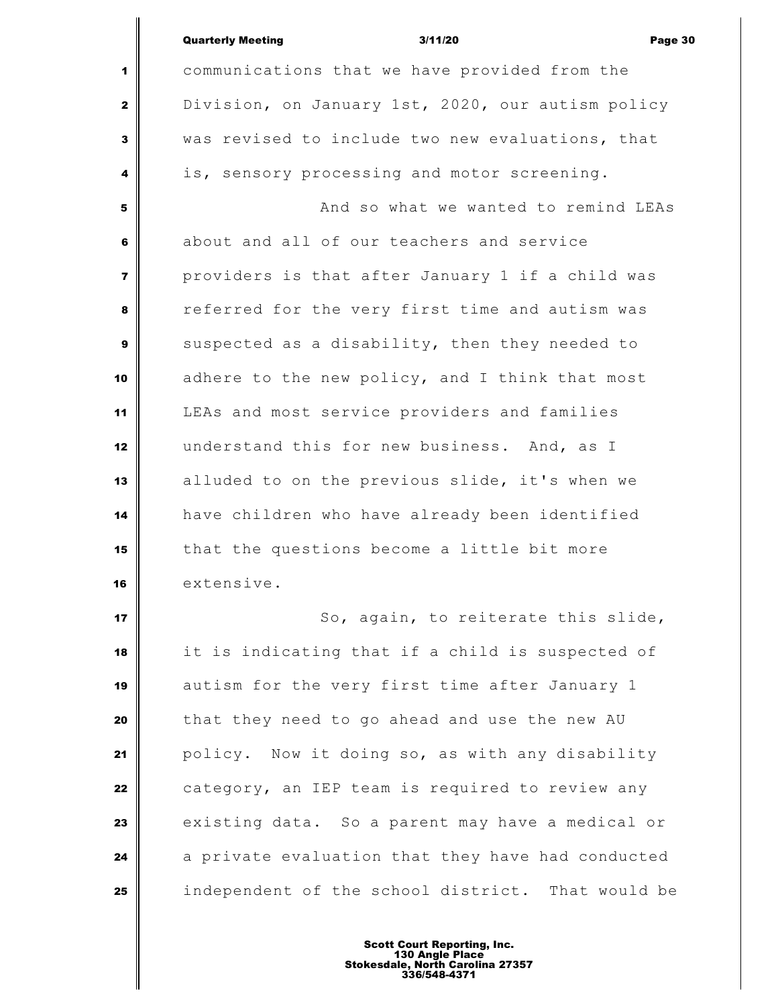|                         | <b>Quarterly Meeting</b>                      | 3/11/20                                           | Page 30 |
|-------------------------|-----------------------------------------------|---------------------------------------------------|---------|
| 1                       | communications that we have provided from the |                                                   |         |
| 2                       |                                               | Division, on January 1st, 2020, our autism policy |         |
| 3                       |                                               | was revised to include two new evaluations, that  |         |
| 4                       | is, sensory processing and motor screening.   |                                                   |         |
| 5                       |                                               | And so what we wanted to remind LEAs              |         |
| 6                       | about and all of our teachers and service     |                                                   |         |
| $\overline{\mathbf{r}}$ |                                               | providers is that after January 1 if a child was  |         |
| 8                       |                                               | referred for the very first time and autism was   |         |
| 9                       |                                               | suspected as a disability, then they needed to    |         |
| 10                      |                                               | adhere to the new policy, and I think that most   |         |
| 11                      | LEAs and most service providers and families  |                                                   |         |
| 12                      | understand this for new business. And, as I   |                                                   |         |
| 13                      |                                               | alluded to on the previous slide, it's when we    |         |
| 14                      |                                               | have children who have already been identified    |         |
| 15                      | that the questions become a little bit more   |                                                   |         |
| 16                      | extensive.                                    |                                                   |         |
| 17                      |                                               | So, again, to reiterate this slide,               |         |

 it is indicating that if a child is suspected of autism for the very first time after January 1 that they need to go ahead and use the new AU policy. Now it doing so, as with any disability category, an IEP team is required to review any existing data. So a parent may have a medical or a private evaluation that they have had conducted independent of the school district. That would be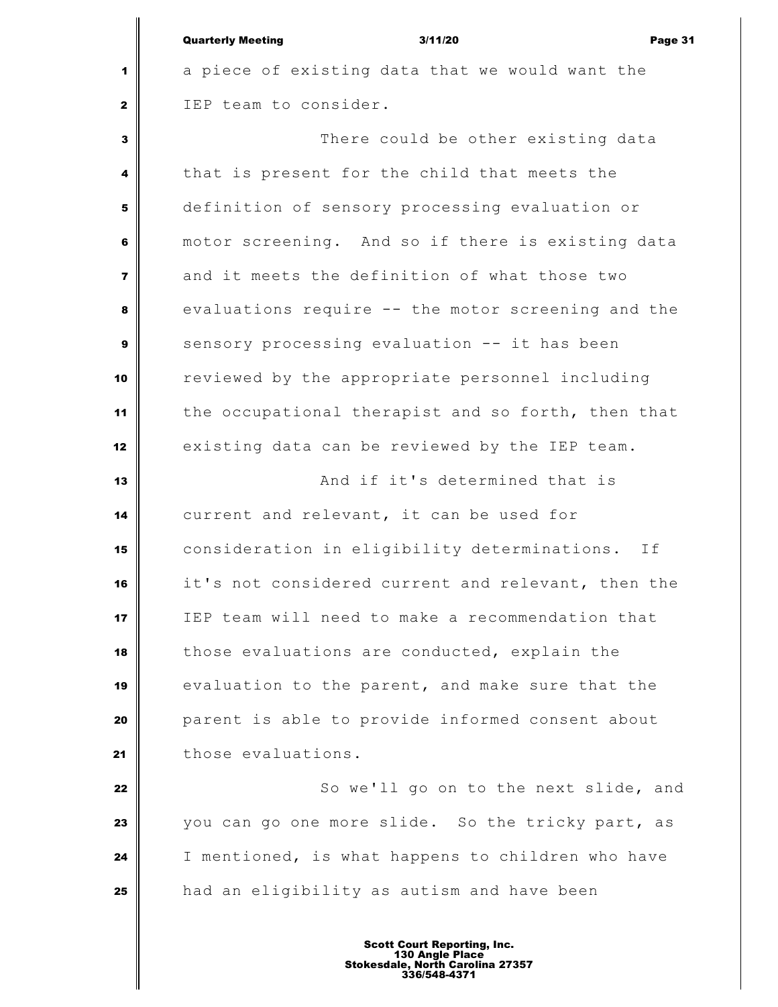|                | <b>Quarterly Meeting</b><br>3/11/20<br>Page 31     |
|----------------|----------------------------------------------------|
| 1              | a piece of existing data that we would want the    |
| $\mathbf{2}$   | IEP team to consider.                              |
| 3              | There could be other existing data                 |
| 4              | that is present for the child that meets the       |
| 5              | definition of sensory processing evaluation or     |
| 6              | motor screening. And so if there is existing data  |
| $\overline{7}$ | and it meets the definition of what those two      |
| 8              | evaluations require -- the motor screening and the |
| 9              | sensory processing evaluation -- it has been       |
| 10             | reviewed by the appropriate personnel including    |
| 11             | the occupational therapist and so forth, then that |
| 12             | existing data can be reviewed by the IEP team.     |
| 13             | And if it's determined that is                     |
| 14             | current and relevant, it can be used for           |
| 15             | consideration in eligibility determinations.<br>Ιf |
| 16             | it's not considered current and relevant, then the |
| 17             | IEP team will need to make a recommendation that   |
| 18             | those evaluations are conducted, explain the       |
| 19             | evaluation to the parent, and make sure that the   |
| 20             | parent is able to provide informed consent about   |
| 21             | those evaluations.                                 |
| 22             | So we'll go on to the next slide, and              |
| 23             | you can go one more slide. So the tricky part, as  |
| 24             | I mentioned, is what happens to children who have  |
| 25             | had an eligibility as autism and have been         |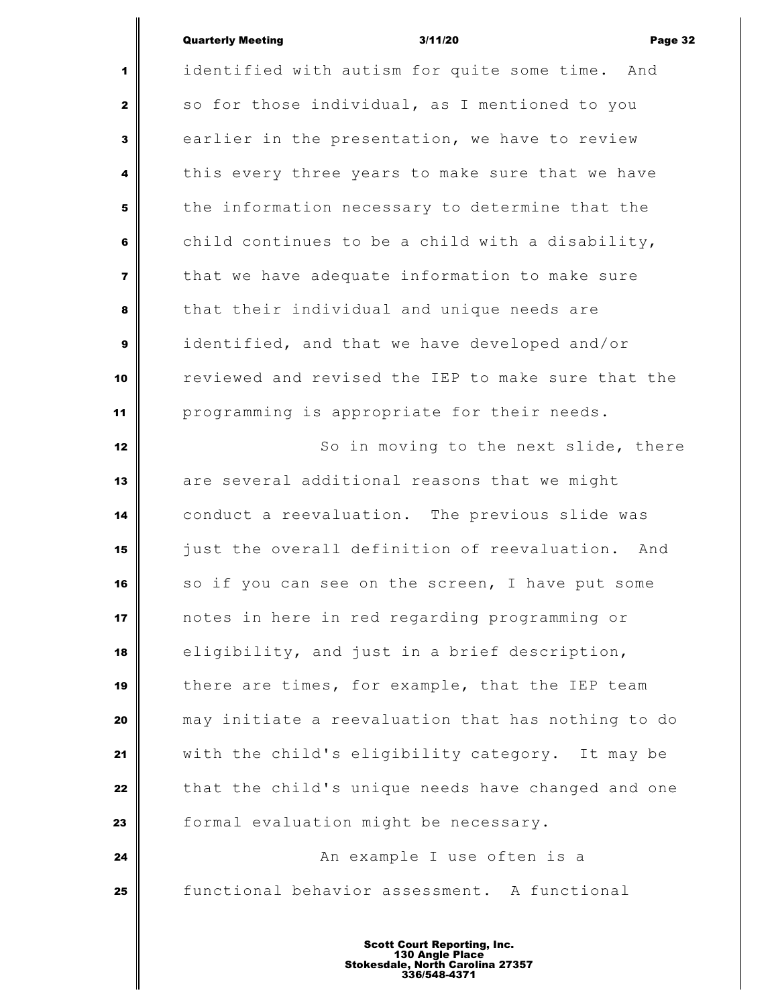# Quarterly Meeting **Contract Contract Contract Contract Contract Contract Contract Contract Contract Contract Contract Contract Contract Contract Contract Contract Contract Contract Contract Contract Contract Contract Contr**

 $\mathsf I$ 

| 1              | identified with autism for quite some time. And     |
|----------------|-----------------------------------------------------|
| $\mathbf{2}$   | so for those individual, as I mentioned to you      |
| 3              | earlier in the presentation, we have to review      |
| 4              | this every three years to make sure that we have    |
| 5              | the information necessary to determine that the     |
| 6              | child continues to be a child with a disability,    |
| $\overline{7}$ | that we have adequate information to make sure      |
| 8              | that their individual and unique needs are          |
| 9              | identified, and that we have developed and/or       |
| 10             | reviewed and revised the IEP to make sure that the  |
| 11             | programming is appropriate for their needs.         |
| 12             | So in moving to the next slide, there               |
| 13             | are several additional reasons that we might        |
| 14             | conduct a reevaluation. The previous slide was      |
| 15             | just the overall definition of reevaluation.<br>And |
| 16             | so if you can see on the screen, I have put some    |
| 17             | notes in here in red regarding programming or       |
| 18             | eligibility, and just in a brief description,       |
| 19             | there are times, for example, that the IEP team     |
| 20             | may initiate a reevaluation that has nothing to do  |
| 21             | with the child's eligibility category. It may be    |
| 22             | that the child's unique needs have changed and one  |
| 23             | formal evaluation might be necessary.               |
| 24             | An example I use often is a                         |
| 25             | functional behavior assessment. A functional        |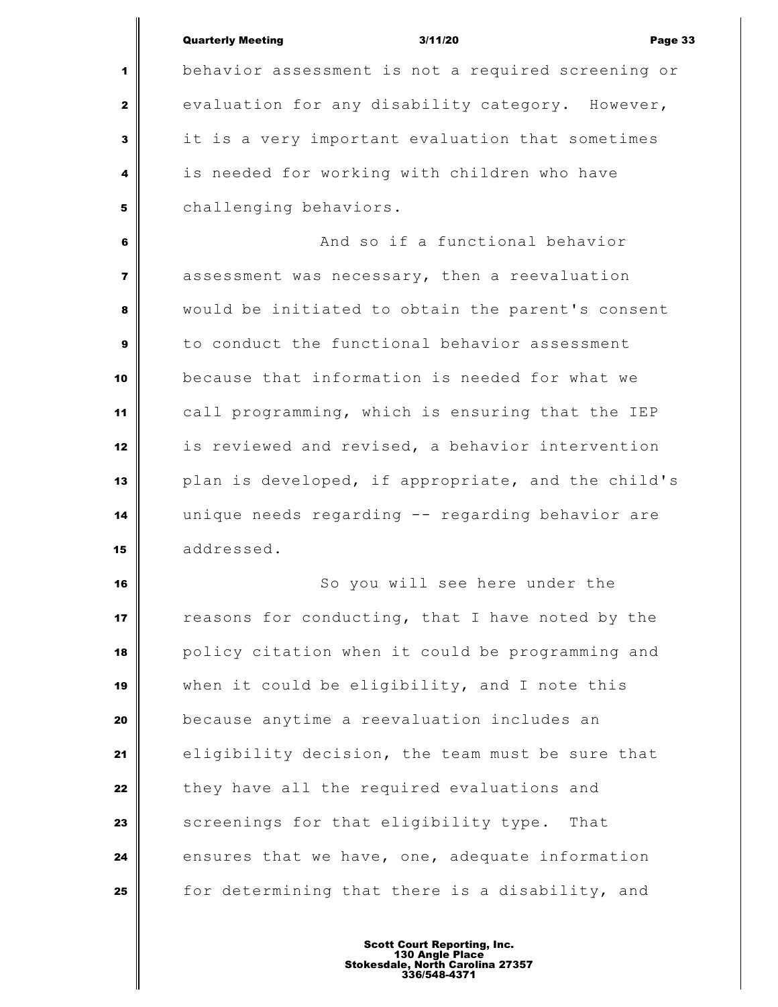Quarterly Meeting 3/11/20 Page 33

 behavior assessment is not a required screening or evaluation for any disability category. However, it is a very important evaluation that sometimes is needed for working with children who have challenging behaviors.

 **6 And so if a functional behavior 6**  assessment was necessary, then a reevaluation would be initiated to obtain the parent's consent to conduct the functional behavior assessment because that information is needed for what we call programming, which is ensuring that the IEP is reviewed and revised, a behavior intervention plan is developed, if appropriate, and the child's unique needs regarding -- regarding behavior are addressed.

 So you will see here under the reasons for conducting, that I have noted by the policy citation when it could be programming and when it could be eligibility, and I note this because anytime a reevaluation includes an eligibility decision, the team must be sure that they have all the required evaluations and Screenings for that eligibility type. That ensures that we have, one, adequate information for determining that there is a disability, and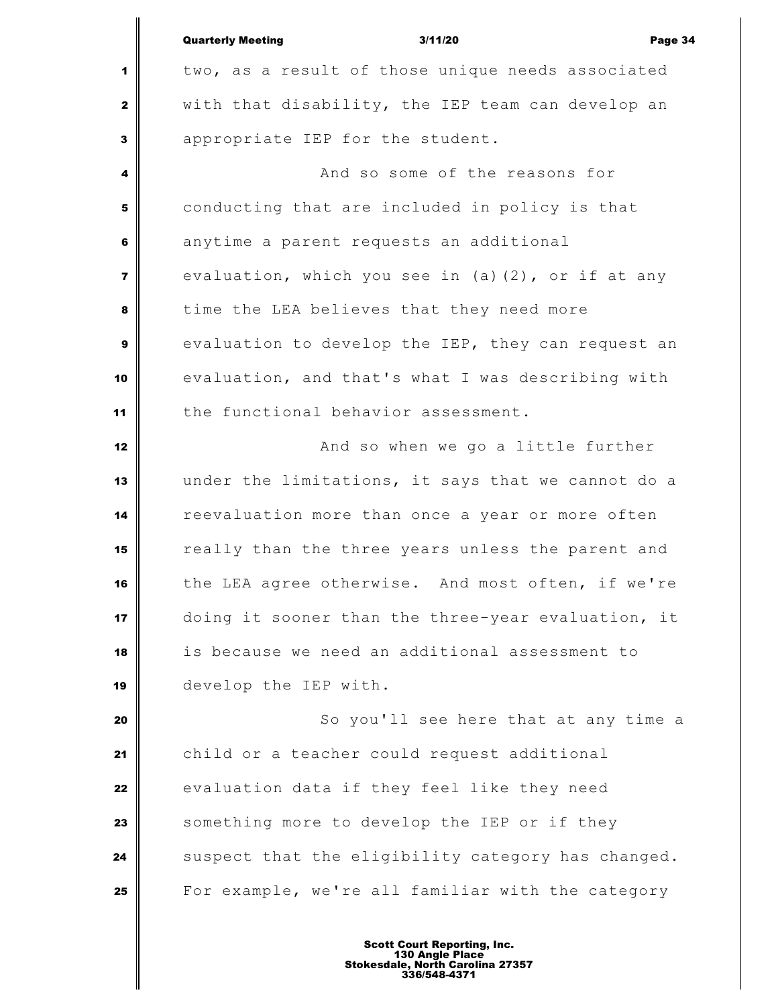|                         | <b>Quarterly Meeting</b><br>3/11/20<br>Page 34     |
|-------------------------|----------------------------------------------------|
| 1                       | two, as a result of those unique needs associated  |
| $\mathbf{2}$            | with that disability, the IEP team can develop an  |
| 3                       | appropriate IEP for the student.                   |
| 4                       | And so some of the reasons for                     |
| 5                       | conducting that are included in policy is that     |
| 6                       | anytime a parent requests an additional            |
| $\overline{\mathbf{z}}$ | evaluation, which you see in (a) (2), or if at any |
| 8                       | time the LEA believes that they need more          |
| 9                       | evaluation to develop the IEP, they can request an |
| 10                      | evaluation, and that's what I was describing with  |
| 11                      | the functional behavior assessment.                |
| 12                      | And so when we go a little further                 |
| 13                      | under the limitations, it says that we cannot do a |
| 14                      | reevaluation more than once a year or more often   |
| 15                      | really than the three years unless the parent and  |
| 16                      | the LEA agree otherwise. And most often, if we're  |
| 17                      | doing it sooner than the three-year evaluation, it |
| 18                      | is because we need an additional assessment to     |
| 19                      | develop the IEP with.                              |
| 20                      | So you'll see here that at any time a              |
| 21                      | child or a teacher could request additional        |
| 22                      | evaluation data if they feel like they need        |
| 23                      | something more to develop the IEP or if they       |
| 24                      | suspect that the eligibility category has changed. |
| 25                      | For example, we're all familiar with the category  |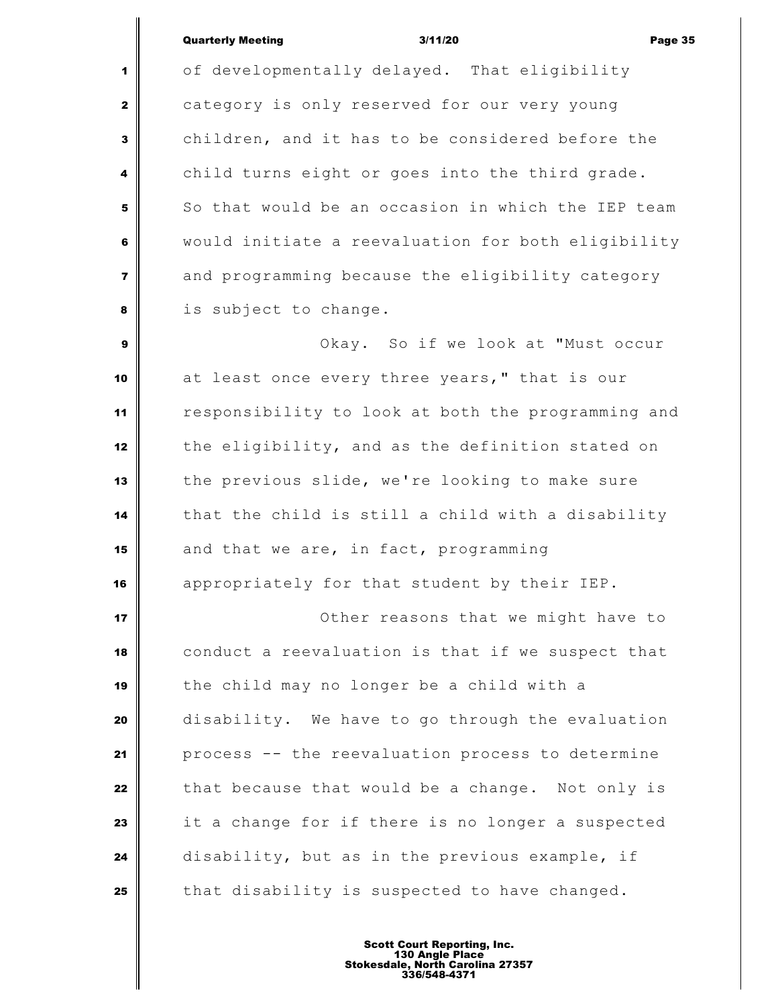Quarterly Meeting 3/11/20 Page 35

 of developmentally delayed. That eligibility category is only reserved for our very young children, and it has to be considered before the child turns eight or goes into the third grade. So that would be an occasion in which the IEP team would initiate a reevaluation for both eligibility and programming because the eligibility category is subject to change.

 Okay. So if we look at "Must occur at least once every three years," that is our responsibility to look at both the programming and the eligibility, and as the definition stated on the previous slide, we're looking to make sure that the child is still a child with a disability and that we are, in fact, programming appropriately for that student by their IEP.

 **I** Other reasons that we might have to conduct a reevaluation is that if we suspect that the child may no longer be a child with a disability. We have to go through the evaluation process -- the reevaluation process to determine that because that would be a change. Not only is it a change for if there is no longer a suspected disability, but as in the previous example, if that disability is suspected to have changed.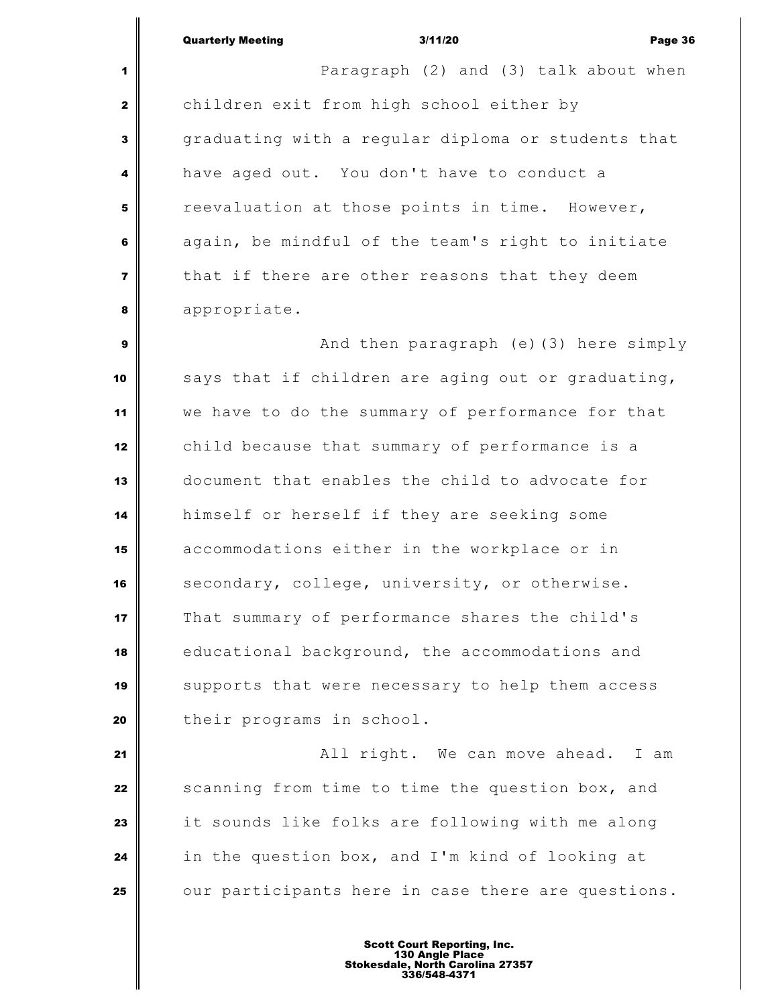Paragraph (2) and (3) talk about when children exit from high school either by graduating with a regular diploma or students that have aged out. You don't have to conduct a reevaluation at those points in time. However, again, be mindful of the team's right to initiate that if there are other reasons that they deem appropriate.

 And then paragraph (e) (3) here simply says that if children are aging out or graduating, we have to do the summary of performance for that child because that summary of performance is a document that enables the child to advocate for himself or herself if they are seeking some accommodations either in the workplace or in secondary, college, university, or otherwise. That summary of performance shares the child's educational background, the accommodations and supports that were necessary to help them access **their** programs in school.

 **All right.** We can move ahead. I am Scanning from time to time the question box, and it sounds like folks are following with me along in the question box, and I'm kind of looking at our participants here in case there are questions.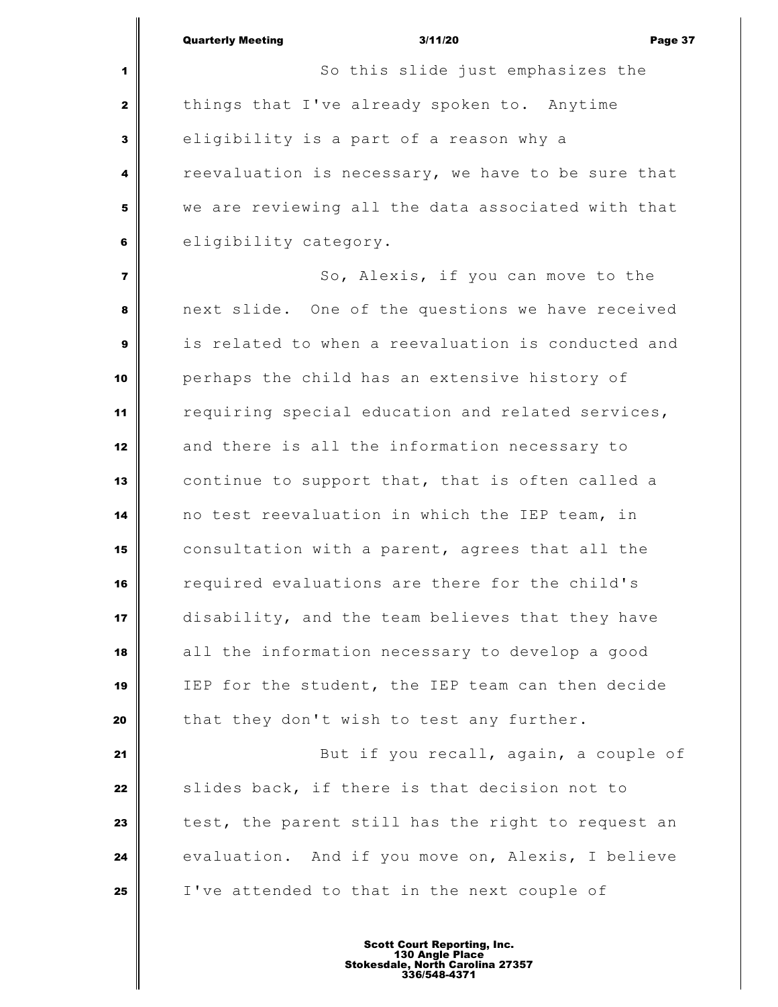Quarterly Meeting 3/11/20 Page 37 So this slide just emphasizes the things that I've already spoken to. Anytime eligibility is a part of a reason why a reevaluation is necessary, we have to be sure that we are reviewing all the data associated with that eligibility category. So, Alexis, if you can move to the next slide. One of the questions we have received is related to when a reevaluation is conducted and perhaps the child has an extensive history of requiring special education and related services, and there is all the information necessary to continue to support that, that is often called a no test reevaluation in which the IEP team, in consultation with a parent, agrees that all the required evaluations are there for the child's disability, and the team believes that they have all the information necessary to develop a good IEP for the student, the IEP team can then decide that they don't wish to test any further. But if you recall, again, a couple of Slides back, if there is that decision not to test, the parent still has the right to request an evaluation. And if you move on, Alexis, I believe I've attended to that in the next couple of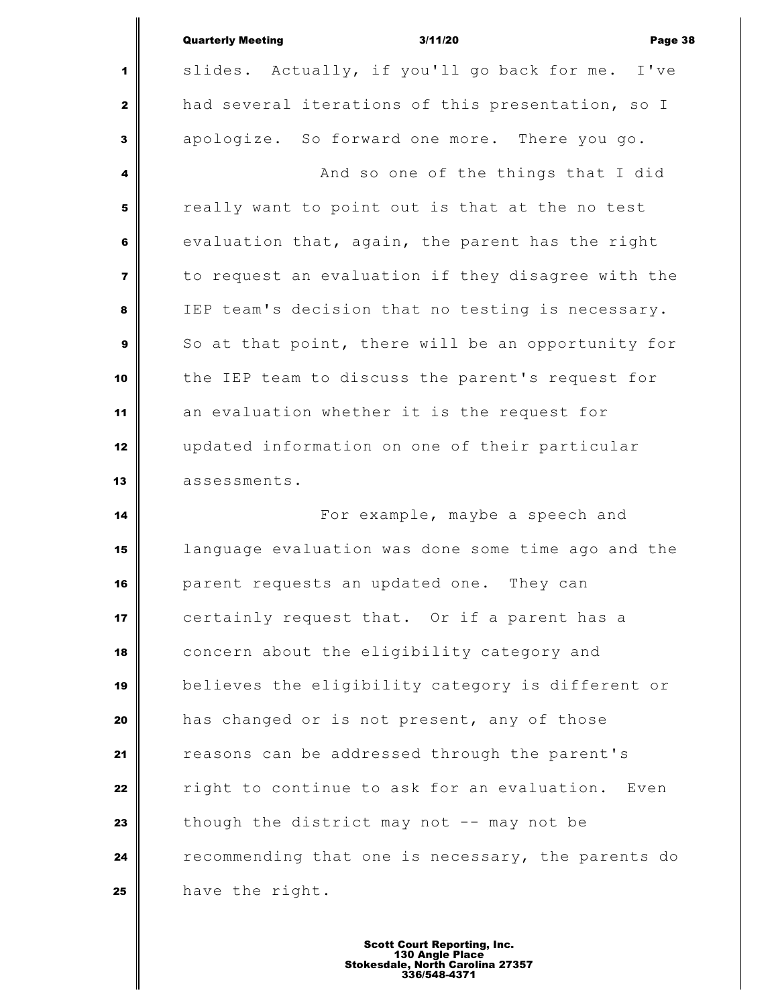|                         | <b>Quarterly Meeting</b><br>3/11/20<br>Page 38      |  |  |
|-------------------------|-----------------------------------------------------|--|--|
| 1                       | slides. Actually, if you'll go back for me. I've    |  |  |
| $\mathbf{z}$            | had several iterations of this presentation, so I   |  |  |
| 3                       | apologize. So forward one more. There you go.       |  |  |
| 4                       | And so one of the things that I did                 |  |  |
| 5                       | really want to point out is that at the no test     |  |  |
| 6                       | evaluation that, again, the parent has the right    |  |  |
| $\overline{\mathbf{z}}$ | to request an evaluation if they disagree with the  |  |  |
| 8                       | IEP team's decision that no testing is necessary.   |  |  |
| 9                       | So at that point, there will be an opportunity for  |  |  |
| 10                      | the IEP team to discuss the parent's request for    |  |  |
| 11                      | an evaluation whether it is the request for         |  |  |
| 12                      | updated information on one of their particular      |  |  |
| 13                      | assessments.                                        |  |  |
| 14                      | For example, maybe a speech and                     |  |  |
| 15                      | language evaluation was done some time ago and the  |  |  |
| 16                      | parent requests an updated one. They can            |  |  |
| 17                      | certainly request that. Or if a parent has a        |  |  |
| 18                      | concern about the eligibility category and          |  |  |
| 19                      | believes the eligibility category is different or   |  |  |
| 20                      | has changed or is not present, any of those         |  |  |
| 21                      | reasons can be addressed through the parent's       |  |  |
| 22                      | right to continue to ask for an evaluation.<br>Even |  |  |
| 23                      | though the district may not -- may not be           |  |  |
| 24                      | recommending that one is necessary, the parents do  |  |  |
| 25                      | have the right.                                     |  |  |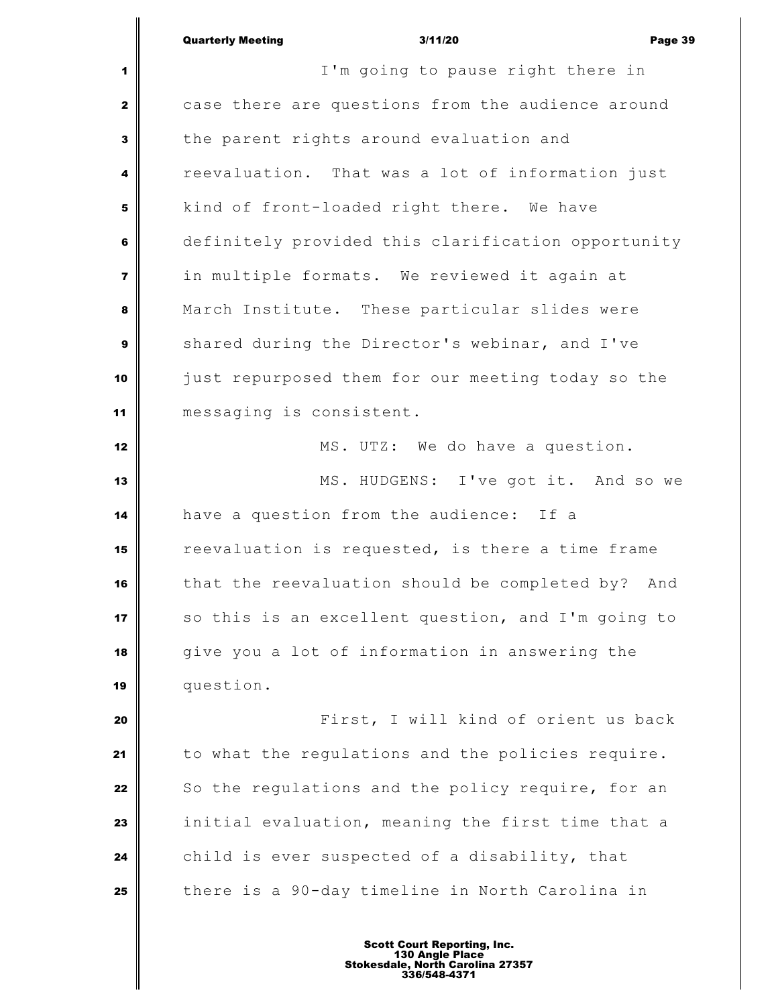|                         | <b>Quarterly Meeting</b><br>3/11/20<br>Page 39     |  |  |
|-------------------------|----------------------------------------------------|--|--|
| 1                       | I'm going to pause right there in                  |  |  |
| $\mathbf{2}$            | case there are questions from the audience around  |  |  |
| 3                       | the parent rights around evaluation and            |  |  |
| 4                       | reevaluation. That was a lot of information just   |  |  |
| 5                       | kind of front-loaded right there. We have          |  |  |
| 6                       | definitely provided this clarification opportunity |  |  |
| $\overline{\mathbf{z}}$ | in multiple formats. We reviewed it again at       |  |  |
| 8                       | March Institute. These particular slides were      |  |  |
| 9                       | shared during the Director's webinar, and I've     |  |  |
| 10                      | just repurposed them for our meeting today so the  |  |  |
| 11                      | messaging is consistent.                           |  |  |
| 12                      | MS. UTZ: We do have a question.                    |  |  |
| 13                      | MS. HUDGENS: I've got it. And so we                |  |  |
| 14                      | have a question from the audience: If a            |  |  |
| 15                      | reevaluation is requested, is there a time frame   |  |  |
| 16                      | that the reevaluation should be completed by? And  |  |  |
| 17                      | so this is an excellent question, and I'm going to |  |  |
| 18                      | give you a lot of information in answering the     |  |  |
| 19                      | question.                                          |  |  |
| 20                      | First, I will kind of orient us back               |  |  |
| 21                      | to what the regulations and the policies require.  |  |  |
| 22                      | So the regulations and the policy require, for an  |  |  |
| 23                      | initial evaluation, meaning the first time that a  |  |  |
| 24                      | child is ever suspected of a disability, that      |  |  |
| 25                      | there is a 90-day timeline in North Carolina in    |  |  |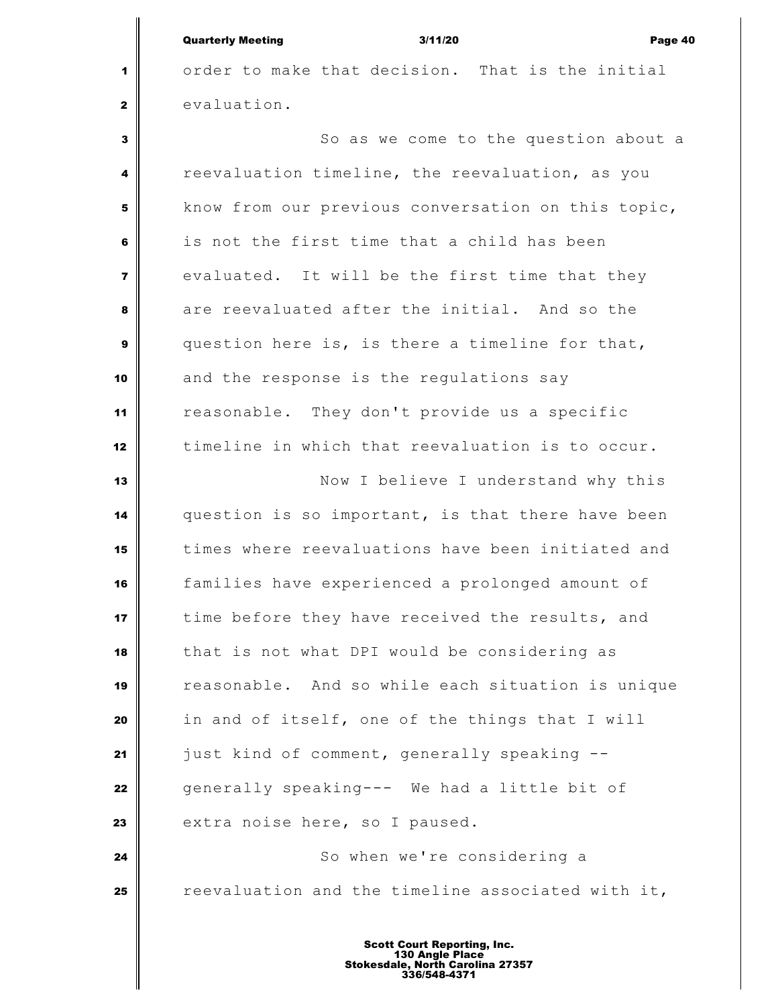Quarterly Meeting 3/11/20 Page 40

 order to make that decision. That is the initial evaluation.

 So as we come to the question about a reevaluation timeline, the reevaluation, as you know from our previous conversation on this topic, is not the first time that a child has been evaluated. It will be the first time that they are reevaluated after the initial. And so the question here is, is there a timeline for that, and the response is the regulations say reasonable. They don't provide us a specific timeline in which that reevaluation is to occur. Now I believe I understand why this question is so important, is that there have been times where reevaluations have been initiated and families have experienced a prolonged amount of time before they have received the results, and that is not what DPI would be considering as reasonable. And so while each situation is unique in and of itself, one of the things that I will just kind of comment, generally speaking -- generally speaking--- We had a little bit of extra noise here, so I paused. So when we're considering a reevaluation and the timeline associated with it,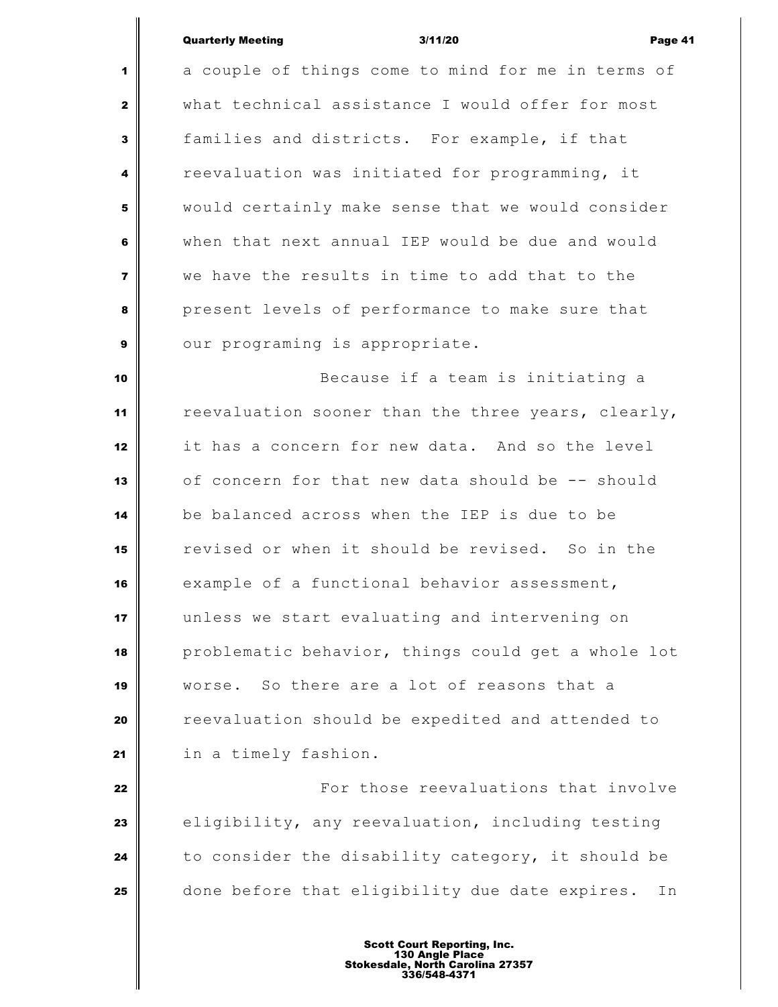Quarterly Meeting 3/11/20 Page 41

 a couple of things come to mind for me in terms of what technical assistance I would offer for most families and districts. For example, if that reevaluation was initiated for programming, it would certainly make sense that we would consider when that next annual IEP would be due and would we have the results in time to add that to the present levels of performance to make sure that our programing is appropriate. Because if a team is initiating a

 reevaluation sooner than the three years, clearly, it has a concern for new data. And so the level of concern for that new data should be -- should be balanced across when the IEP is due to be revised or when it should be revised. So in the example of a functional behavior assessment, unless we start evaluating and intervening on problematic behavior, things could get a whole lot worse. So there are a lot of reasons that a reevaluation should be expedited and attended to in a timely fashion.

 **For those reevaluations that involve**  eligibility, any reevaluation, including testing to consider the disability category, it should be done before that eligibility due date expires. In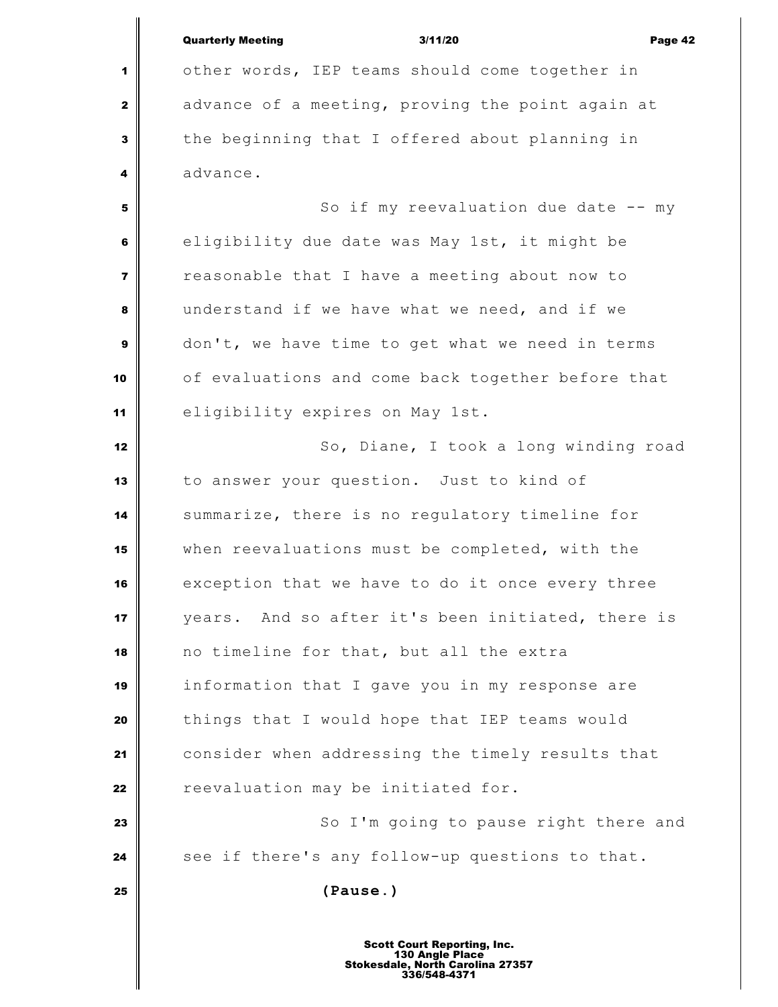|                         | <b>Quarterly Meeting</b><br>3/11/20<br>Page 42    |  |  |
|-------------------------|---------------------------------------------------|--|--|
| 1                       | other words, IEP teams should come together in    |  |  |
| $\mathbf{2}$            | advance of a meeting, proving the point again at  |  |  |
| 3                       | the beginning that I offered about planning in    |  |  |
| 4                       | advance.                                          |  |  |
| 5                       | So if my reevaluation due date $--$ my            |  |  |
| 6                       | eligibility due date was May 1st, it might be     |  |  |
| $\overline{\mathbf{z}}$ | reasonable that I have a meeting about now to     |  |  |
| 8                       | understand if we have what we need, and if we     |  |  |
| 9                       | don't, we have time to get what we need in terms  |  |  |
| 10                      | of evaluations and come back together before that |  |  |
| 11                      | eligibility expires on May 1st.                   |  |  |
| 12                      | So, Diane, I took a long winding road             |  |  |
| 13                      | to answer your question. Just to kind of          |  |  |
| 14                      | summarize, there is no regulatory timeline for    |  |  |
| 15                      | when reevaluations must be completed, with the    |  |  |
| 16                      | exception that we have to do it once every three  |  |  |
| 17                      | years. And so after it's been initiated, there is |  |  |
| 18                      | no timeline for that, but all the extra           |  |  |
| 19                      | information that I gave you in my response are    |  |  |
| 20                      | things that I would hope that IEP teams would     |  |  |
| 21                      | consider when addressing the timely results that  |  |  |
| 22                      | reevaluation may be initiated for.                |  |  |
| 23                      | So I'm going to pause right there and             |  |  |
| 24                      | see if there's any follow-up questions to that.   |  |  |
| 25                      | (Pause.)                                          |  |  |
|                         |                                                   |  |  |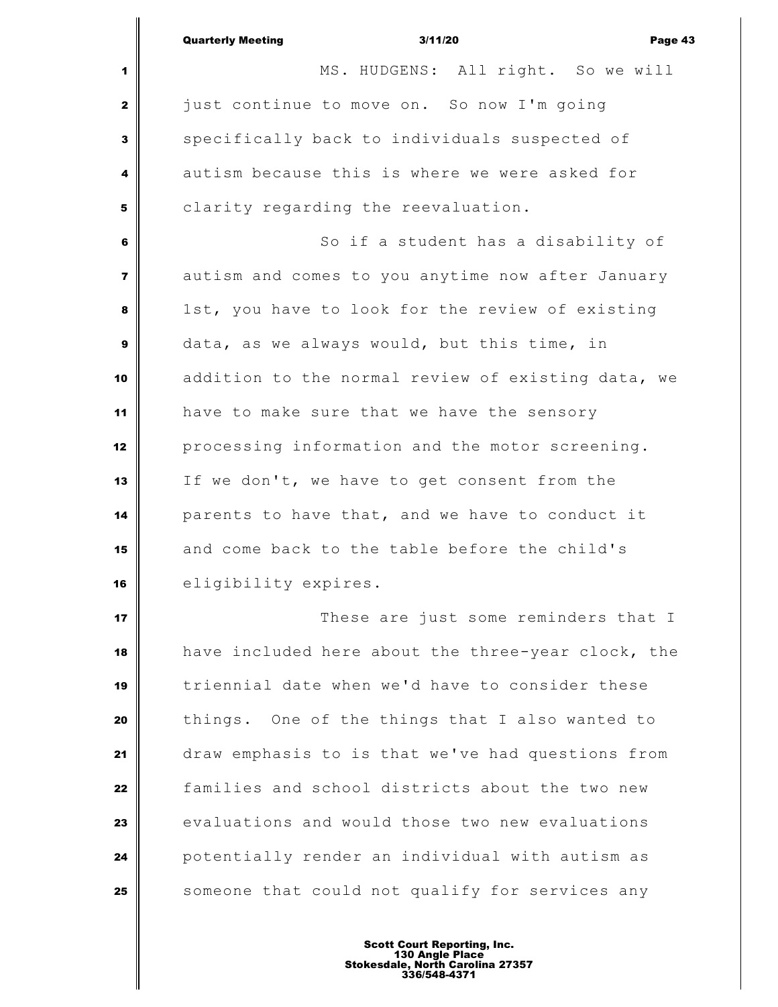|                         | <b>Quarterly Meeting</b><br>3/11/20<br>Page 43     |
|-------------------------|----------------------------------------------------|
| 1                       | MS. HUDGENS: All right. So we will                 |
| $\mathbf{2}$            | just continue to move on. So now I'm going         |
| $\mathbf{3}$            | specifically back to individuals suspected of      |
| 4                       | autism because this is where we were asked for     |
| 5                       | clarity regarding the reevaluation.                |
| 6                       | So if a student has a disability of                |
| $\overline{\mathbf{z}}$ | autism and comes to you anytime now after January  |
| 8                       | 1st, you have to look for the review of existing   |
| $\boldsymbol{9}$        | data, as we always would, but this time, in        |
| 10                      | addition to the normal review of existing data, we |
| 11                      | have to make sure that we have the sensory         |
| 12                      | processing information and the motor screening.    |
| 13                      | If we don't, we have to get consent from the       |
| 14                      | parents to have that, and we have to conduct it    |
| 15                      | and come back to the table before the child's      |
| 16                      | eligibility expires.                               |
| 17                      | These are just some reminders that I               |
| 18                      | have included here about the three-year clock, the |
| 19                      | triennial date when we'd have to consider these    |
| 20                      | things. One of the things that I also wanted to    |
| 21                      | draw emphasis to is that we've had questions from  |
| 22                      | families and school districts about the two new    |
| 23                      | evaluations and would those two new evaluations    |
| 24                      | potentially render an individual with autism as    |
| 25                      | someone that could not qualify for services any    |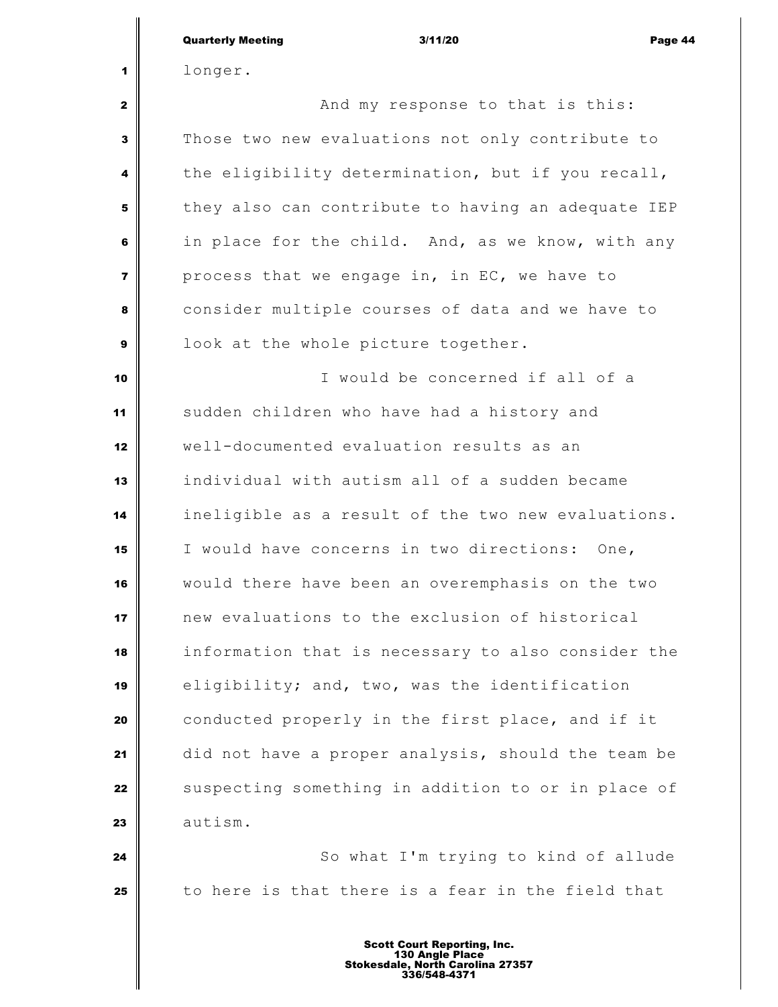|                         | <b>Quarterly Meeting</b><br>3/11/20<br>Page 44     |
|-------------------------|----------------------------------------------------|
| 1                       | longer.                                            |
| $\mathbf{2}$            | And my response to that is this:                   |
| 3                       | Those two new evaluations not only contribute to   |
| 4                       | the eligibility determination, but if you recall,  |
| 5                       | they also can contribute to having an adequate IEP |
| 6                       | in place for the child. And, as we know, with any  |
| $\overline{\mathbf{z}}$ | process that we engage in, in EC, we have to       |
| 8                       | consider multiple courses of data and we have to   |
| 9                       | look at the whole picture together.                |
| 10                      | I would be concerned if all of a                   |
| 11                      | sudden children who have had a history and         |
| 12                      | well-documented evaluation results as an           |
| 13                      | individual with autism all of a sudden became      |
| 14                      | ineligible as a result of the two new evaluations. |
| 15                      | I would have concerns in two directions:<br>One,   |
| 16                      | would there have been an overemphasis on the two   |
| 17                      | new evaluations to the exclusion of historical     |
| 18                      | information that is necessary to also consider the |
| 19                      | eligibility; and, two, was the identification      |
| 20                      | conducted properly in the first place, and if it   |
| 21                      | did not have a proper analysis, should the team be |
| 22                      | suspecting something in addition to or in place of |
| 23                      | autism.                                            |
| 24                      | So what I'm trying to kind of allude               |
| 25                      | to here is that there is a fear in the field that  |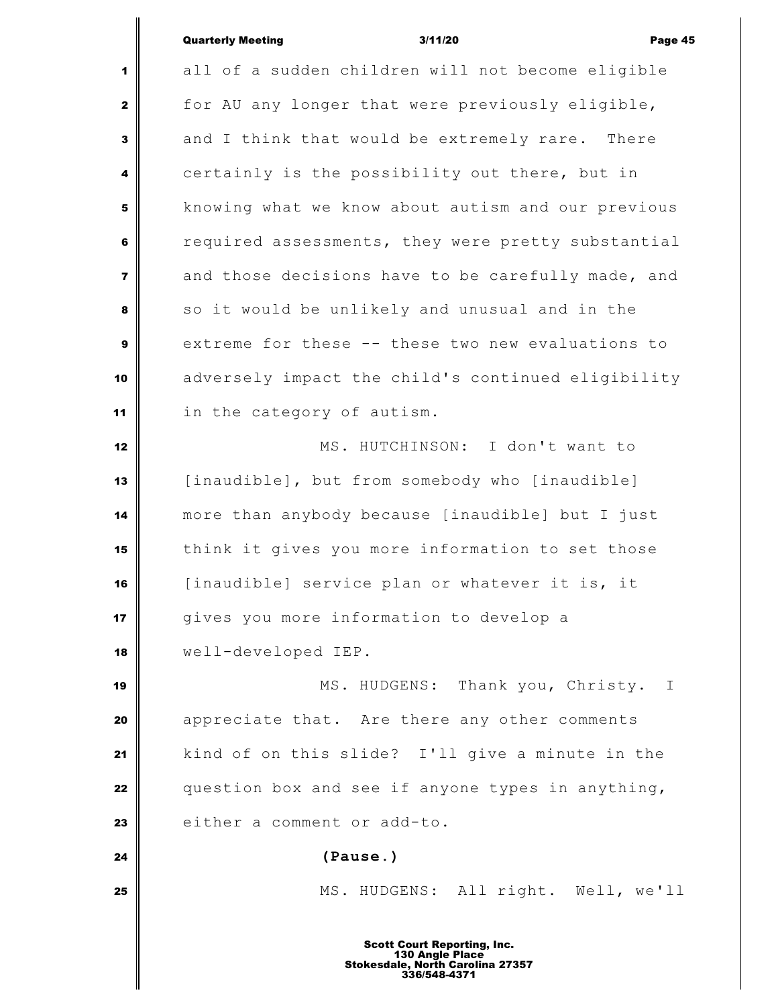| <b>Quarterly Meeting</b> | 3/11/20 | Page 45 |
|--------------------------|---------|---------|
|                          |         |         |

|                         | <b>Quarterly Meeting</b><br>3/11/20<br>Page 4!     |  |  |  |
|-------------------------|----------------------------------------------------|--|--|--|
| 1                       | all of a sudden children will not become eligible  |  |  |  |
| $\mathbf 2$             | for AU any longer that were previously eligible,   |  |  |  |
| $\mathbf{3}$            | and I think that would be extremely rare. There    |  |  |  |
| 4                       | certainly is the possibility out there, but in     |  |  |  |
| 5                       | knowing what we know about autism and our previous |  |  |  |
| 6                       | required assessments, they were pretty substantial |  |  |  |
| $\overline{\mathbf{z}}$ | and those decisions have to be carefully made, and |  |  |  |
| 8                       | so it would be unlikely and unusual and in the     |  |  |  |
| 9                       | extreme for these -- these two new evaluations to  |  |  |  |
| 10                      | adversely impact the child's continued eligibility |  |  |  |
| 11                      | in the category of autism.                         |  |  |  |
| 12                      | MS. HUTCHINSON: I don't want to                    |  |  |  |
| 13                      | [inaudible], but from somebody who [inaudible]     |  |  |  |
| 14                      | more than anybody because [inaudible] but I just   |  |  |  |
| 15                      | think it gives you more information to set those   |  |  |  |
| 16                      | [inaudible] service plan or whatever it is, it     |  |  |  |
| 17                      | gives you more information to develop a            |  |  |  |
| 18                      | well-developed IEP.                                |  |  |  |
| 19                      | MS. HUDGENS: Thank you, Christy. I                 |  |  |  |
| 20                      | appreciate that. Are there any other comments      |  |  |  |
| 21                      | kind of on this slide? I'll give a minute in the   |  |  |  |
| 22                      | question box and see if anyone types in anything,  |  |  |  |
| 23                      | either a comment or add-to.                        |  |  |  |
| 24                      | (Pause.)                                           |  |  |  |
| 25                      | MS. HUDGENS: All right. Well, we'll                |  |  |  |
|                         |                                                    |  |  |  |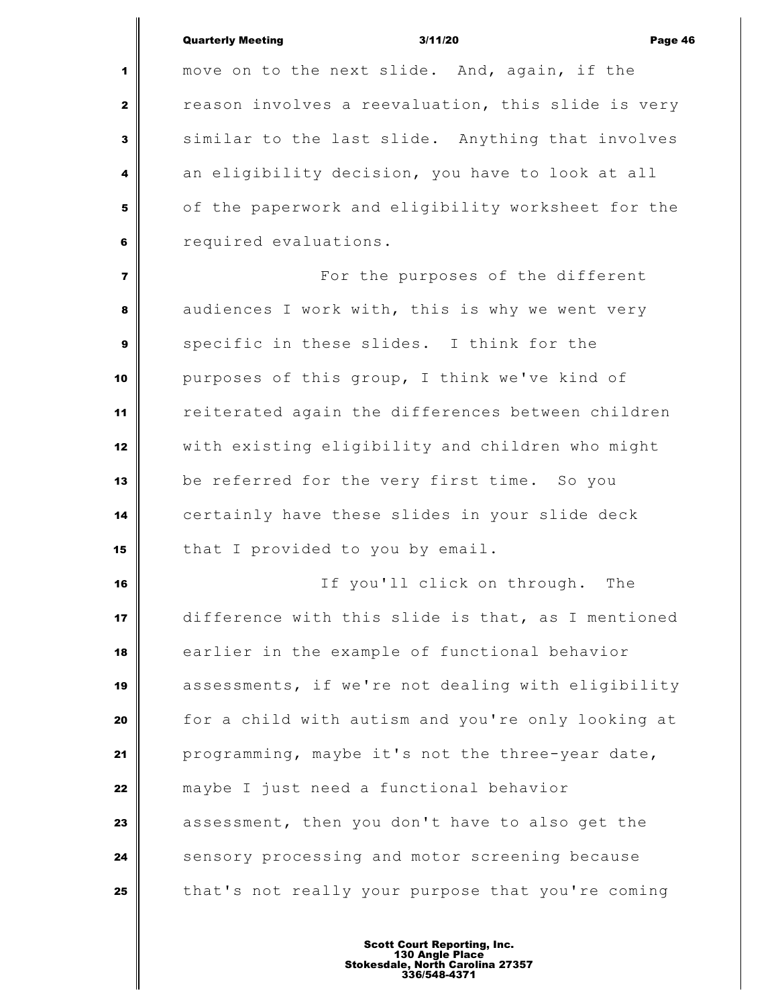| <b>Quarterly Meeting</b> |  |
|--------------------------|--|

Quarterly Meeting 3/11/20 Page 46 move on to the next slide. And, again, if the reason involves a reevaluation, this slide is very similar to the last slide. Anything that involves an eligibility decision, you have to look at all of the paperwork and eligibility worksheet for the **f** required evaluations. **For the purposes of the different**  audiences I work with, this is why we went very specific in these slides. I think for the purposes of this group, I think we've kind of reiterated again the differences between children with existing eligibility and children who might be referred for the very first time. So you certainly have these slides in your slide deck that I provided to you by email. If you'll click on through. The difference with this slide is that, as I mentioned earlier in the example of functional behavior assessments, if we're not dealing with eligibility

 for a child with autism and you're only looking at programming, maybe it's not the three-year date, maybe I just need a functional behavior assessment, then you don't have to also get the Sensory processing and motor screening because that's not really your purpose that you're coming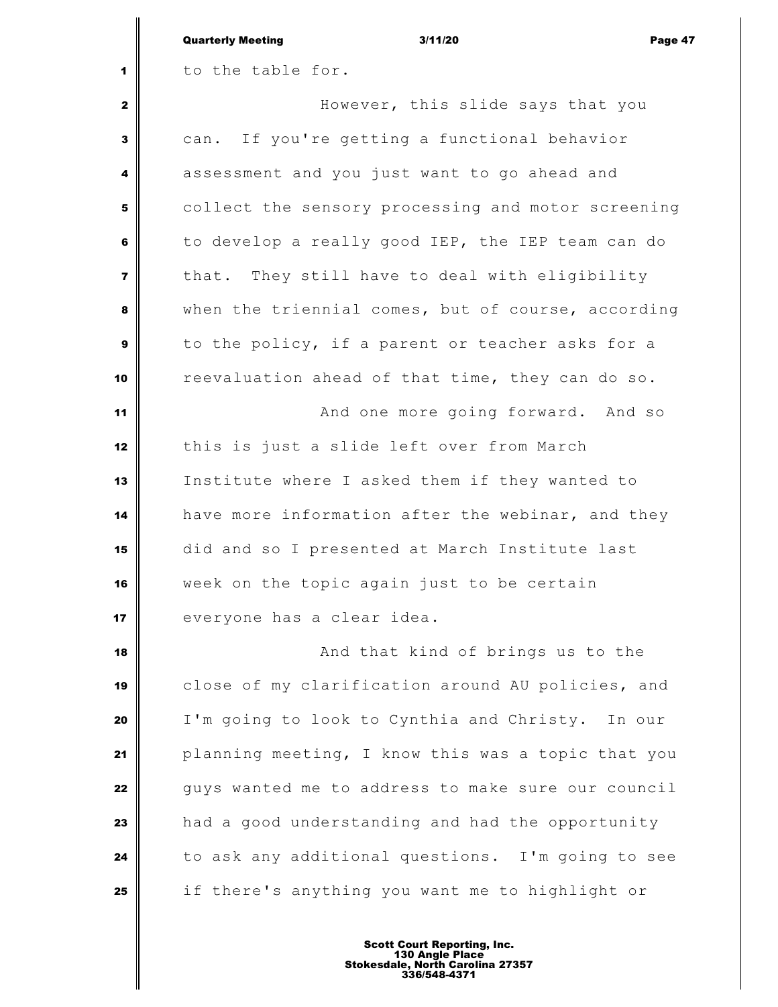|    | <b>Quarterly Meeting</b><br>3/11/20<br>Page 47     |  |  |
|----|----------------------------------------------------|--|--|
| 1  | to the table for.                                  |  |  |
| 2  | However, this slide says that you                  |  |  |
| 3  | can. If you're getting a functional behavior       |  |  |
| 4  | assessment and you just want to go ahead and       |  |  |
| 5  | collect the sensory processing and motor screening |  |  |
| 6  | to develop a really good IEP, the IEP team can do  |  |  |
| 7  | They still have to deal with eligibility<br>that.  |  |  |
| 8  | when the triennial comes, but of course, according |  |  |
| 9  | to the policy, if a parent or teacher asks for a   |  |  |
| 10 | reevaluation ahead of that time, they can do so.   |  |  |
| 11 | And one more going forward. And so                 |  |  |
| 12 | this is just a slide left over from March          |  |  |
| 13 | Institute where I asked them if they wanted to     |  |  |
| 14 | have more information after the webinar, and they  |  |  |
| 15 | did and so I presented at March Institute last     |  |  |
| 16 | week on the topic again just to be certain         |  |  |
| 17 | everyone has a clear idea.                         |  |  |
| 18 | And that kind of brings us to the                  |  |  |
| 19 | close of my clarification around AU policies, and  |  |  |
| 20 | I'm going to look to Cynthia and Christy. In our   |  |  |
| 21 | planning meeting, I know this was a topic that you |  |  |
| 22 | guys wanted me to address to make sure our council |  |  |
| 23 | had a good understanding and had the opportunity   |  |  |
| 24 | to ask any additional questions. I'm going to see  |  |  |
| 25 | if there's anything you want me to highlight or    |  |  |
|    |                                                    |  |  |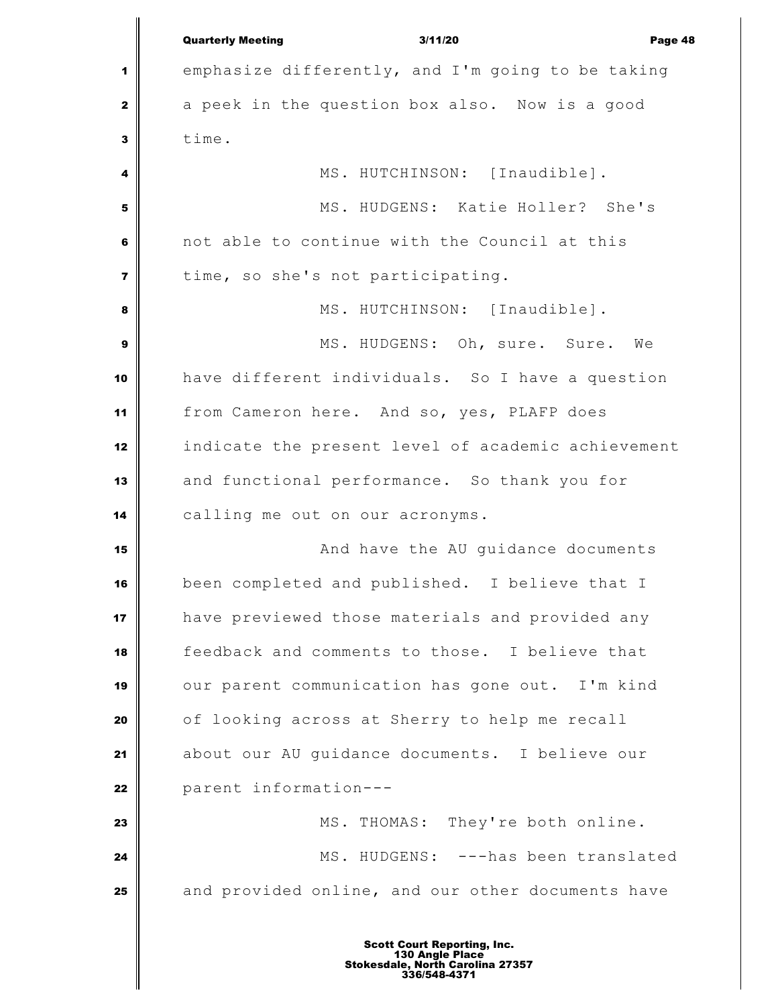|                         | <b>Quarterly Meeting</b><br>3/11/20<br>Page 48     |  |  |
|-------------------------|----------------------------------------------------|--|--|
| 1                       | emphasize differently, and I'm going to be taking  |  |  |
| $\mathbf{2}$            | a peek in the question box also. Now is a good     |  |  |
| 3                       | time.                                              |  |  |
| 4                       | MS. HUTCHINSON: [Inaudible].                       |  |  |
| 5                       | MS. HUDGENS: Katie Holler? She's                   |  |  |
| 6                       | not able to continue with the Council at this      |  |  |
| $\overline{\mathbf{z}}$ | time, so she's not participating.                  |  |  |
| 8                       | MS. HUTCHINSON: [Inaudible].                       |  |  |
| 9                       | MS. HUDGENS: Oh, sure. Sure. We                    |  |  |
| 10                      | have different individuals. So I have a question   |  |  |
| 11                      | from Cameron here. And so, yes, PLAFP does         |  |  |
| 12                      | indicate the present level of academic achievement |  |  |
| 13                      | and functional performance. So thank you for       |  |  |
| 14                      | calling me out on our acronyms.                    |  |  |
| 15                      | And have the AU quidance documents                 |  |  |
| 16                      | been completed and published. I believe that I     |  |  |
| 17                      | have previewed those materials and provided any    |  |  |
| 18                      | feedback and comments to those. I believe that     |  |  |
| 19                      | our parent communication has gone out. I'm kind    |  |  |
| 20                      | of looking across at Sherry to help me recall      |  |  |
| 21                      | about our AU guidance documents. I believe our     |  |  |
| 22                      | parent information---                              |  |  |
| 23                      | MS. THOMAS: They're both online.                   |  |  |
| 24                      | MS. HUDGENS: ---has been translated                |  |  |
| 25                      | and provided online, and our other documents have  |  |  |
|                         |                                                    |  |  |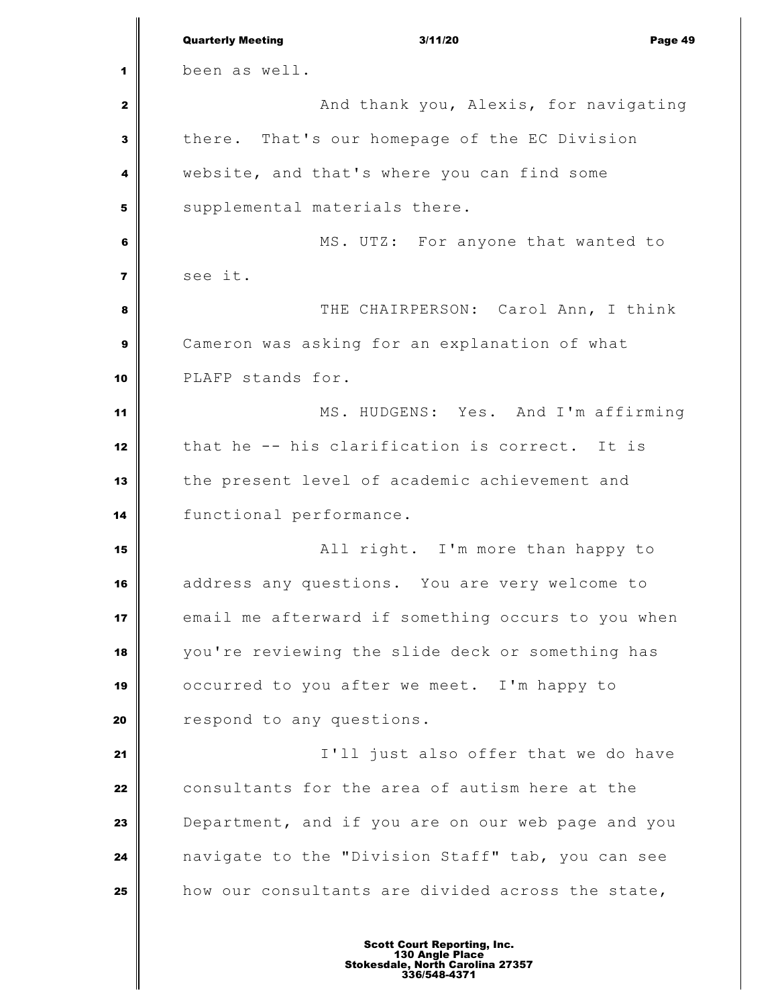|                         | <b>Quarterly Meeting</b><br>3/11/20<br>Page 49     |  |  |
|-------------------------|----------------------------------------------------|--|--|
| 1                       | been as well.                                      |  |  |
| $\mathbf{2}$            | And thank you, Alexis, for navigating              |  |  |
| 3                       | there. That's our homepage of the EC Division      |  |  |
| 4                       | website, and that's where you can find some        |  |  |
| 5                       | supplemental materials there.                      |  |  |
| 6                       | MS. UTZ: For anyone that wanted to                 |  |  |
| $\overline{\mathbf{z}}$ | see it.                                            |  |  |
| 8                       | THE CHAIRPERSON: Carol Ann, I think                |  |  |
| 9                       | Cameron was asking for an explanation of what      |  |  |
| 10                      | PLAFP stands for.                                  |  |  |
| 11                      | MS. HUDGENS: Yes. And I'm affirming                |  |  |
| 12                      | that he -- his clarification is correct. It is     |  |  |
| 13                      | the present level of academic achievement and      |  |  |
| 14                      | functional performance.                            |  |  |
| 15                      | All right. I'm more than happy to                  |  |  |
| 16                      | address any questions. You are very welcome to     |  |  |
| 17                      | email me afterward if something occurs to you when |  |  |
| 18                      | you're reviewing the slide deck or something has   |  |  |
| 19                      | occurred to you after we meet. I'm happy to        |  |  |
| 20                      | respond to any questions.                          |  |  |
| 21                      | I'll just also offer that we do have               |  |  |
| 22                      | consultants for the area of autism here at the     |  |  |
| 23                      | Department, and if you are on our web page and you |  |  |
| 24                      | navigate to the "Division Staff" tab, you can see  |  |  |
| 25                      | how our consultants are divided across the state,  |  |  |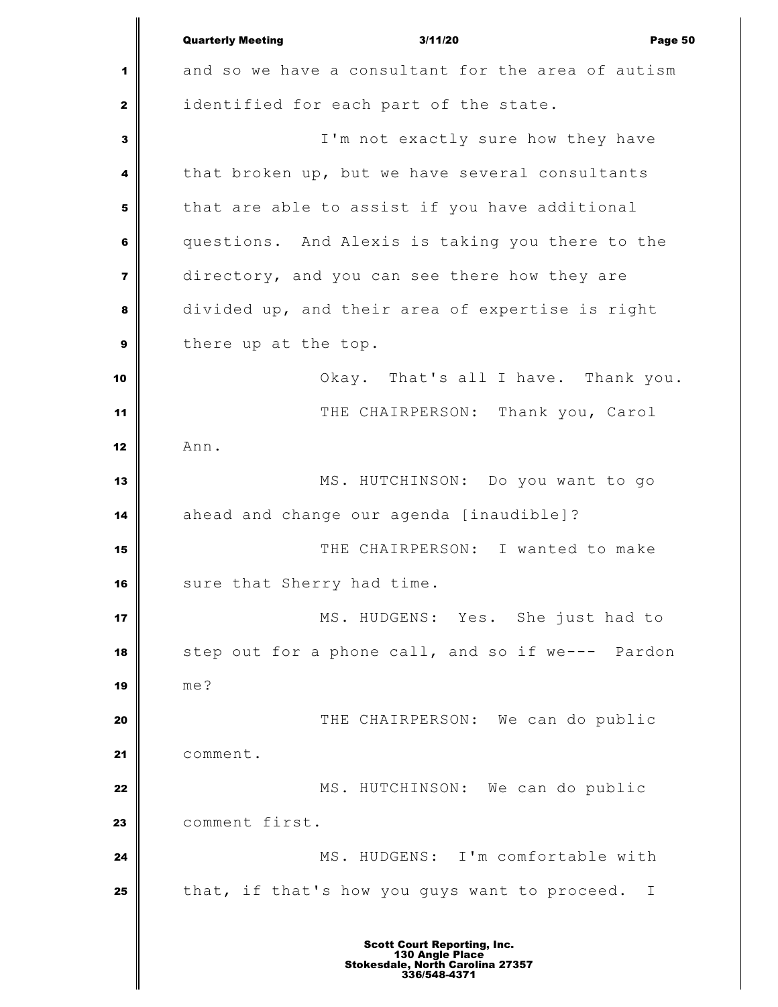Quarterly Meeting 3/11/20 Page 50 and so we have a consultant for the area of autism identified for each part of the state. I'm not exactly sure how they have that broken up, but we have several consultants that are able to assist if you have additional questions. And Alexis is taking you there to the directory, and you can see there how they are divided up, and their area of expertise is right there up at the top. Okay. That's all I have. Thank you. THE CHAIRPERSON: Thank you, Carol  $\Box$  Ann. MS. HUTCHINSON: Do you want to go ahead and change our agenda [inaudible]? THE CHAIRPERSON: I wanted to make sure that Sherry had time. MS. HUDGENS: Yes. She just had to step out for a phone call, and so if we--- Pardon me?  $\parallel$  **THE CHAIRPERSON:** We can do public comment. MS. HUTCHINSON: We can do public comment first. **MS. HUDGENS:** I'm comfortable with that, if that's how you guys want to proceed. I Scott Court Reporting, Inc. 130 Angle Place Stokesdale, North Carolina 27357 336/548-4371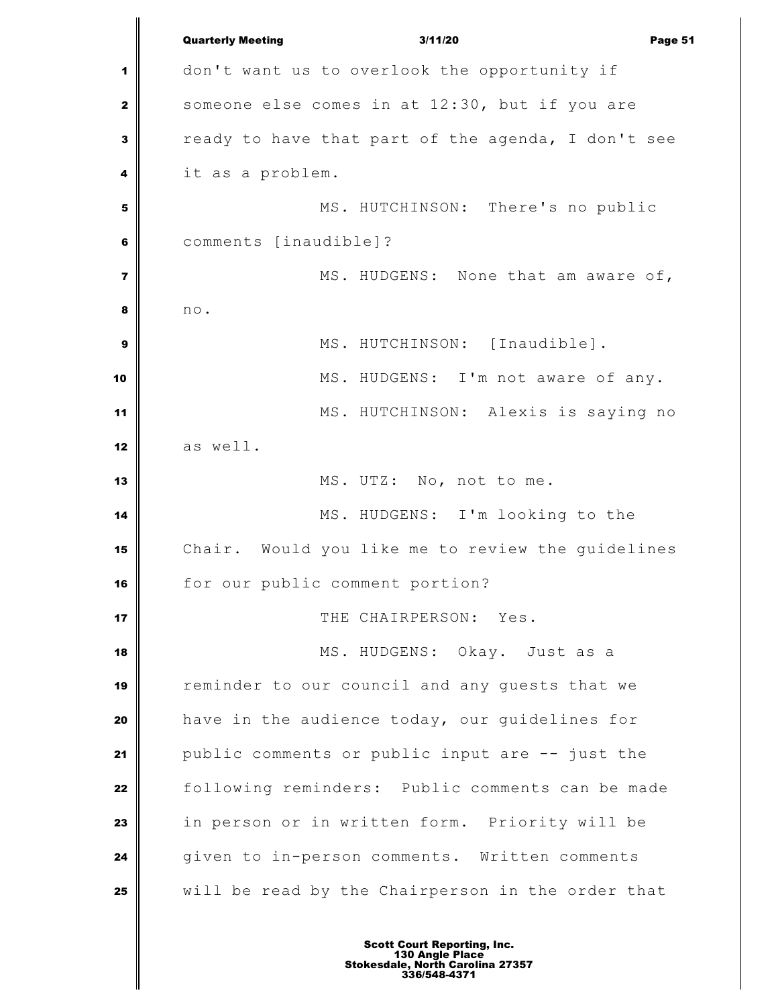Quarterly Meeting 3/11/20 Page 51 don't want us to overlook the opportunity if Someone else comes in at 12:30, but if you are ready to have that part of the agenda, I don't see it as a problem. MS. HUTCHINSON: There's no public comments [inaudible]? MS. HUDGENS: None that am aware of, no. MS. HUTCHINSON: [Inaudible]. MS. HUDGENS: I'm not aware of any. MS. HUTCHINSON: Alexis is saying no  $\mathbf{12}$  as well. **MS.** UTZ: No, not to me. MS. HUDGENS: I'm looking to the Chair. Would you like me to review the guidelines for our public comment portion? THE CHAIRPERSON: Yes. MS. HUDGENS: Okay. Just as a reminder to our council and any guests that we have in the audience today, our guidelines for public comments or public input are -- just the following reminders: Public comments can be made in person or in written form. Priority will be given to in-person comments. Written comments will be read by the Chairperson in the order that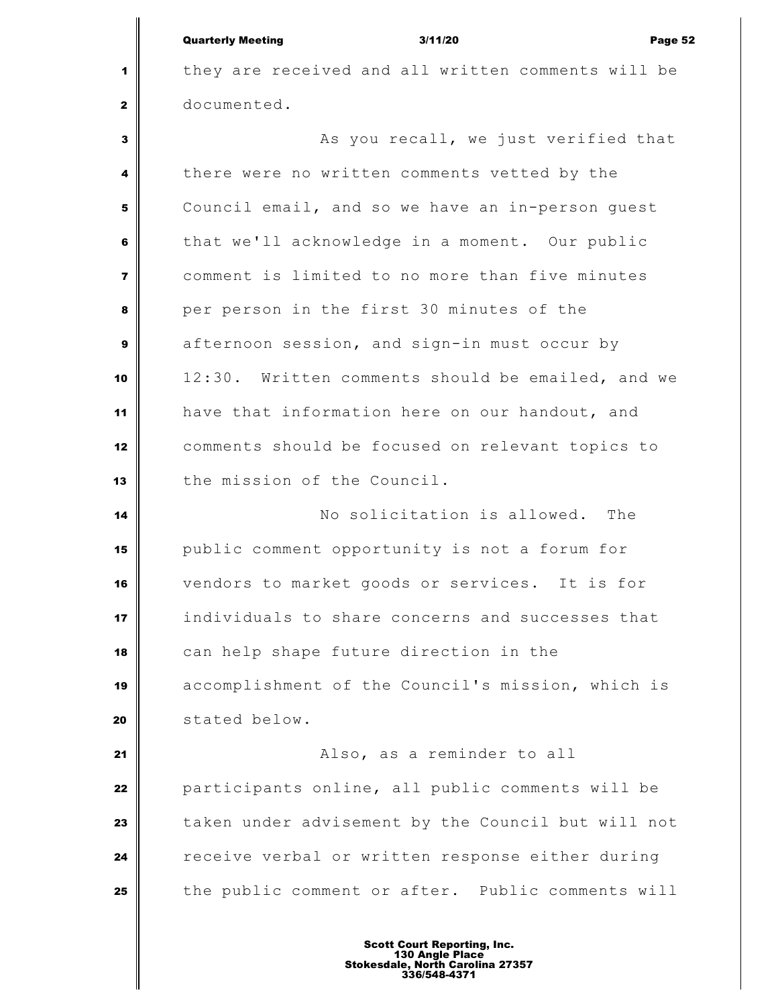| <b>Quarterly Meeting</b> | 3/11/20 | Page 52 |
|--------------------------|---------|---------|
|                          |         |         |

 they are received and all written comments will be documented.

 As you recall, we just verified that there were no written comments vetted by the Council email, and so we have an in-person quest that we'll acknowledge in a moment. Our public comment is limited to no more than five minutes per person in the first 30 minutes of the afternoon session, and sign-in must occur by 12:30. Written comments should be emailed, and we have that information here on our handout, and comments should be focused on relevant topics to 13 the mission of the Council.

 No solicitation is allowed. The public comment opportunity is not a forum for vendors to market goods or services. It is for individuals to share concerns and successes that can help shape future direction in the accomplishment of the Council's mission, which is 20 stated below.

 **Also, as a reminder to all participants online, all public comments will be**  taken under advisement by the Council but will not receive verbal or written response either during the public comment or after. Public comments will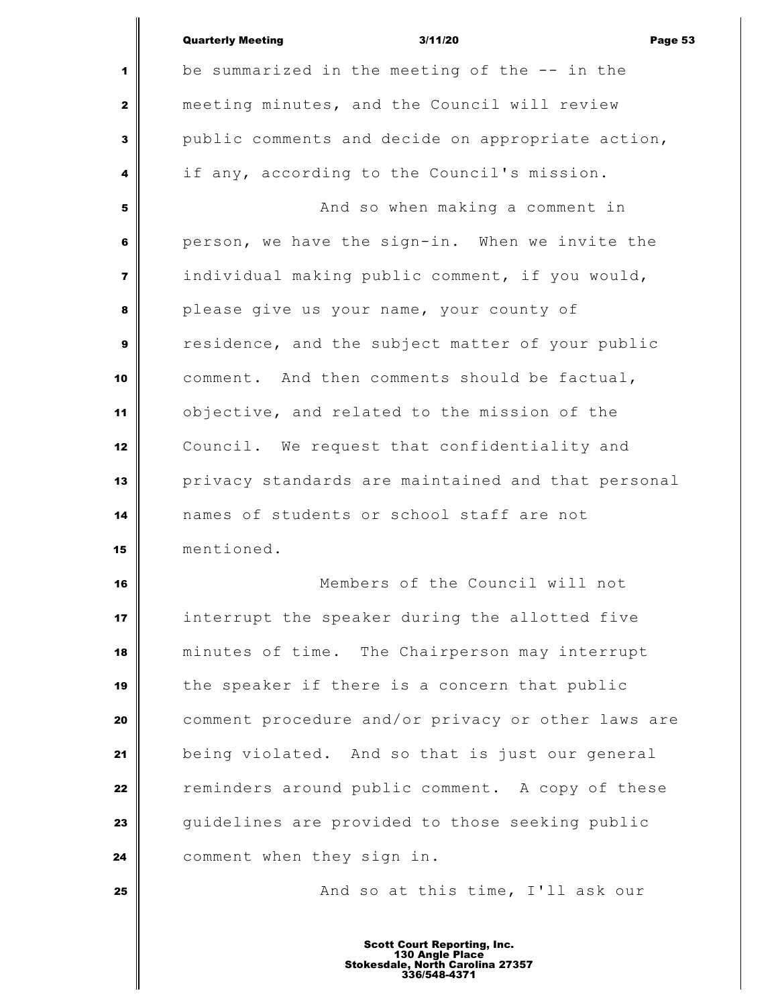|              | 3/11/20<br><b>Quarterly Meeting</b><br>Page 53     |
|--------------|----------------------------------------------------|
| 1            | be summarized in the meeting of the $-$ in the     |
| $\mathbf{z}$ | meeting minutes, and the Council will review       |
| 3            | public comments and decide on appropriate action,  |
| 4            | if any, according to the Council's mission.        |
| 5            | And so when making a comment in                    |
| 6            | person, we have the sign-in. When we invite the    |
| 7            | individual making public comment, if you would,    |
| 8            | please give us your name, your county of           |
| 9            | residence, and the subject matter of your public   |
| 10           | comment. And then comments should be factual,      |
| 11           | objective, and related to the mission of the       |
| 12           | Council. We request that confidentiality and       |
| 13           | privacy standards are maintained and that personal |
| 14           | names of students or school staff are not          |
| 15           | mentioned.                                         |
| 16           | Members of the Council will not                    |
| 17           | interrupt the speaker during the allotted five     |
| 18           | minutes of time. The Chairperson may interrupt     |
| 19           | the speaker if there is a concern that public      |
| 20           | comment procedure and/or privacy or other laws are |
| 21           | being violated. And so that is just our general    |
| 22           | reminders around public comment. A copy of these   |
| 23           | guidelines are provided to those seeking public    |
| 24           | comment when they sign in.                         |
| 25           | And so at this time, I'll ask our                  |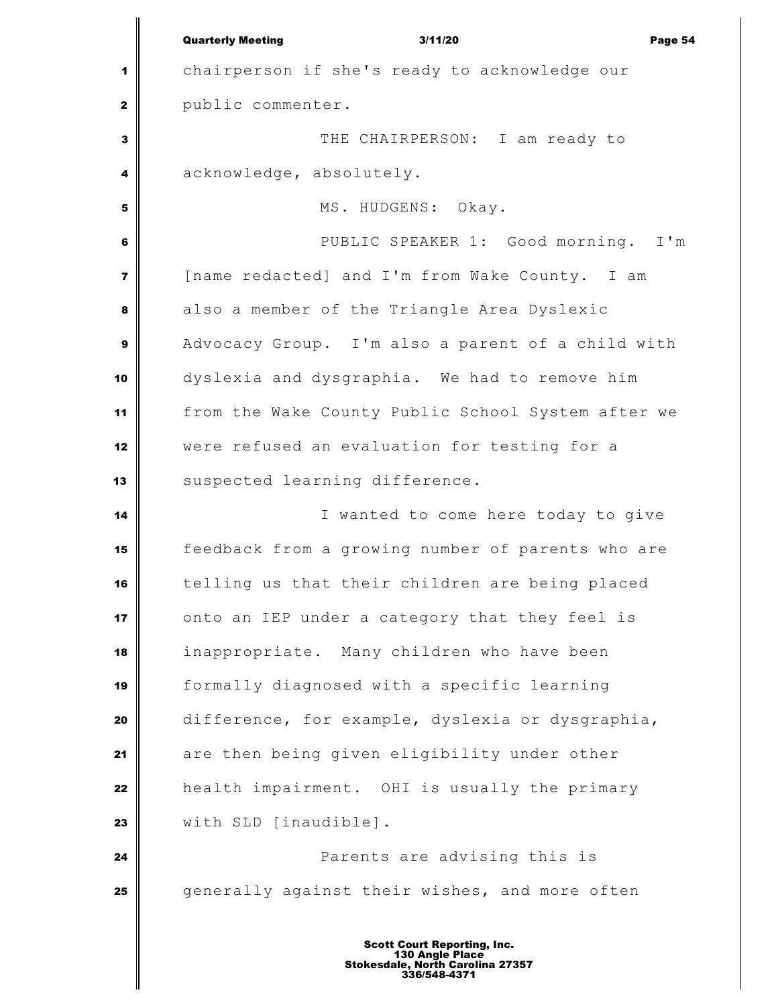|                         | <b>Quarterly Meeting</b><br>3/11/20<br>Page 54     |
|-------------------------|----------------------------------------------------|
| 1                       | chairperson if she's ready to acknowledge our      |
| $\mathbf{z}$            | public commenter.                                  |
| $\mathbf{3}$            | THE CHAIRPERSON: I am ready to                     |
| 4                       | acknowledge, absolutely.                           |
| 5                       | MS. HUDGENS: Okay.                                 |
| 6                       | PUBLIC SPEAKER 1: Good morning. I'm                |
| $\overline{\mathbf{z}}$ | [name redacted] and I'm from Wake County. I am     |
| 8                       | also a member of the Triangle Area Dyslexic        |
| 9                       | Advocacy Group. I'm also a parent of a child with  |
| 10                      | dyslexia and dysgraphia. We had to remove him      |
| 11                      | from the Wake County Public School System after we |
| 12                      | were refused an evaluation for testing for a       |
| 13                      | suspected learning difference.                     |
| 14                      | I wanted to come here today to give                |
| 15                      | feedback from a growing number of parents who are  |
| 16                      | telling us that their children are being placed    |
| 17                      | onto an IEP under a category that they feel is     |
| 18                      | inappropriate. Many children who have been         |
| 19                      | formally diagnosed with a specific learning        |
| 20                      | difference, for example, dyslexia or dysgraphia,   |
| 21                      | are then being given eligibility under other       |
| 22                      | health impairment. OHI is usually the primary      |
| 23                      | with SLD [inaudible].                              |
| 24                      | Parents are advising this is                       |
| 25                      | generally against their wishes, and more often     |
|                         |                                                    |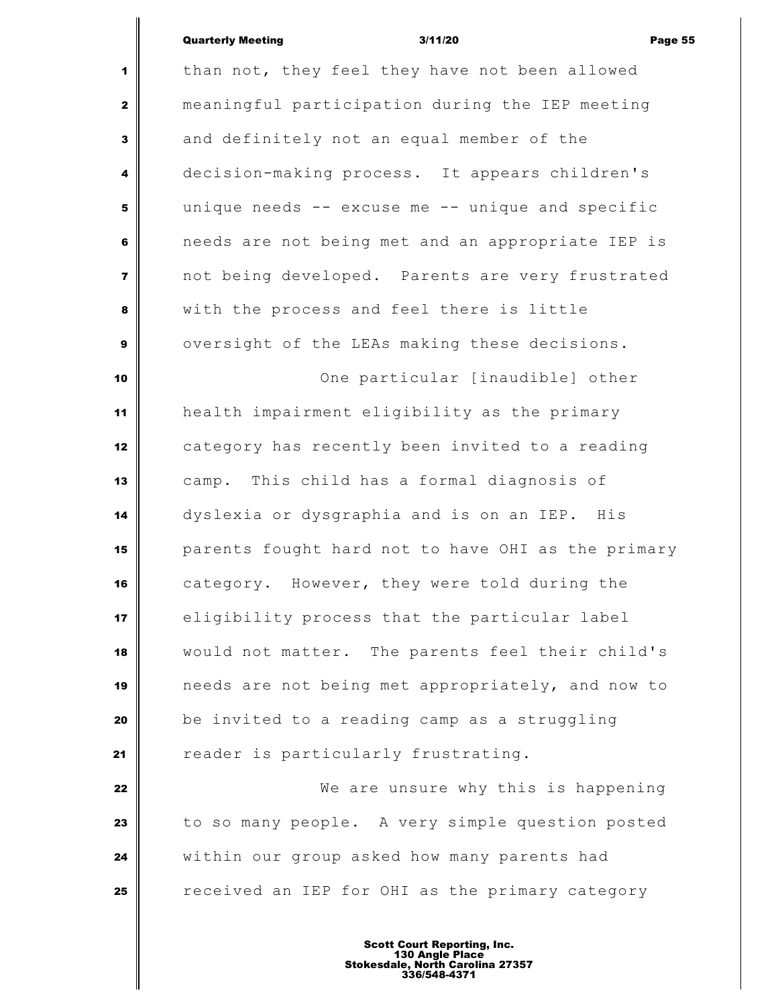## Quarterly Meeting 3/11/20 Page 55

 than not, they feel they have not been allowed meaningful participation during the IEP meeting and definitely not an equal member of the decision-making process. It appears children's unique needs -- excuse me -- unique and specific needs are not being met and an appropriate IEP is not being developed. Parents are very frustrated with the process and feel there is little oversight of the LEAs making these decisions. One particular [inaudible] other health impairment eligibility as the primary category has recently been invited to a reading camp. This child has a formal diagnosis of dyslexia or dysgraphia and is on an IEP. His parents fought hard not to have OHI as the primary category. However, they were told during the eligibility process that the particular label would not matter. The parents feel their child's needs are not being met appropriately, and now to be invited to a reading camp as a struggling **Particularly frustrating.**  We are unsure why this is happening to so many people. A very simple question posted **within our group asked how many parents had received an IEP for OHI as the primary category**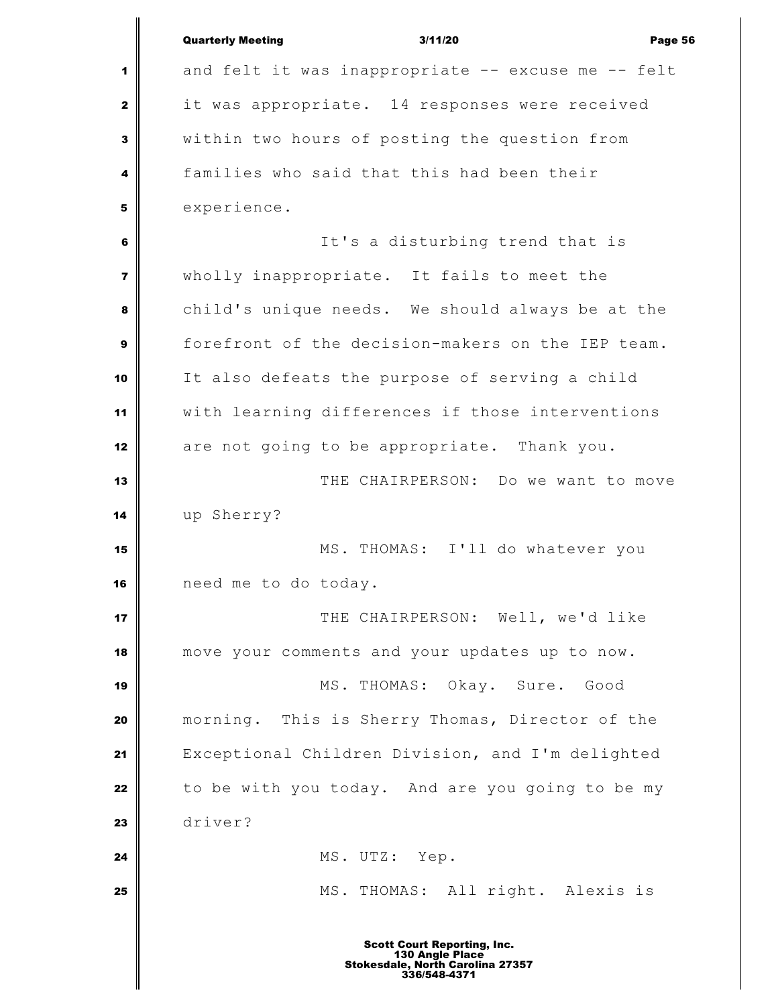|                | <b>Quarterly Meeting</b><br>3/11/20<br>Page 56     |
|----------------|----------------------------------------------------|
| 1              | and felt it was inappropriate -- excuse me -- felt |
| 2              | it was appropriate. 14 responses were received     |
| 3              | within two hours of posting the question from      |
| 4              | families who said that this had been their         |
| 5              | experience.                                        |
| 6              | It's a disturbing trend that is                    |
| $\overline{7}$ | wholly inappropriate. It fails to meet the         |
| 8              | child's unique needs. We should always be at the   |
| 9              | forefront of the decision-makers on the IEP team.  |
| 10             | It also defeats the purpose of serving a child     |
| 11             | with learning differences if those interventions   |
| 12             | are not going to be appropriate. Thank you.        |
| 13             | THE CHAIRPERSON: Do we want to move                |
| 14             | up Sherry?                                         |
| 15             | MS. THOMAS: I'll do whatever you                   |
| 16             | need me to do today.                               |
| 17             | THE CHAIRPERSON: Well, we'd like                   |
| 18             | move your comments and your updates up to now.     |
| 19             | MS. THOMAS: Okay. Sure.<br>Good                    |
| 20             | morning. This is Sherry Thomas, Director of the    |
| 21             | Exceptional Children Division, and I'm delighted   |
| 22             | to be with you today. And are you going to be my   |
| 23             | driver?                                            |
| 24             | MS. UTZ: Yep.                                      |
| 25             | MS. THOMAS: All right. Alexis is                   |
|                |                                                    |
|                |                                                    |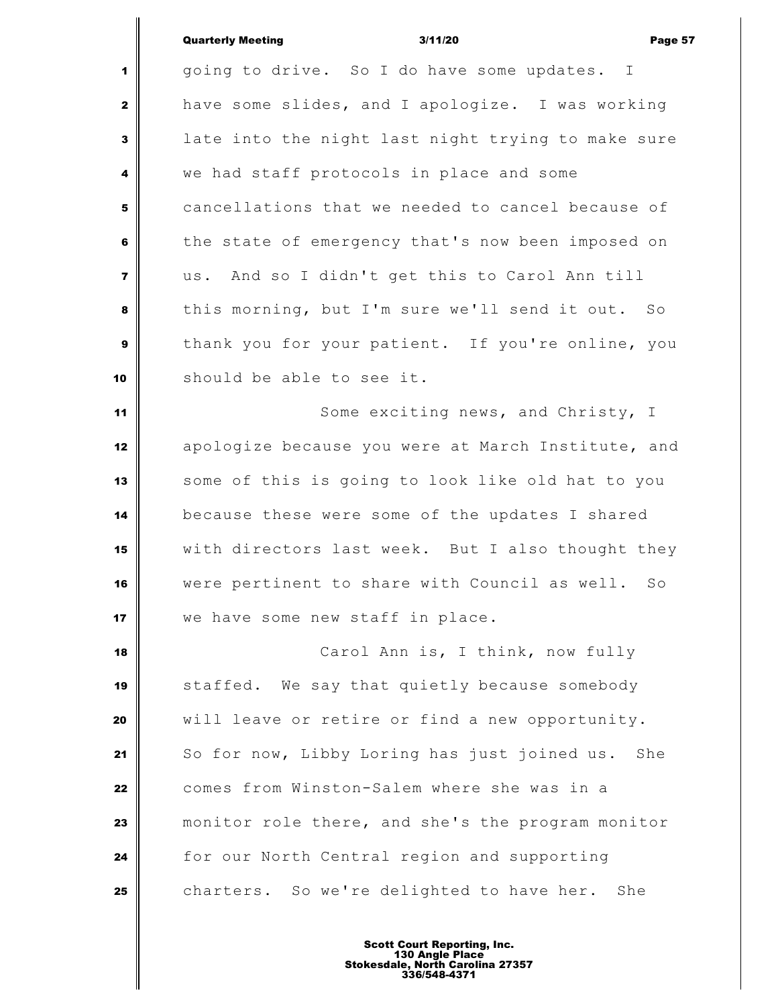|                         | <b>Quarterly Meeting</b><br>3/11/20<br>Page 57      |
|-------------------------|-----------------------------------------------------|
| 1                       | going to drive. So I do have some updates. I        |
| $\mathbf{2}$            | have some slides, and I apologize. I was working    |
| $\overline{\mathbf{3}}$ | late into the night last night trying to make sure  |
| $\overline{\mathbf{4}}$ | we had staff protocols in place and some            |
| 5                       | cancellations that we needed to cancel because of   |
| 6                       | the state of emergency that's now been imposed on   |
| $\overline{\mathbf{z}}$ | And so I didn't get this to Carol Ann till<br>us.   |
| 8                       | this morning, but I'm sure we'll send it out. So    |
| $\boldsymbol{9}$        | thank you for your patient. If you're online, you   |
| 10                      | should be able to see it.                           |
| 11                      | Some exciting news, and Christy, I                  |
| 12                      | apologize because you were at March Institute, and  |
| 13                      | some of this is going to look like old hat to you   |
| 14                      | because these were some of the updates I shared     |
| 15                      | with directors last week. But I also thought they   |
| 16                      | were pertinent to share with Council as well. So    |
| 17                      | we have some new staff in place.                    |
| 18                      | Carol Ann is, I think, now fully                    |
| 19                      | staffed. We say that quietly because somebody       |
| 20                      | will leave or retire or find a new opportunity.     |
| 21                      | So for now, Libby Loring has just joined us.<br>She |
| 22                      | comes from Winston-Salem where she was in a         |
| 23                      | monitor role there, and she's the program monitor   |
| 24                      | for our North Central region and supporting         |
| 25                      | charters. So we're delighted to have her.<br>She    |
|                         |                                                     |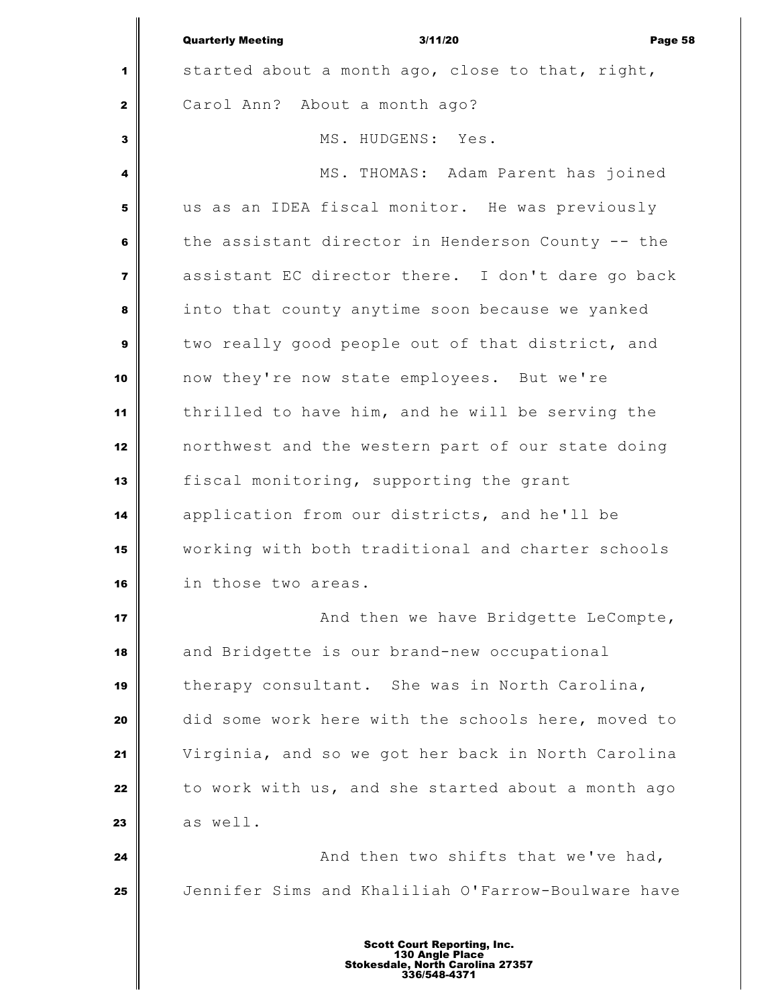|                         | <b>Quarterly Meeting</b><br>3/11/20<br>Page 58     |
|-------------------------|----------------------------------------------------|
| 1                       | started about a month ago, close to that, right,   |
| 2                       | Carol Ann? About a month ago?                      |
| 3                       | MS. HUDGENS: Yes.                                  |
| 4                       | MS. THOMAS: Adam Parent has joined                 |
| 5                       | us as an IDEA fiscal monitor. He was previously    |
| 6                       | the assistant director in Henderson County -- the  |
| $\overline{\mathbf{z}}$ | assistant EC director there. I don't dare go back  |
| 8                       | into that county anytime soon because we yanked    |
| 9                       | two really good people out of that district, and   |
| 10                      | now they're now state employees. But we're         |
| 11                      | thrilled to have him, and he will be serving the   |
| 12                      | northwest and the western part of our state doing  |
| 13                      | fiscal monitoring, supporting the grant            |
| 14                      | application from our districts, and he'll be       |
| 15                      | working with both traditional and charter schools  |
| 16                      | in those two areas.                                |
| 17                      | And then we have Bridgette LeCompte,               |
| 18                      | and Bridgette is our brand-new occupational        |
| 19                      | therapy consultant. She was in North Carolina,     |
| 20                      | did some work here with the schools here, moved to |
| 21                      | Virginia, and so we got her back in North Carolina |
| 22                      | to work with us, and she started about a month ago |
| 23                      | as well.                                           |
| 24                      | And then two shifts that we've had,                |
| 25                      | Jennifer Sims and Khaliliah O'Farrow-Boulware have |
|                         |                                                    |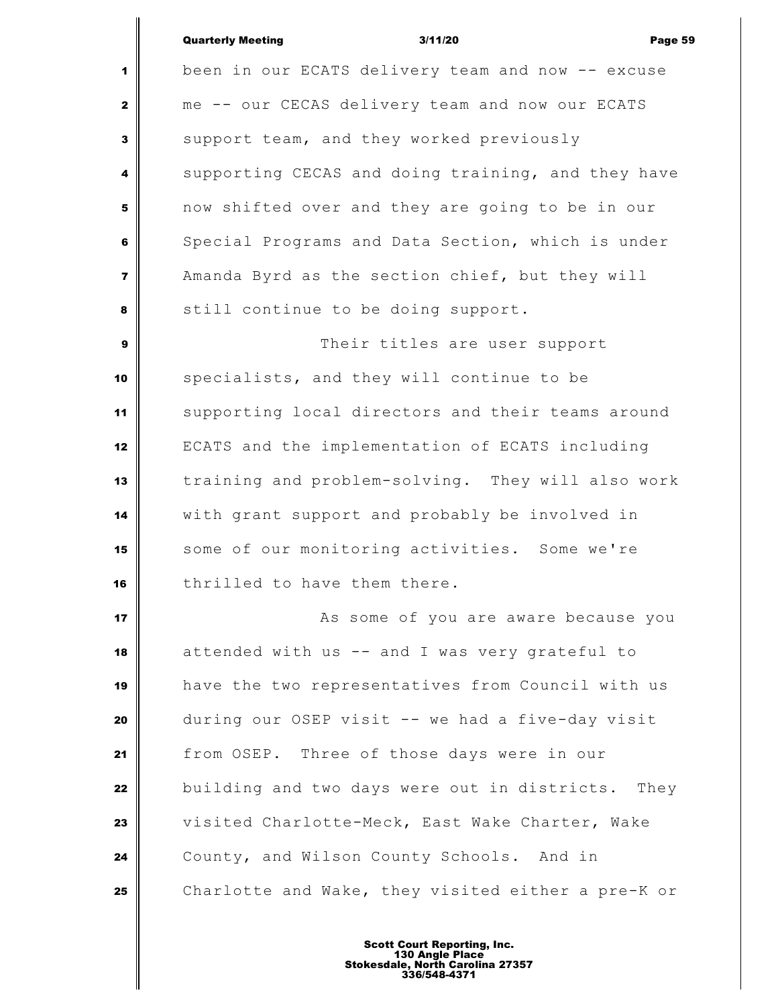|                         | <b>Quarterly Meeting</b><br>3/11/20<br>Page 59     |
|-------------------------|----------------------------------------------------|
| 1                       | been in our ECATS delivery team and now -- excuse  |
| $\mathbf{2}$            | me -- our CECAS delivery team and now our ECATS    |
| $\mathbf{3}$            | support team, and they worked previously           |
| 4                       | supporting CECAS and doing training, and they have |
| 5                       | now shifted over and they are going to be in our   |
| $\bf 6$                 | Special Programs and Data Section, which is under  |
| $\overline{\mathbf{z}}$ | Amanda Byrd as the section chief, but they will    |
| 8                       | still continue to be doing support.                |
| 9                       | Their titles are user support                      |
| 10                      | specialists, and they will continue to be          |
| 11                      | supporting local directors and their teams around  |
| 12                      | ECATS and the implementation of ECATS including    |
| 13                      | training and problem-solving. They will also work  |
| 14                      | with grant support and probably be involved in     |
| 15                      | some of our monitoring activities. Some we're      |
| 16                      | thrilled to have them there.                       |
| 17                      | As some of you are aware because you               |
| 18                      | attended with us -- and I was very grateful to     |
| 19                      | have the two representatives from Council with us  |
| 20                      | during our OSEP visit -- we had a five-day visit   |
| 21                      | from OSEP. Three of those days were in our         |
| 22                      | building and two days were out in districts. They  |
| 23                      | visited Charlotte-Meck, East Wake Charter, Wake    |
| 24                      | County, and Wilson County Schools. And in          |
| 25                      | Charlotte and Wake, they visited either a pre-K or |
|                         |                                                    |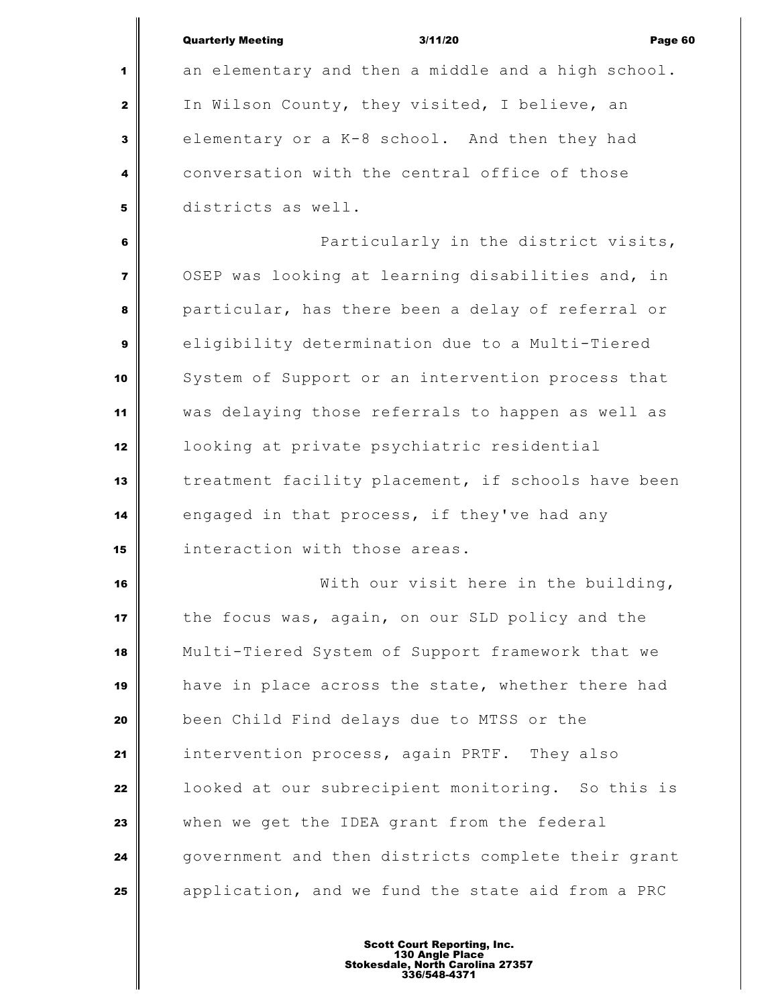|                         | 3/11/20<br><b>Quarterly Meeting</b><br>Page 60     |
|-------------------------|----------------------------------------------------|
| 1                       | an elementary and then a middle and a high school. |
| 2                       | In Wilson County, they visited, I believe, an      |
| $\mathbf{3}$            | elementary or a K-8 school. And then they had      |
| 4                       | conversation with the central office of those      |
| 5                       | districts as well.                                 |
| 6                       | Particularly in the district visits,               |
| $\overline{\mathbf{z}}$ | OSEP was looking at learning disabilities and, in  |
| 8                       | particular, has there been a delay of referral or  |
| 9                       | eligibility determination due to a Multi-Tiered    |
| 10                      | System of Support or an intervention process that  |
| 11                      | was delaying those referrals to happen as well as  |
| 12                      | looking at private psychiatric residential         |
| 13                      | treatment facility placement, if schools have been |
| 14                      | engaged in that process, if they've had any        |
| 15                      | interaction with those areas.                      |
| 16                      | With our visit here in the building,               |
| 17                      | the focus was, again, on our SLD policy and the    |
| 18                      | Multi-Tiered System of Support framework that we   |
| 19                      | have in place across the state, whether there had  |
| 20                      | been Child Find delays due to MTSS or the          |
| 21                      | intervention process, again PRTF. They also        |
| 22                      | looked at our subrecipient monitoring. So this is  |
| 23                      | when we get the IDEA grant from the federal        |
| 24                      | government and then districts complete their grant |
| 25                      | application, and we fund the state aid from a PRC  |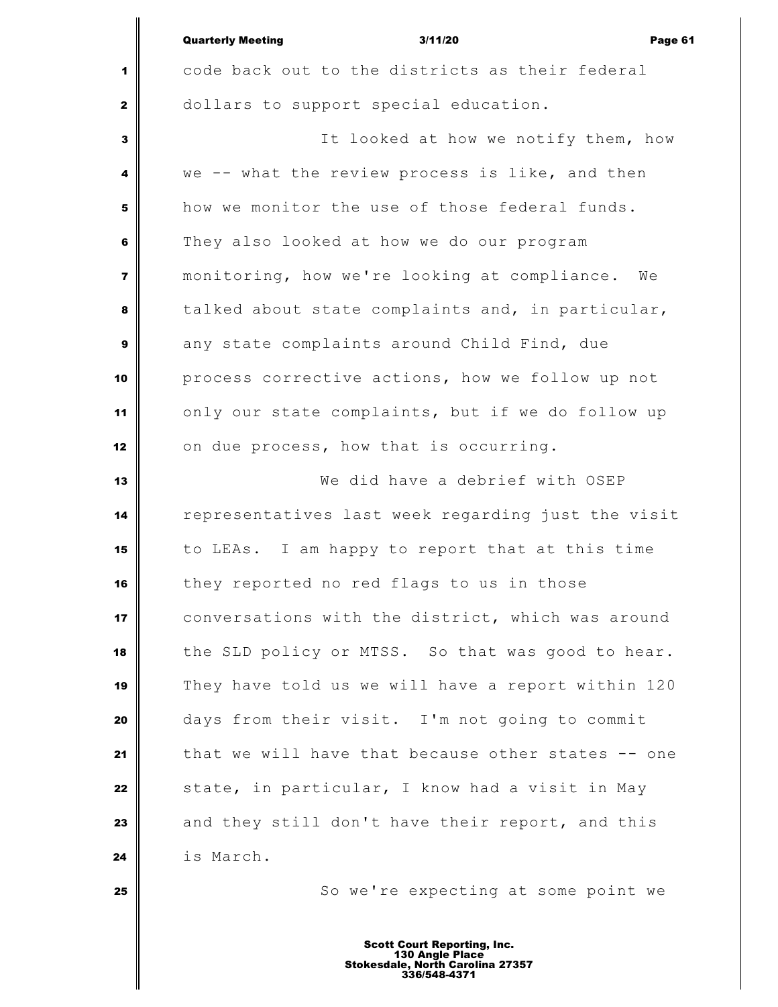|                         | <b>Quarterly Meeting</b><br>3/11/20<br>Page 61     |
|-------------------------|----------------------------------------------------|
| 1                       | code back out to the districts as their federal    |
| $\mathbf{2}$            | dollars to support special education.              |
| 3                       | It looked at how we notify them, how               |
| 4                       | we -- what the review process is like, and then    |
| 5                       | how we monitor the use of those federal funds.     |
| 6                       | They also looked at how we do our program          |
| $\overline{\mathbf{z}}$ | monitoring, how we're looking at compliance. We    |
| 8                       | talked about state complaints and, in particular,  |
| 9                       | any state complaints around Child Find, due        |
| 10                      | process corrective actions, how we follow up not   |
| 11                      | only our state complaints, but if we do follow up  |
| 12                      | on due process, how that is occurring.             |
| 13                      | We did have a debrief with OSEP                    |
| 14                      | representatives last week regarding just the visit |
| 15                      | to LEAs. I am happy to report that at this time    |
| 16                      | they reported no red flags to us in those          |
| 17                      | conversations with the district, which was around  |
| 18                      | the SLD policy or MTSS. So that was good to hear.  |
| 19                      | They have told us we will have a report within 120 |
| 20                      | days from their visit. I'm not going to commit     |
| 21                      | that we will have that because other states -- one |
| 22                      | state, in particular, I know had a visit in May    |
| 23                      | and they still don't have their report, and this   |
| 24                      | is March.                                          |
| 25                      | So we're expecting at some point we                |
|                         |                                                    |

I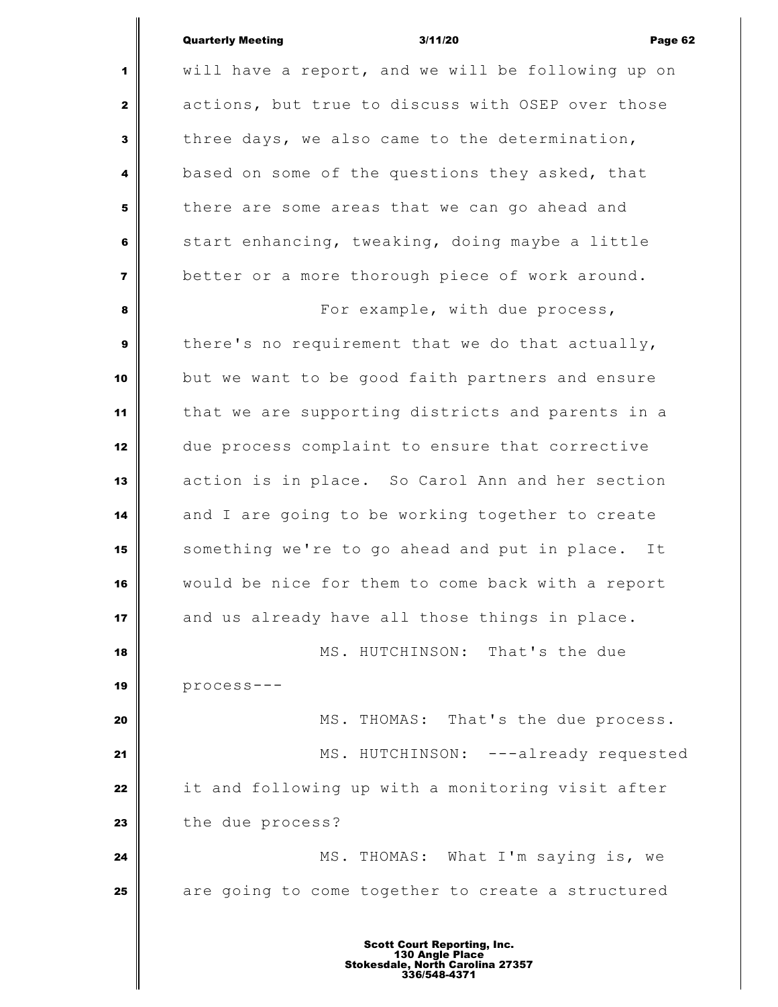|              | <b>Quarterly Meeting</b><br>3/11/20<br>Page 62      |
|--------------|-----------------------------------------------------|
| 1            | will have a report, and we will be following up on  |
| $\mathbf{z}$ | actions, but true to discuss with OSEP over those   |
| 3            | three days, we also came to the determination,      |
| 4            | based on some of the questions they asked, that     |
| 5            | there are some areas that we can go ahead and       |
| 6            | start enhancing, tweaking, doing maybe a little     |
| 7            | better or a more thorough piece of work around.     |
| 8            | For example, with due process,                      |
| 9            | there's no requirement that we do that actually,    |
| 10           | but we want to be good faith partners and ensure    |
| 11           | that we are supporting districts and parents in a   |
| 12           | due process complaint to ensure that corrective     |
| 13           | action is in place. So Carol Ann and her section    |
| 14           | and I are going to be working together to create    |
| 15           | something we're to go ahead and put in place.<br>It |
| 16           | would be nice for them to come back with a report   |
| 17           | and us already have all those things in place.      |
| 18           | MS. HUTCHINSON: That's the due                      |
| 19           | $process - -$                                       |
| 20           | MS. THOMAS: That's the due process.                 |
| 21           | MS. HUTCHINSON: ---already requested                |
| 22           | it and following up with a monitoring visit after   |
| 23           | the due process?                                    |
| 24           | MS. THOMAS: What I'm saying is, we                  |
| 25           | are going to come together to create a structured   |
|              |                                                     |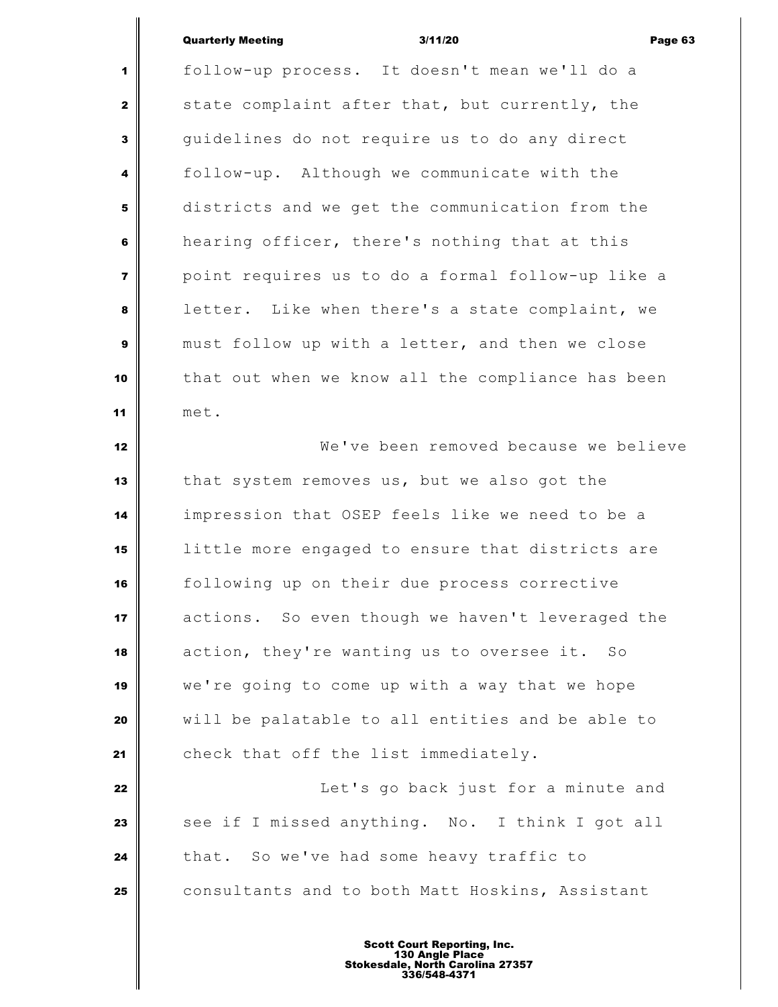# Quarterly Meeting 3/11/20 Page 63

 follow-up process. It doesn't mean we'll do a state complaint after that, but currently, the guidelines do not require us to do any direct follow-up. Although we communicate with the districts and we get the communication from the hearing officer, there's nothing that at this point requires us to do a formal follow-up like a letter. Like when there's a state complaint, we must follow up with a letter, and then we close that out when we know all the compliance has been met. We've been removed because we believe that system removes us, but we also got the impression that OSEP feels like we need to be a little more engaged to ensure that districts are following up on their due process corrective actions. So even though we haven't leveraged the action, they're wanting us to oversee it. So we're going to come up with a way that we hope will be palatable to all entities and be able to 21 check that off the list immediately. **Let's** go back just for a minute and See if I missed anything. No. I think I got all that. So we've had some heavy traffic to **c**onsultants and to both Matt Hoskins, Assistant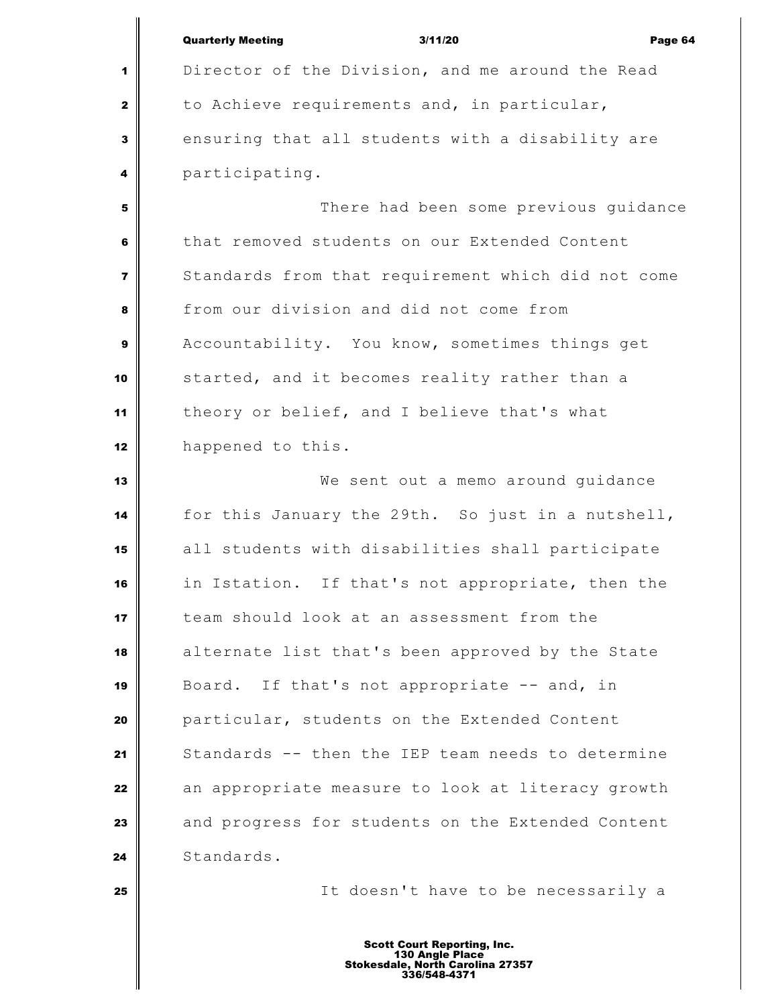|                | <b>Quarterly Meeting</b><br>3/11/20<br>Page 64     |
|----------------|----------------------------------------------------|
| 1              | Director of the Division, and me around the Read   |
| $\mathbf{2}$   | to Achieve requirements and, in particular,        |
| 3              | ensuring that all students with a disability are   |
| 4              | participating.                                     |
| 5              | There had been some previous guidance              |
| 6              | that removed students on our Extended Content      |
| $\overline{7}$ | Standards from that requirement which did not come |
| 8              | from our division and did not come from            |
| $\mathbf{9}$   | Accountability. You know, sometimes things get     |
| 10             | started, and it becomes reality rather than a      |
| 11             | theory or belief, and I believe that's what        |
| 12             | happened to this.                                  |
| 13             | We sent out a memo around guidance                 |
| 14             | for this January the 29th. So just in a nutshell,  |
| 15             | all students with disabilities shall participate   |
| 16             | in Istation. If that's not appropriate, then the   |
| 17             | team should look at an assessment from the         |
| 18             | alternate list that's been approved by the State   |
| 19             | Board. If that's not appropriate -- and, in        |
| 20             | particular, students on the Extended Content       |
| 21             | Standards -- then the IEP team needs to determine  |
| 22             | an appropriate measure to look at literacy growth  |
| 23             | and progress for students on the Extended Content  |
| 24             | Standards.                                         |
| 25             | It doesn't have to be necessarily a                |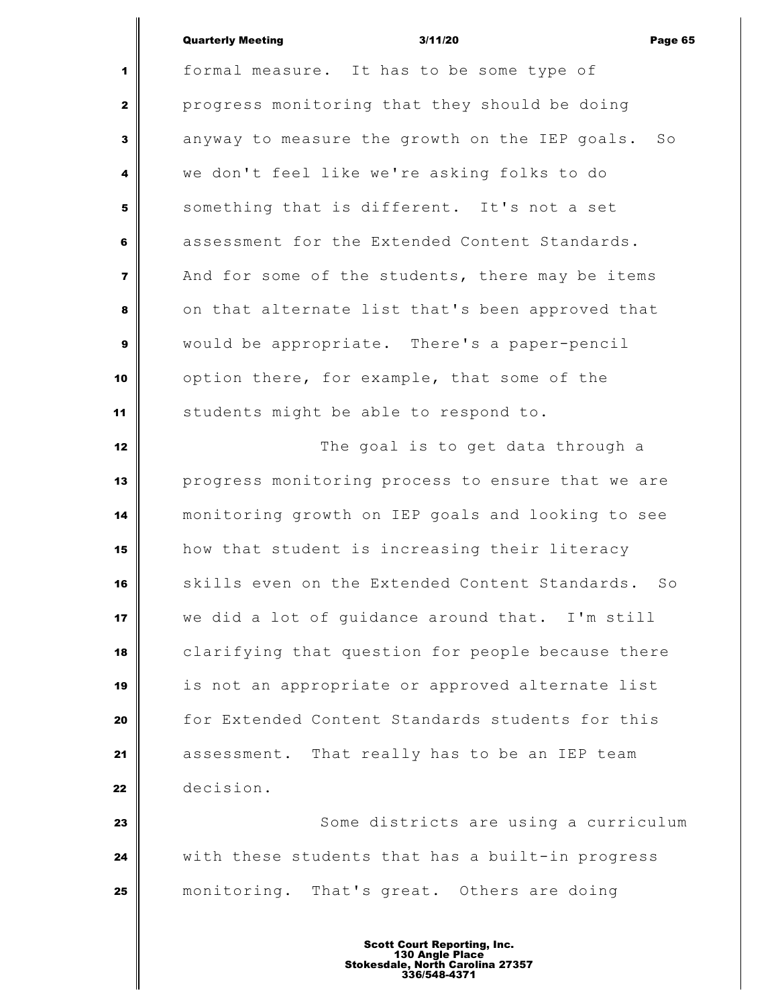# Quarterly Meeting 3/11/20 Page 65

 formal measure. It has to be some type of progress monitoring that they should be doing anyway to measure the growth on the IEP goals. So we don't feel like we're asking folks to do something that is different. It's not a set assessment for the Extended Content Standards. And for some of the students, there may be items on that alternate list that's been approved that would be appropriate. There's a paper-pencil option there, for example, that some of the students might be able to respond to. The goal is to get data through a progress monitoring process to ensure that we are monitoring growth on IEP goals and looking to see how that student is increasing their literacy skills even on the Extended Content Standards. So we did a lot of guidance around that. I'm still clarifying that question for people because there is not an appropriate or approved alternate list for Extended Content Standards students for this assessment. That really has to be an IEP team decision. Some districts are using a curriculum with these students that has a built-in progress monitoring. That's great. Others are doing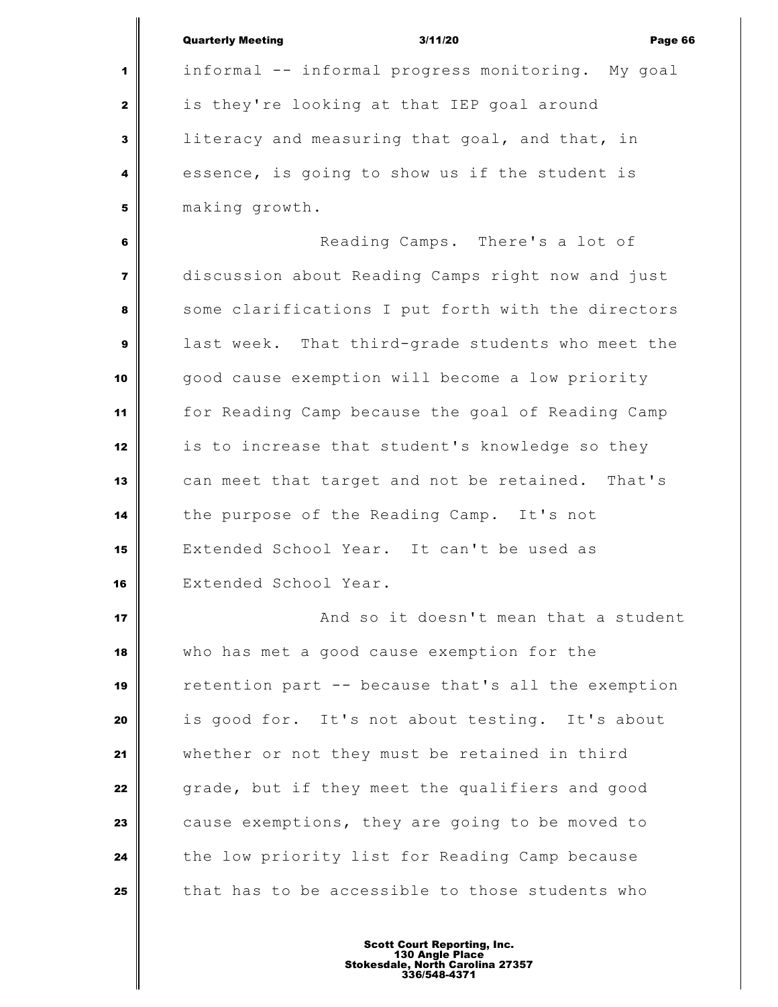|                | <b>Quarterly Meeting</b><br>Page 66<br>3/11/20     |
|----------------|----------------------------------------------------|
| 1              | informal -- informal progress monitoring. My goal  |
| $\mathbf{2}$   | is they're looking at that IEP goal around         |
| 3              | literacy and measuring that goal, and that, in     |
| 4              | essence, is going to show us if the student is     |
| 5              | making growth.                                     |
| 6              | Reading Camps. There's a lot of                    |
| $\overline{7}$ | discussion about Reading Camps right now and just  |
| 8              | some clarifications I put forth with the directors |
| $\mathbf{9}$   | last week. That third-grade students who meet the  |
| 10             | good cause exemption will become a low priority    |
| 11             | for Reading Camp because the goal of Reading Camp  |
| 12             | is to increase that student's knowledge so they    |
| 13             | can meet that target and not be retained. That's   |
| 14             | the purpose of the Reading Camp. It's not          |
| 15             | Extended School Year. It can't be used as          |
| 16             | Extended School Year.                              |
| 17             | And so it doesn't mean that a student              |
| 18             | who has met a good cause exemption for the         |
| 19             | retention part -- because that's all the exemption |
| 20             | is good for. It's not about testing. It's about    |
| 21             | whether or not they must be retained in third      |
| 22             | grade, but if they meet the qualifiers and good    |
| 23             | cause exemptions, they are going to be moved to    |
| 24             | the low priority list for Reading Camp because     |
| 25             | that has to be accessible to those students who    |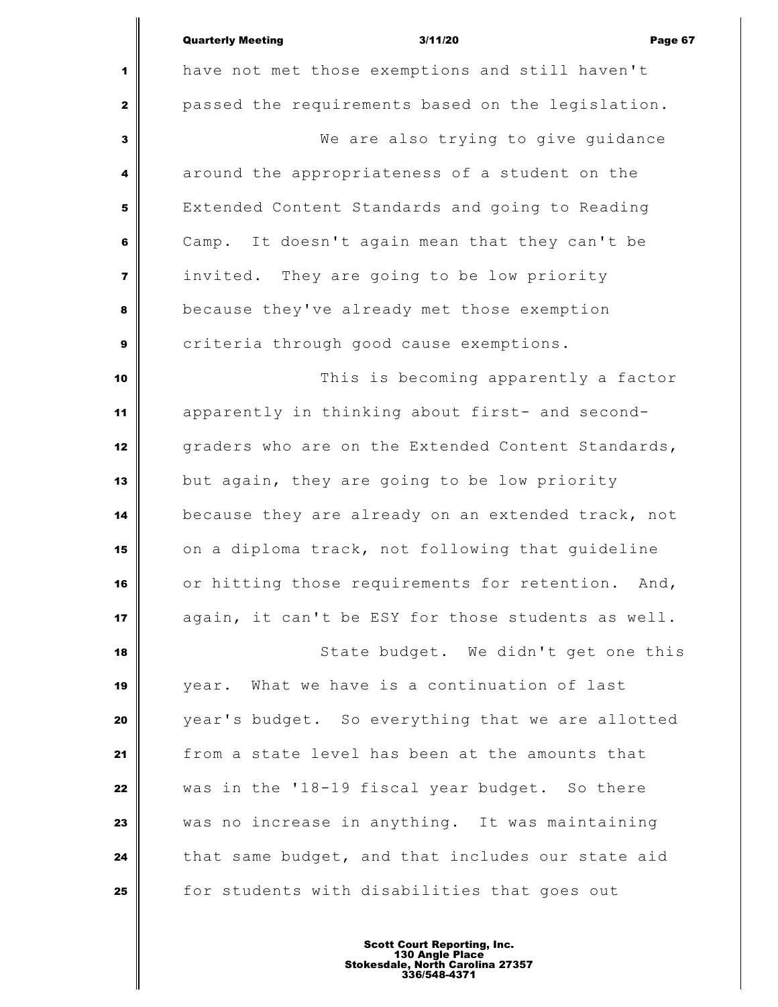|                         | <b>Quarterly Meeting</b><br>3/11/20<br>Page 67     |
|-------------------------|----------------------------------------------------|
| 1                       | have not met those exemptions and still haven't    |
| $\mathbf{2}$            | passed the requirements based on the legislation.  |
| $\mathbf{3}$            | We are also trying to give guidance                |
| 4                       | around the appropriateness of a student on the     |
| ${\bf 5}$               | Extended Content Standards and going to Reading    |
| $\bf 6$                 | Camp. It doesn't again mean that they can't be     |
| $\overline{\mathbf{z}}$ | invited. They are going to be low priority         |
| 8                       | because they've already met those exemption        |
| $\boldsymbol{9}$        | criteria through good cause exemptions.            |
| 10                      | This is becoming apparently a factor               |
| 11                      | apparently in thinking about first- and second-    |
| 12                      | graders who are on the Extended Content Standards, |
| 13                      | but again, they are going to be low priority       |
| 14                      | because they are already on an extended track, not |
| 15                      | on a diploma track, not following that guideline   |
| 16                      | or hitting those requirements for retention. And,  |
| 17                      | again, it can't be ESY for those students as well. |
| 18                      | State budget. We didn't get one this               |
| 19                      | year. What we have is a continuation of last       |
| 20                      | year's budget. So everything that we are allotted  |
| 21                      | from a state level has been at the amounts that    |
| 22                      | was in the '18-19 fiscal year budget. So there     |
| 23                      | was no increase in anything. It was maintaining    |
| 24                      | that same budget, and that includes our state aid  |
| 25                      | for students with disabilities that goes out       |
|                         |                                                    |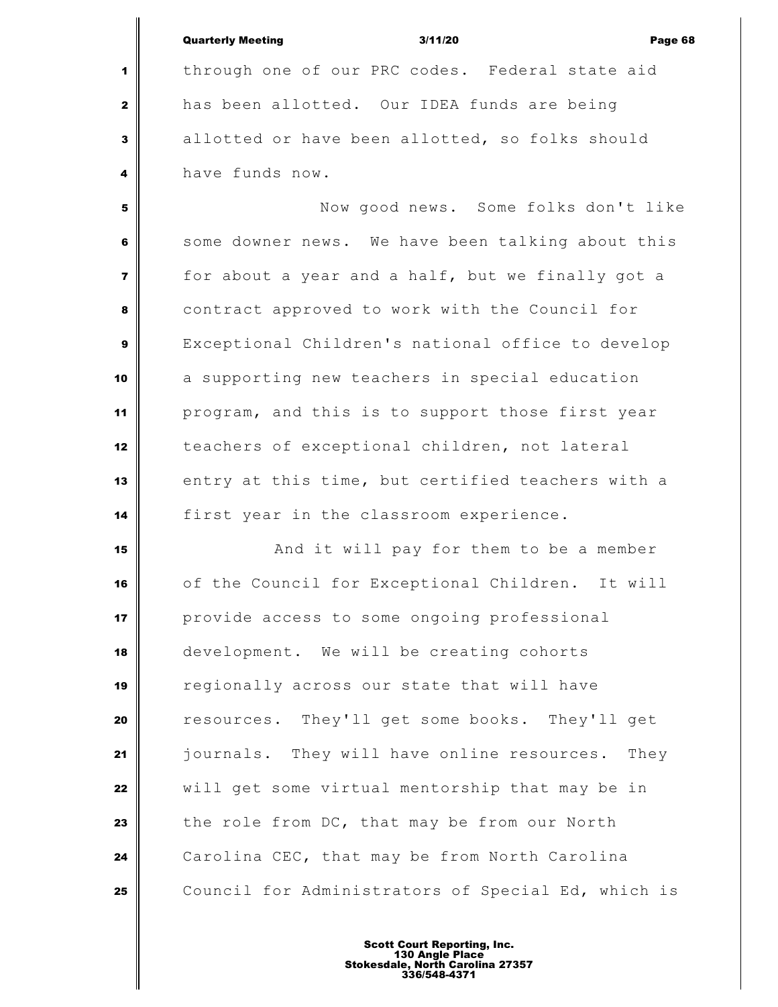|           | <b>Quarterly Meeting</b>                        | 3/11/20 |                                      | Page 68 |
|-----------|-------------------------------------------------|---------|--------------------------------------|---------|
| 1         | through one of our PRC codes. Federal state aid |         |                                      |         |
| 2         | has been allotted. Our IDEA funds are being     |         |                                      |         |
| 3         | allotted or have been allotted, so folks should |         |                                      |         |
| 4         | have funds now.                                 |         |                                      |         |
| 5         |                                                 |         | Now good news. Some folks don't like |         |
| $\bullet$ | $\frac{1}{2}$                                   |         |                                      |         |

Ш

 Some downer news. We have been talking about this for about a year and a half, but we finally got a contract approved to work with the Council for Exceptional Children's national office to develop a supporting new teachers in special education program, and this is to support those first year teachers of exceptional children, not lateral entry at this time, but certified teachers with a first year in the classroom experience.

 And it will pay for them to be a member of the Council for Exceptional Children. It will **provide access to some ongoing professional**  development. We will be creating cohorts regionally across our state that will have resources. They'll get some books. They'll get journals. They will have online resources. They will get some virtual mentorship that may be in the role from DC, that may be from our North Carolina CEC, that may be from North Carolina Council for Administrators of Special Ed, which is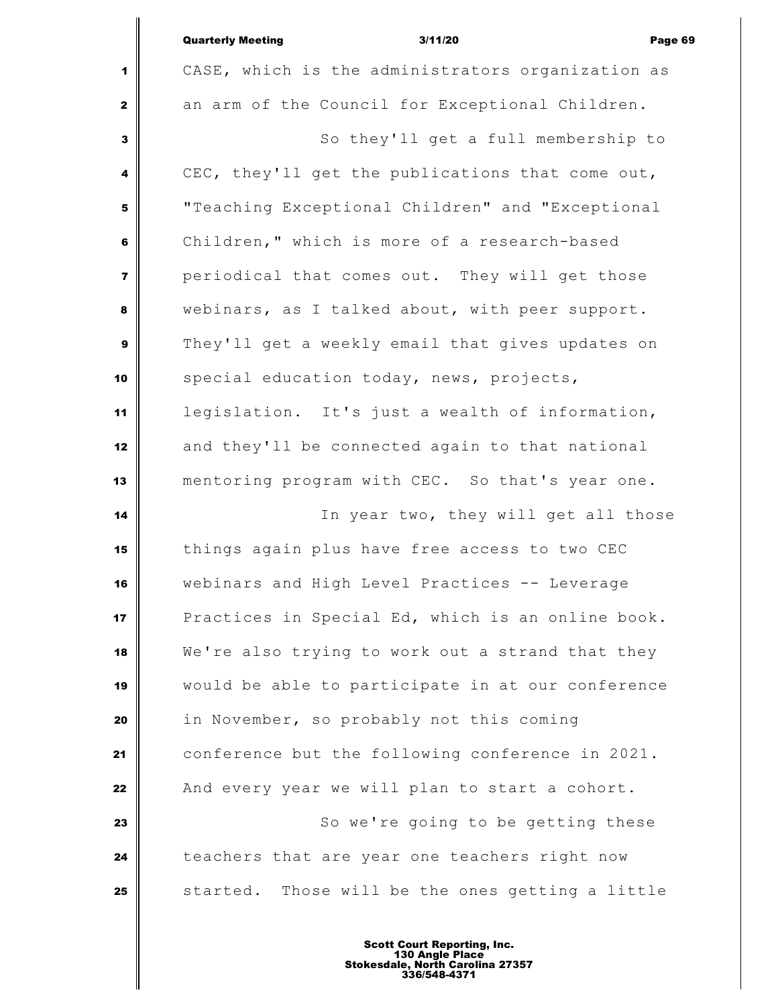|                         | <b>Quarterly Meeting</b><br>3/11/20<br>Page 69    |  |  |  |
|-------------------------|---------------------------------------------------|--|--|--|
| 1                       | CASE, which is the administrators organization as |  |  |  |
| $\mathbf{2}$            | an arm of the Council for Exceptional Children.   |  |  |  |
| 3                       | So they'll get a full membership to               |  |  |  |
| 4                       | CEC, they'll get the publications that come out,  |  |  |  |
| 5                       | "Teaching Exceptional Children" and "Exceptional  |  |  |  |
| 6                       | Children," which is more of a research-based      |  |  |  |
| $\overline{\mathbf{z}}$ | periodical that comes out. They will get those    |  |  |  |
| 8                       | webinars, as I talked about, with peer support.   |  |  |  |
| $\mathbf{9}$            | They'll get a weekly email that gives updates on  |  |  |  |
| 10                      | special education today, news, projects,          |  |  |  |
| 11                      | legislation. It's just a wealth of information,   |  |  |  |
| 12                      | and they'll be connected again to that national   |  |  |  |
| 13                      | mentoring program with CEC. So that's year one.   |  |  |  |
| 14                      | In year two, they will get all those              |  |  |  |
| 15                      | things again plus have free access to two CEC     |  |  |  |
| 16                      | webinars and High Level Practices -- Leverage     |  |  |  |
| 17                      | Practices in Special Ed, which is an online book. |  |  |  |
| 18                      | We're also trying to work out a strand that they  |  |  |  |
| 19                      | would be able to participate in at our conference |  |  |  |
| 20                      | in November, so probably not this coming          |  |  |  |
| 21                      | conference but the following conference in 2021.  |  |  |  |
| 22                      | And every year we will plan to start a cohort.    |  |  |  |
| 23                      | So we're going to be getting these                |  |  |  |
| 24                      | teachers that are year one teachers right now     |  |  |  |
| 25                      | started. Those will be the ones getting a little  |  |  |  |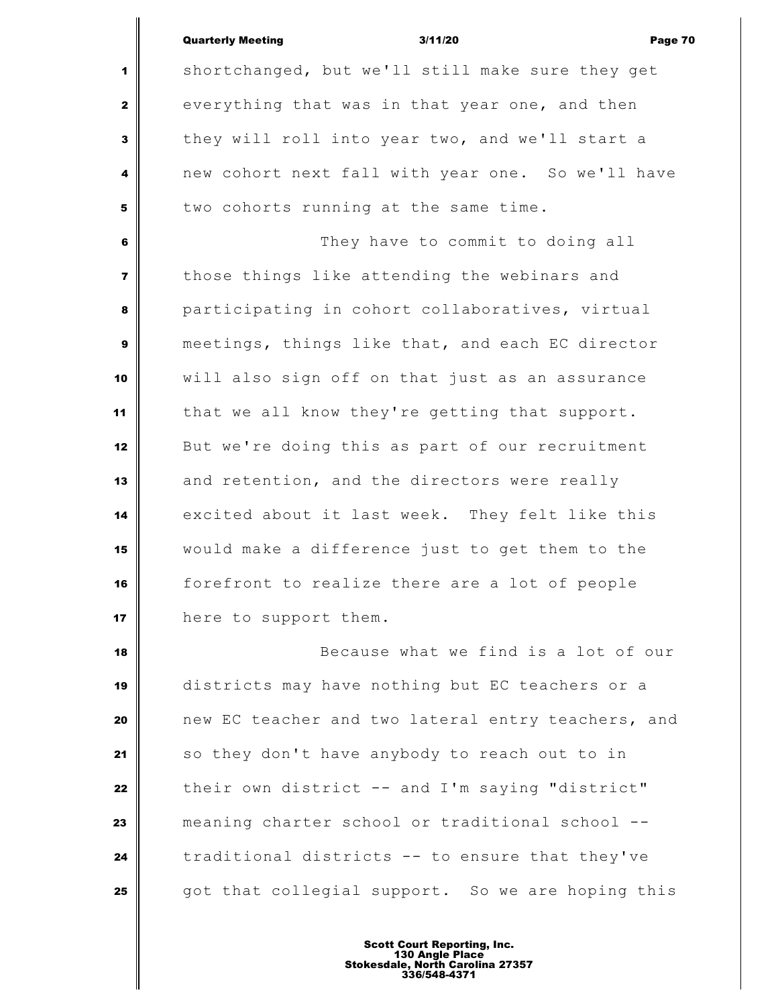|                | <b>Quarterly Meeting</b><br>3/11/20<br>Page 70    |
|----------------|---------------------------------------------------|
| 1              | shortchanged, but we'll still make sure they get  |
| $\mathbf{2}$   | everything that was in that year one, and then    |
| 3              | they will roll into year two, and we'll start a   |
| 4              | new cohort next fall with year one. So we'll have |
| 5              | two cohorts running at the same time.             |
| 6              | They have to commit to doing all                  |
| $\overline{7}$ | those things like attending the webinars and      |
| 8              | participating in cohort collaboratives, virtual   |
| 9              | meetings, things like that, and each EC director  |
| 10             | will also sign off on that just as an assurance   |
| 11             | that we all know they're getting that support.    |
| 12             | But we're doing this as part of our recruitment   |
| 13             | and retention, and the directors were really      |
| 14             | excited about it last week. They felt like this   |
| 15             | would make a difference just to get them to the   |
| 16             | forefront to realize there are a lot of people    |
| 17             | here to support them.                             |
| 18             | Because what we find is a lot of our              |
| 19             | districts may have nothing but EC teachers or a   |

 districts may have nothing but EC teachers or a new EC teacher and two lateral entry teachers, and 21 | so they don't have anybody to reach out to in 22 their own district -- and I'm saying "district" meaning charter school or traditional school -- **traditional districts -- to ensure that they've** got that collegial support. So we are hoping this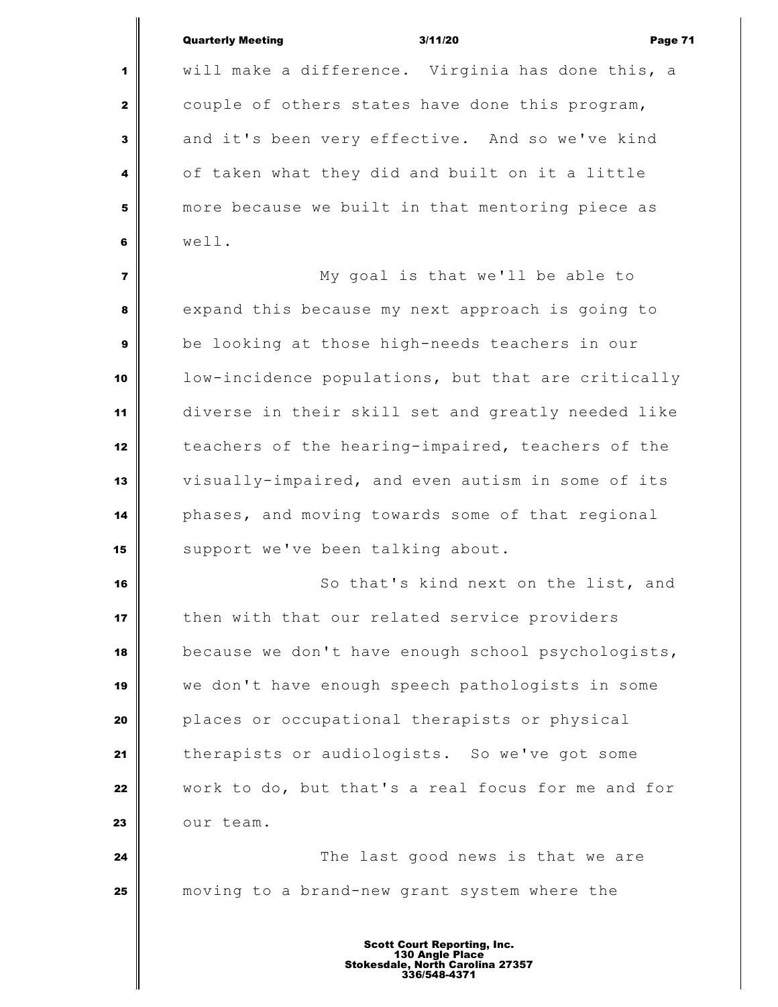|                | <b>Quarterly Meeting</b><br>3/11/20<br>Page 71     |  |  |
|----------------|----------------------------------------------------|--|--|
| 1              | will make a difference. Virginia has done this, a  |  |  |
| $\mathbf{z}$   | couple of others states have done this program,    |  |  |
| 3              | and it's been very effective. And so we've kind    |  |  |
| 4              | of taken what they did and built on it a little    |  |  |
| 5              | more because we built in that mentoring piece as   |  |  |
| 6              | well.                                              |  |  |
| $\overline{7}$ | My goal is that we'll be able to                   |  |  |
| 8              | expand this because my next approach is going to   |  |  |
| 9              | be looking at those high-needs teachers in our     |  |  |
| 10             | low-incidence populations, but that are critically |  |  |
| 11             | diverse in their skill set and greatly needed like |  |  |
| 12             | teachers of the hearing-impaired, teachers of the  |  |  |
| 13             | visually-impaired, and even autism in some of its  |  |  |
| 14             | phases, and moving towards some of that regional   |  |  |
| 15             | support we've been talking about.                  |  |  |
| 16             | So that's kind next on the list, and               |  |  |
| 17             | then with that our related service providers       |  |  |
| 18             | because we don't have enough school psychologists, |  |  |
| 19             | we don't have enough speech pathologists in some   |  |  |
| 20             | places or occupational therapists or physical      |  |  |
| 21             | therapists or audiologists. So we've got some      |  |  |
| 22             | work to do, but that's a real focus for me and for |  |  |
| 23             | our team.                                          |  |  |
| 24             | The last good news is that we are                  |  |  |
| 25             | moving to a brand-new grant system where the       |  |  |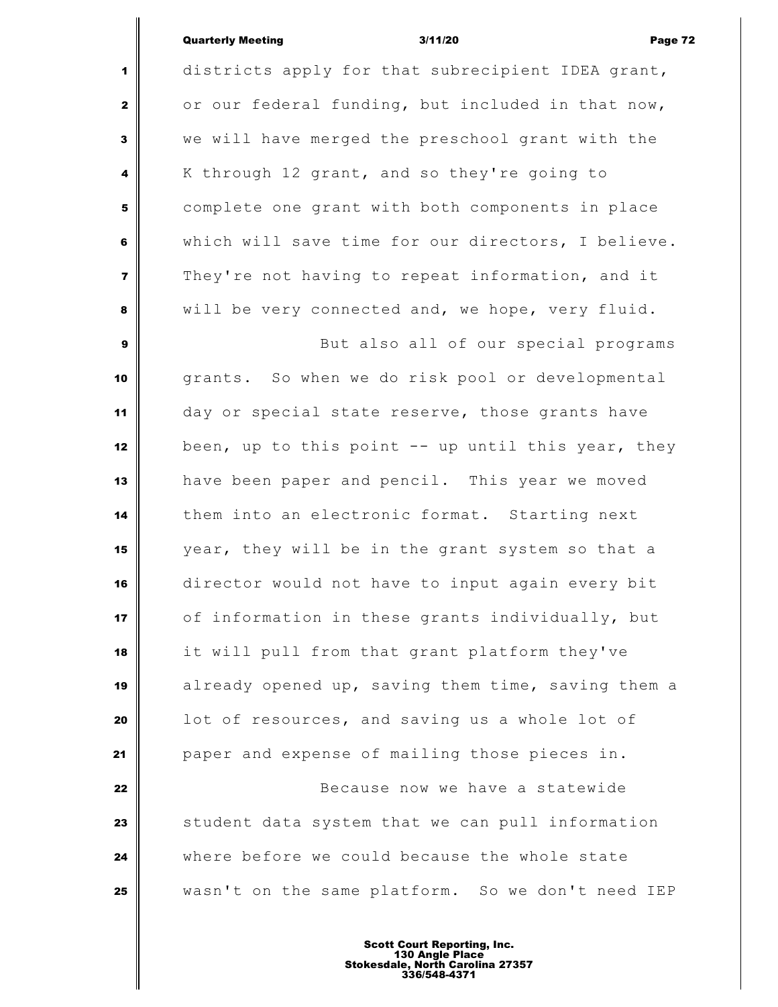| <b>Quarterly Meeting</b> | 3/11/20 | Page 72 |
|--------------------------|---------|---------|

 districts apply for that subrecipient IDEA grant, or our federal funding, but included in that now, we will have merged the preschool grant with the K through 12 grant, and so they're going to complete one grant with both components in place which will save time for our directors, I believe. They're not having to repeat information, and it will be very connected and, we hope, very fluid. But also all of our special programs grants. So when we do risk pool or developmental day or special state reserve, those grants have been, up to this point -- up until this year, they have been paper and pencil. This year we moved them into an electronic format. Starting next year, they will be in the grant system so that a director would not have to input again every bit of information in these grants individually, but it will pull from that grant platform they've already opened up, saving them time, saving them a lot of resources, and saving us a whole lot of paper and expense of mailing those pieces in. **Because now we have a statewide**  Student data system that we can pull information where before we could because the whole state wasn't on the same platform. So we don't need IEP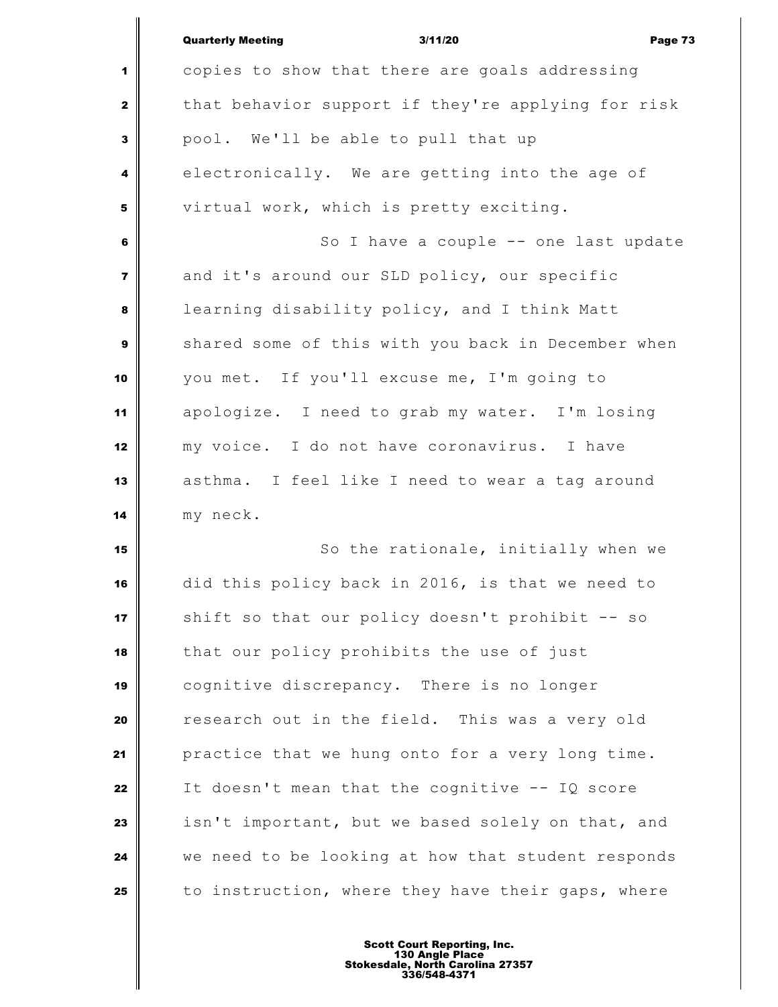|                         | <b>Quarterly Meeting</b><br>3/11/20<br>Page 73     |
|-------------------------|----------------------------------------------------|
| 1                       | copies to show that there are goals addressing     |
| $\mathbf{2}$            | that behavior support if they're applying for risk |
| 3                       | pool. We'll be able to pull that up                |
| 4                       | electronically. We are getting into the age of     |
| 5                       | virtual work, which is pretty exciting.            |
| 6                       | So I have a couple -- one last update              |
| $\overline{\mathbf{z}}$ | and it's around our SLD policy, our specific       |
| 8                       | learning disability policy, and I think Matt       |
| $\mathbf{9}$            | shared some of this with you back in December when |
| 10                      | you met. If you'll excuse me, I'm going to         |
| 11                      | apologize. I need to grab my water. I'm losing     |
| 12                      | my voice. I do not have coronavirus. I have        |
| 13                      | asthma. I feel like I need to wear a tag around    |
| 14                      | my neck.                                           |
| 15                      | So the rationale, initially when we                |
| 16                      | did this policy back in 2016, is that we need to   |
| 17                      | shift so that our policy doesn't prohibit -- so    |
| 18                      | that our policy prohibits the use of just          |
| 19                      | cognitive discrepancy. There is no longer          |
| 20                      | research out in the field. This was a very old     |
| 21                      | practice that we hung onto for a very long time.   |
| 22                      | It doesn't mean that the cognitive -- IQ score     |
| 23                      | isn't important, but we based solely on that, and  |
| 24                      | we need to be looking at how that student responds |
| 25                      | to instruction, where they have their gaps, where  |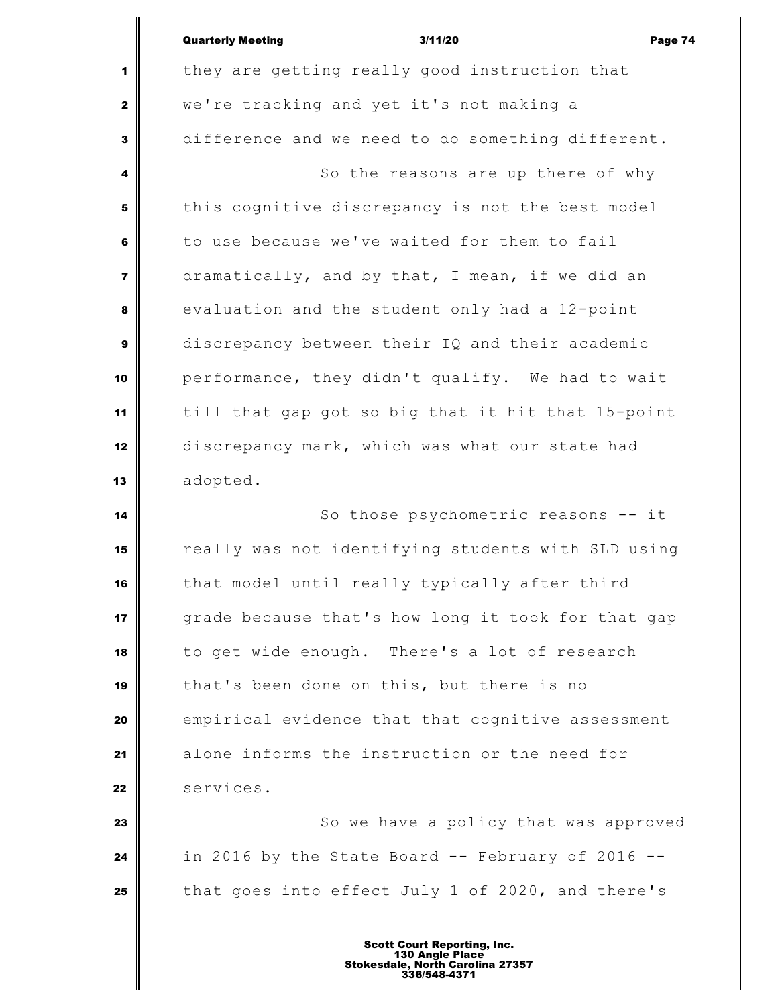|                         | <b>Quarterly Meeting</b><br>3/11/20<br>Page 74     |
|-------------------------|----------------------------------------------------|
| 1                       | they are getting really good instruction that      |
| $\mathbf{2}$            | we're tracking and yet it's not making a           |
| $\mathbf{3}$            | difference and we need to do something different.  |
| 4                       | So the reasons are up there of why                 |
| 5                       | this cognitive discrepancy is not the best model   |
| $\bf 6$                 | to use because we've waited for them to fail       |
| $\overline{\mathbf{z}}$ | dramatically, and by that, I mean, if we did an    |
| 8                       | evaluation and the student only had a 12-point     |
| $\boldsymbol{9}$        | discrepancy between their IQ and their academic    |
| 10                      | performance, they didn't qualify. We had to wait   |
| 11                      | till that gap got so big that it hit that 15-point |
| 12                      | discrepancy mark, which was what our state had     |
| 13                      | adopted.                                           |
| 14                      | So those psychometric reasons -- it                |
| 15                      | really was not identifying students with SLD using |
| 16                      | that model until really typically after third      |
| 17                      | grade because that's how long it took for that gap |
| 18                      | to get wide enough. There's a lot of research      |
| 19                      | that's been done on this, but there is no          |
| 20                      | empirical evidence that that cognitive assessment  |
| 21                      | alone informs the instruction or the need for      |
| 22                      | services.                                          |
| 23                      | So we have a policy that was approved              |
| 24                      | in 2016 by the State Board -- February of 2016 --  |
| 25                      | that goes into effect July 1 of 2020, and there's  |
|                         |                                                    |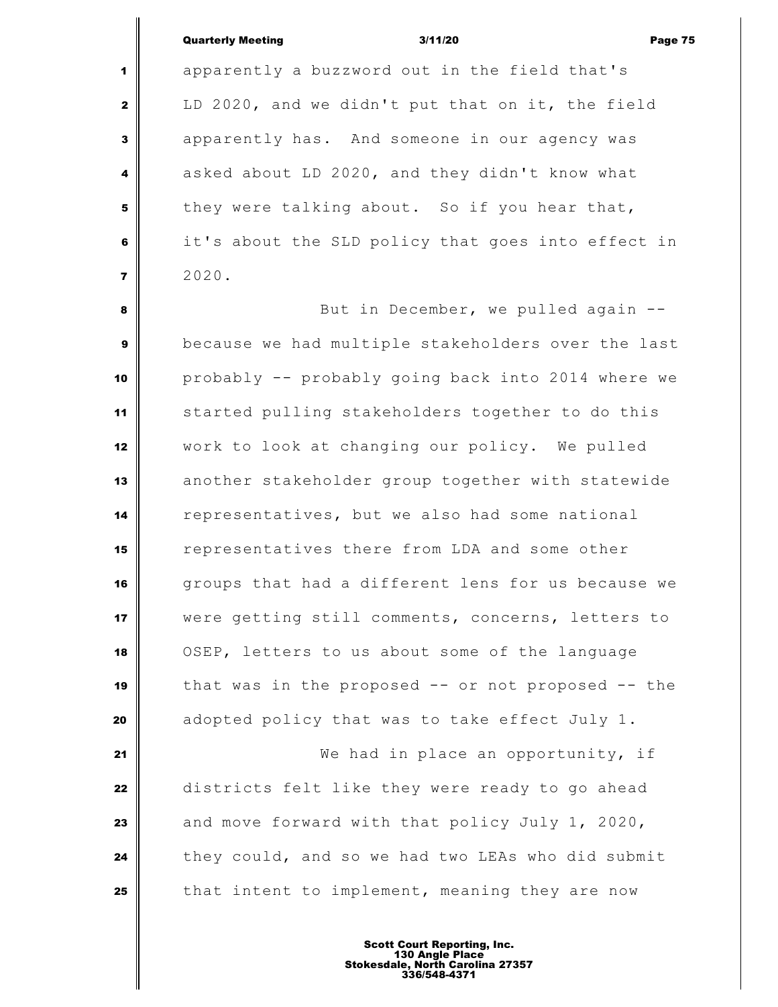apparently a buzzword out in the field that's LD 2020, and we didn't put that on it, the field apparently has. And someone in our agency was asked about LD 2020, and they didn't know what they were talking about. So if you hear that, it's about the SLD policy that goes into effect in 2020.

 But in December, we pulled again -- because we had multiple stakeholders over the last probably -- probably going back into 2014 where we started pulling stakeholders together to do this work to look at changing our policy. We pulled another stakeholder group together with statewide representatives, but we also had some national representatives there from LDA and some other groups that had a different lens for us because we were getting still comments, concerns, letters to OSEP, letters to us about some of the language that was in the proposed -- or not proposed -- the adopted policy that was to take effect July 1. We had in place an opportunity, if districts felt like they were ready to go ahead and move forward with that policy July 1, 2020, they could, and so we had two LEAs who did submit that intent to implement, meaning they are now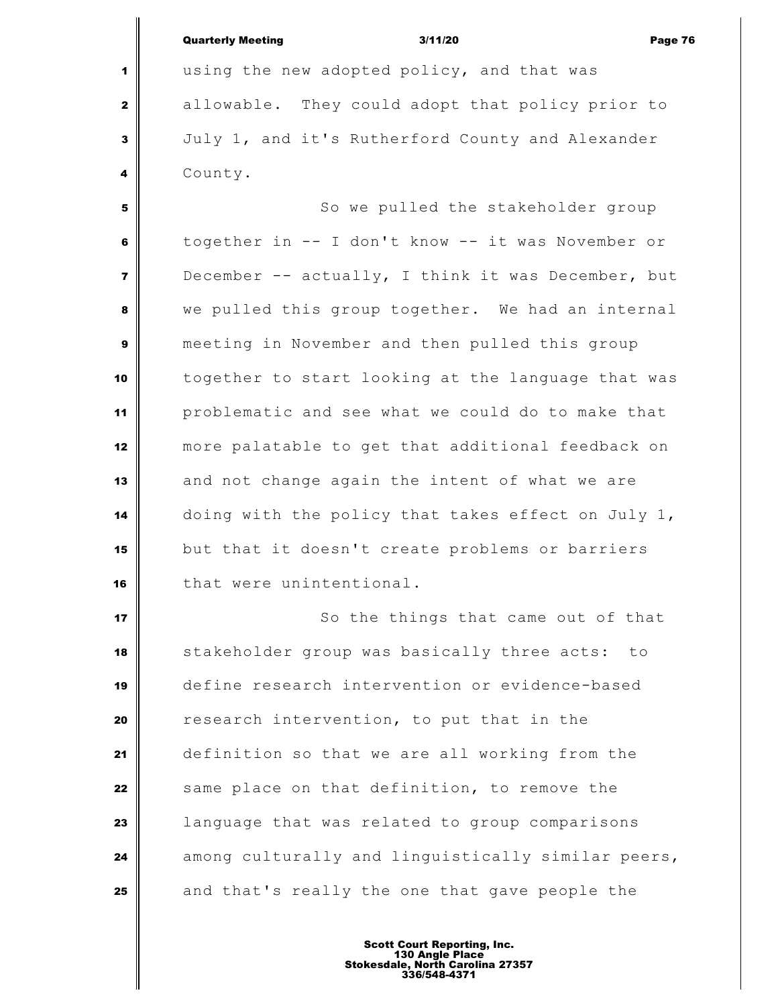|                         | <b>Quarterly Meeting</b><br>3/11/20<br>Page 76     |
|-------------------------|----------------------------------------------------|
| 1                       | using the new adopted policy, and that was         |
| 2                       | allowable. They could adopt that policy prior to   |
| 3                       | July 1, and it's Rutherford County and Alexander   |
| 4                       | County.                                            |
| 5                       | So we pulled the stakeholder group                 |
| 6                       | together in -- I don't know -- it was November or  |
| $\overline{\mathbf{z}}$ | December -- actually, I think it was December, but |
| 8                       | we pulled this group together. We had an internal  |
| 9                       | meeting in November and then pulled this group     |
| 10                      | together to start looking at the language that was |
| 11                      | problematic and see what we could do to make that  |
| 12                      | more palatable to get that additional feedback on  |
| 13                      | and not change again the intent of what we are     |
| 14                      | doing with the policy that takes effect on July 1, |
| 15                      | but that it doesn't create problems or barriers    |
| 16                      | that were unintentional.                           |
| 17                      | So the things that came out of that                |
| 18                      | stakeholder group was basically three acts: to     |
| 19                      | define research intervention or evidence-based     |
| 20                      | research intervention, to put that in the          |
| 21                      | definition so that we are all working from the     |
| 22                      | same place on that definition, to remove the       |
| 23                      | language that was related to group comparisons     |
| 24                      | among culturally and linguistically similar peers, |
| 25                      | and that's really the one that gave people the     |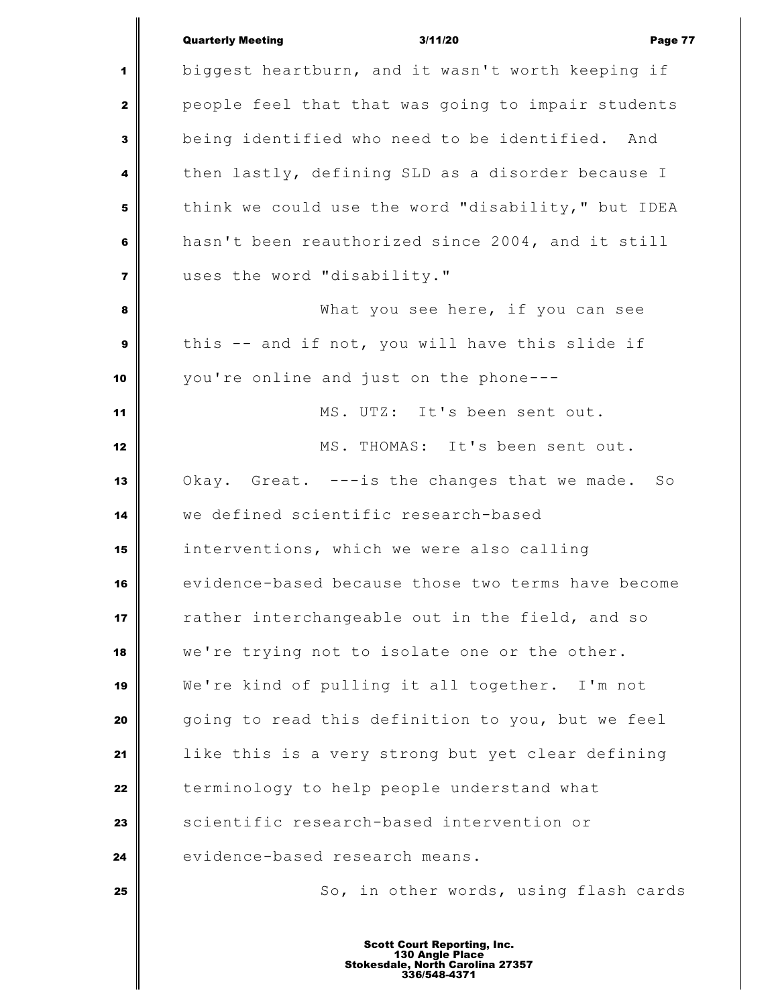|                | <b>Quarterly Meeting</b>                           | 3/11/20                               | Page 77 |
|----------------|----------------------------------------------------|---------------------------------------|---------|
| 1              | biggest heartburn, and it wasn't worth keeping if  |                                       |         |
| $\mathbf{z}$   | people feel that that was going to impair students |                                       |         |
| 3              | being identified who need to be identified. And    |                                       |         |
| 4              | then lastly, defining SLD as a disorder because I  |                                       |         |
| 5              | think we could use the word "disability," but IDEA |                                       |         |
| 6              | hasn't been reauthorized since 2004, and it still  |                                       |         |
| $\overline{ }$ | uses the word "disability."                        |                                       |         |
| 8              |                                                    | What you see here, if you can see     |         |
| $\mathbf{9}$   | this -- and if not, you will have this slide if    |                                       |         |
| 10             | you're online and just on the phone---             |                                       |         |
| 11             |                                                    | MS. UTZ: It's been sent out.          |         |
| 12             |                                                    | MS. THOMAS: It's been sent out.       |         |
| 13             | Okay. Great. ---is the changes that we made.       |                                       | SO      |
| 14             | we defined scientific research-based               |                                       |         |
| 15             | interventions, which we were also calling          |                                       |         |
| 16             | evidence-based because those two terms have become |                                       |         |
| 17             | rather interchangeable out in the field, and so    |                                       |         |
| 18             | we're trying not to isolate one or the other.      |                                       |         |
| 19             | We're kind of pulling it all together. I'm not     |                                       |         |
| 20             | going to read this definition to you, but we feel  |                                       |         |
| 21             | like this is a very strong but yet clear defining  |                                       |         |
| 22             | terminology to help people understand what         |                                       |         |
| 23             | scientific research-based intervention or          |                                       |         |
| 24             | evidence-based research means.                     |                                       |         |
| 25             |                                                    | So, in other words, using flash cards |         |
|                |                                                    |                                       |         |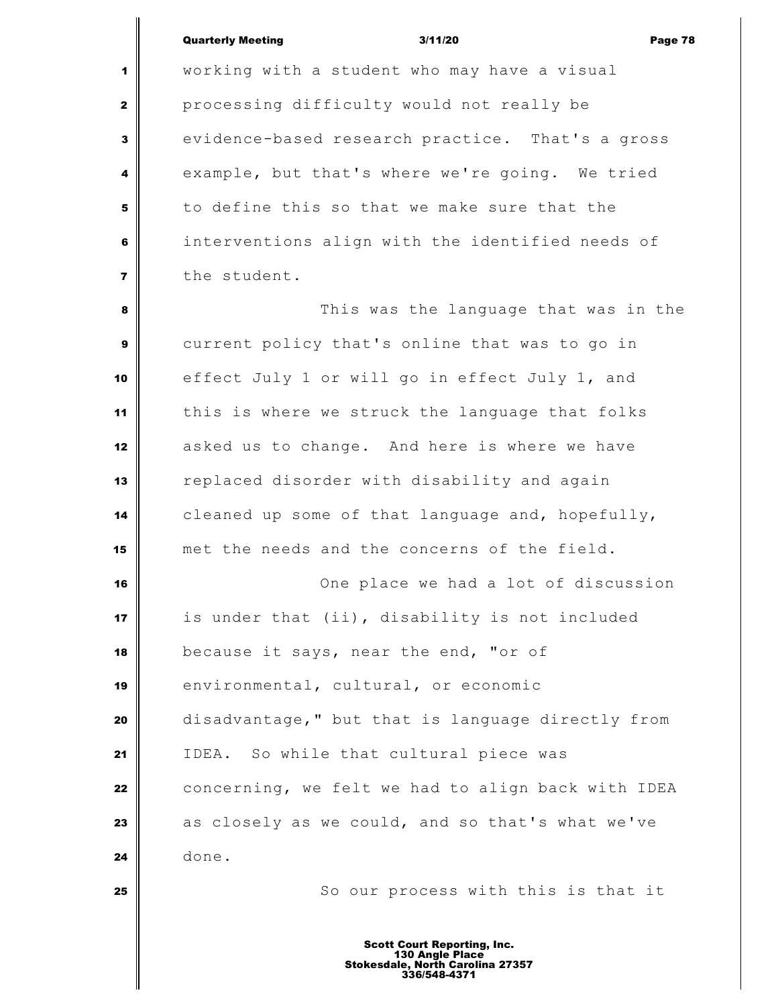working with a student who may have a visual processing difficulty would not really be evidence-based research practice. That's a gross example, but that's where we're going. We tried to define this so that we make sure that the interventions align with the identified needs of the student.

 This was the language that was in the current policy that's online that was to go in effect July 1 or will go in effect July 1, and this is where we struck the language that folks asked us to change. And here is where we have replaced disorder with disability and again cleaned up some of that language and, hopefully, met the needs and the concerns of the field. **I One place we had a lot of discussion**  is under that (ii), disability is not included because it says, near the end, "or of environmental, cultural, or economic disadvantage," but that is language directly from IDEA. So while that cultural piece was concerning, we felt we had to align back with IDEA as closely as we could, and so that's what we've done.

So our process with this is that it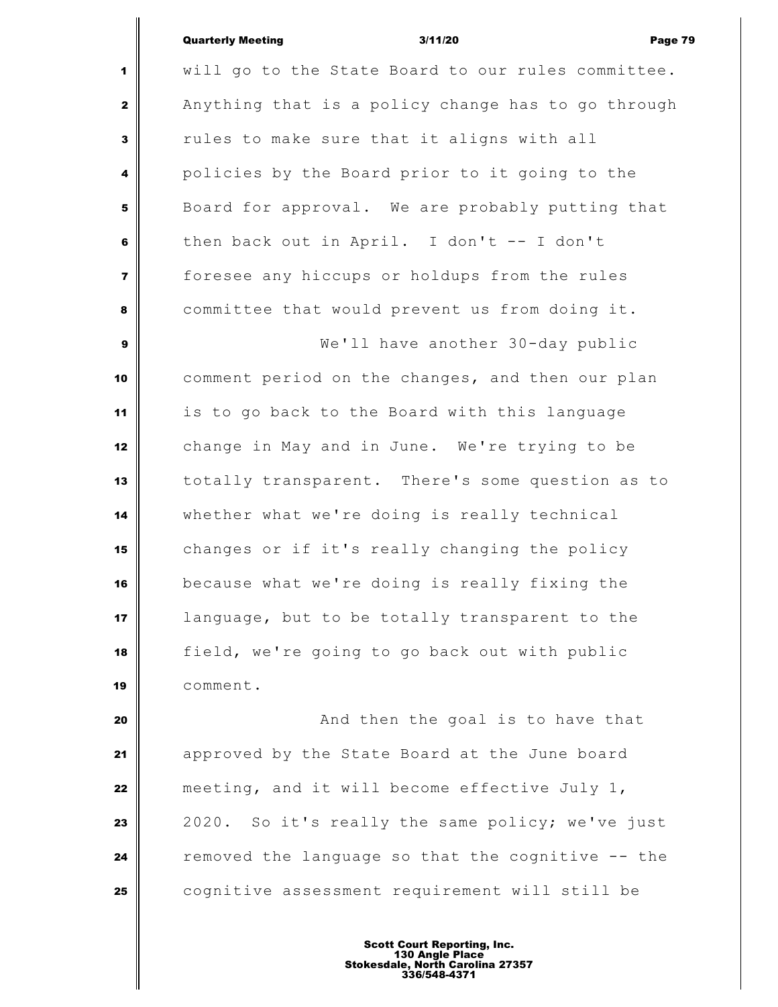will go to the State Board to our rules committee. Anything that is a policy change has to go through rules to make sure that it aligns with all policies by the Board prior to it going to the Board for approval. We are probably putting that then back out in April. I don't -- I don't foresee any hiccups or holdups from the rules committee that would prevent us from doing it. We'll have another 30-day public comment period on the changes, and then our plan is to go back to the Board with this language change in May and in June. We're trying to be totally transparent. There's some question as to whether what we're doing is really technical changes or if it's really changing the policy because what we're doing is really fixing the language, but to be totally transparent to the field, we're going to go back out with public comment. **And then the goal is to have that** approved by the State Board at the June board

 meeting, and it will become effective July 1, | 2020. So it's really the same policy; we've just removed the language so that the cognitive -- the cognitive assessment requirement will still be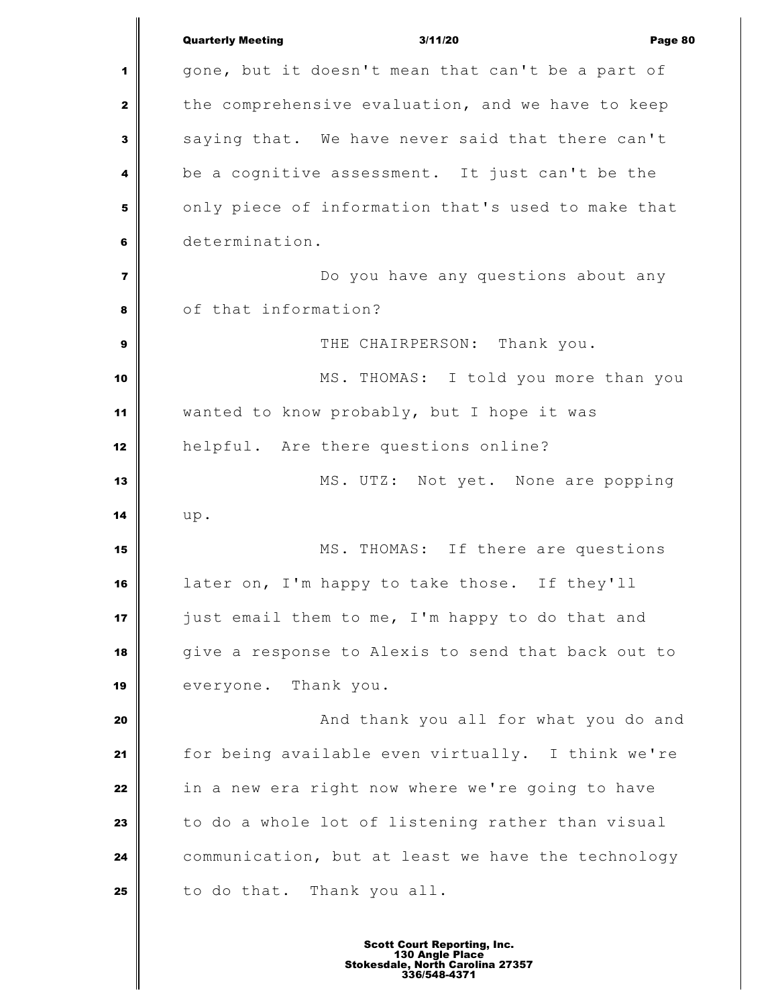|                | <b>Quarterly Meeting</b><br>3/11/20<br>Page 80     |
|----------------|----------------------------------------------------|
| 1              | gone, but it doesn't mean that can't be a part of  |
| $\mathbf{z}$   | the comprehensive evaluation, and we have to keep  |
| 3              | saying that. We have never said that there can't   |
| 4              | be a cognitive assessment. It just can't be the    |
| 5              | only piece of information that's used to make that |
| 6              | determination.                                     |
| $\overline{7}$ | Do you have any questions about any                |
| 8              | of that information?                               |
| 9              | THE CHAIRPERSON: Thank you.                        |
| 10             | MS. THOMAS: I told you more than you               |
| 11             | wanted to know probably, but I hope it was         |
| 12             | helpful. Are there questions online?               |
| 13             | MS. UTZ: Not yet. None are popping                 |
| 14             | up.                                                |
| 15             | MS. THOMAS: If there are questions                 |
| 16             | later on, I'm happy to take those. If they'll      |
| 17             | just email them to me, I'm happy to do that and    |
| 18             | give a response to Alexis to send that back out to |
| 19             | everyone. Thank you.                               |
| 20             | And thank you all for what you do and              |
| 21             | for being available even virtually. I think we're  |
| 22             | in a new era right now where we're going to have   |
| 23             | to do a whole lot of listening rather than visual  |
| 24             | communication, but at least we have the technology |
| 25             | to do that. Thank you all.                         |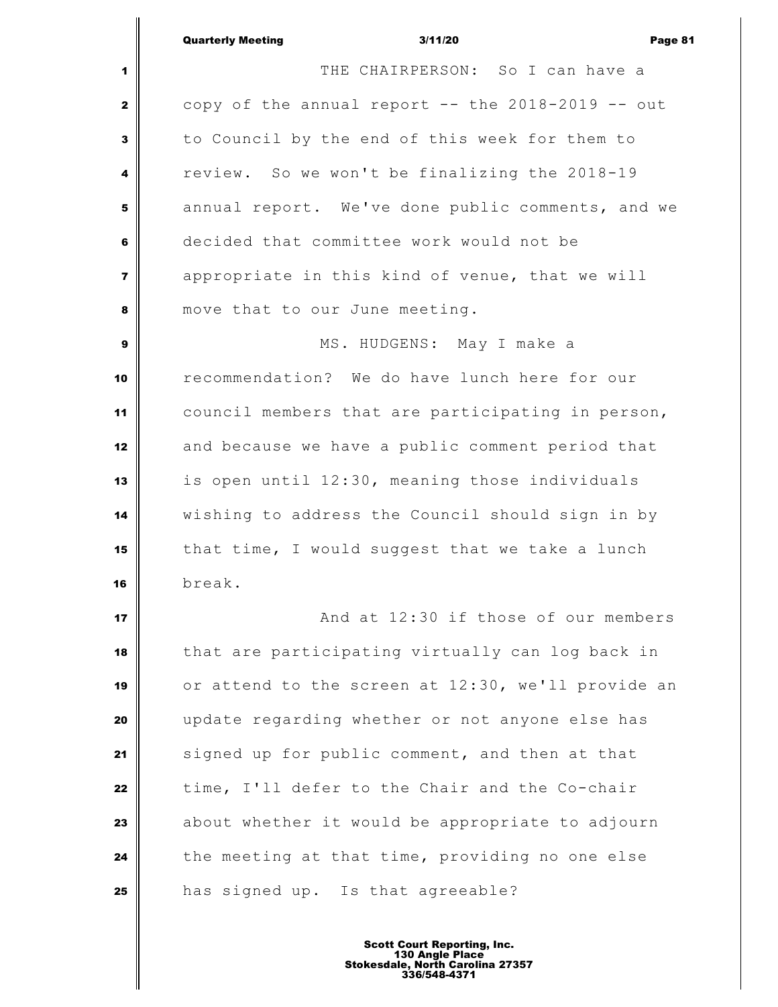Quarterly Meeting 3/11/20 Page 81 THE CHAIRPERSON: So I can have a copy of the annual report  $--$  the 2018-2019  $--$  out to Council by the end of this week for them to review. So we won't be finalizing the 2018-19 annual report. We've done public comments, and we decided that committee work would not be appropriate in this kind of venue, that we will move that to our June meeting. MS. HUDGENS: May I make a recommendation? We do have lunch here for our council members that are participating in person, and because we have a public comment period that is open until 12:30, meaning those individuals wishing to address the Council should sign in by that time, I would suggest that we take a lunch break. **And at 12:30 if those of our members**  that are participating virtually can log back in or attend to the screen at 12:30, we'll provide an update regarding whether or not anyone else has signed up for public comment, and then at that time, I'll defer to the Chair and the Co-chair about whether it would be appropriate to adjourn the meeting at that time, providing no one else has signed up. Is that agreeable?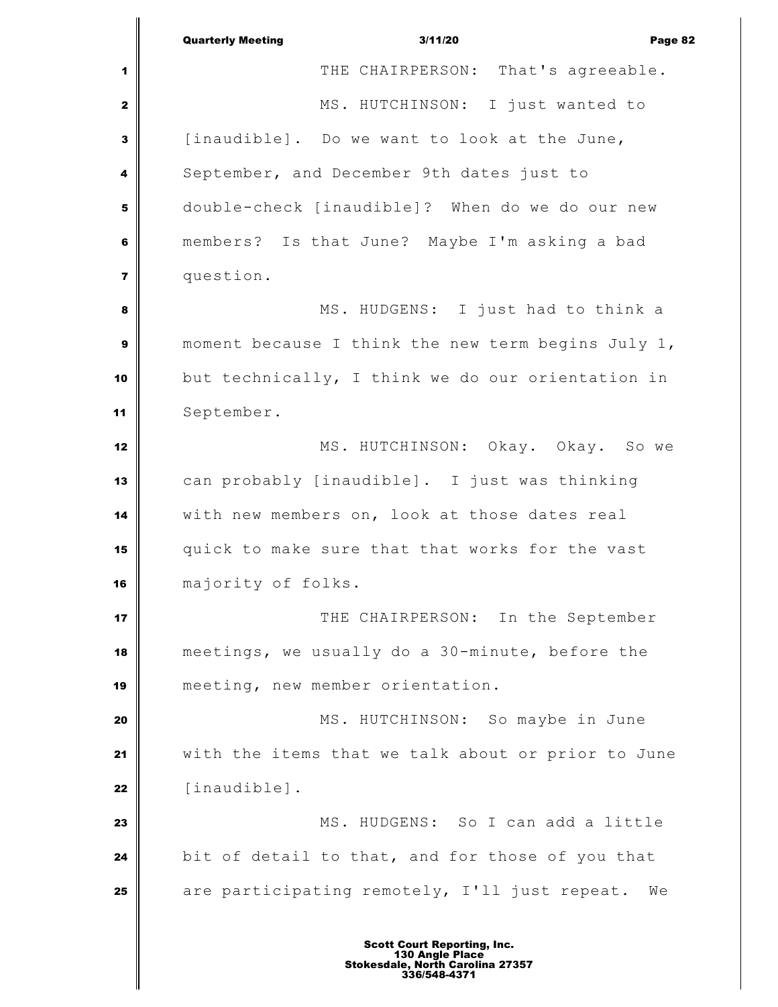|                | 3/11/20<br><b>Quarterly Meeting</b><br>Page 82      |
|----------------|-----------------------------------------------------|
| 1              | THE CHAIRPERSON: That's agreeable.                  |
| $\mathbf{2}$   | MS. HUTCHINSON: I just wanted to                    |
| $\mathbf{3}$   | [inaudible]. Do we want to look at the June,        |
| 4              | September, and December 9th dates just to           |
| 5              | double-check [inaudible]? When do we do our new     |
| 6              | members? Is that June? Maybe I'm asking a bad       |
| $\overline{7}$ | question.                                           |
| 8              | MS. HUDGENS: I just had to think a                  |
| $\mathbf{9}$   | moment because I think the new term begins July 1,  |
| 10             | but technically, I think we do our orientation in   |
| 11             | September.                                          |
| 12             | MS. HUTCHINSON: Okay. Okay. So we                   |
| 13             | can probably [inaudible]. I just was thinking       |
| 14             | with new members on, look at those dates real       |
| 15             | quick to make sure that that works for the vast     |
| 16             | majority of folks.                                  |
| 17             | THE CHAIRPERSON: In the September                   |
| 18             | meetings, we usually do a 30-minute, before the     |
| 19             | meeting, new member orientation.                    |
| 20             | MS. HUTCHINSON: So maybe in June                    |
| 21             | with the items that we talk about or prior to June  |
| 22             | [inaudible].                                        |
| 23             | MS. HUDGENS: So I can add a little                  |
| 24             | bit of detail to that, and for those of you that    |
| 25             | are participating remotely, I'll just repeat.<br>We |
|                |                                                     |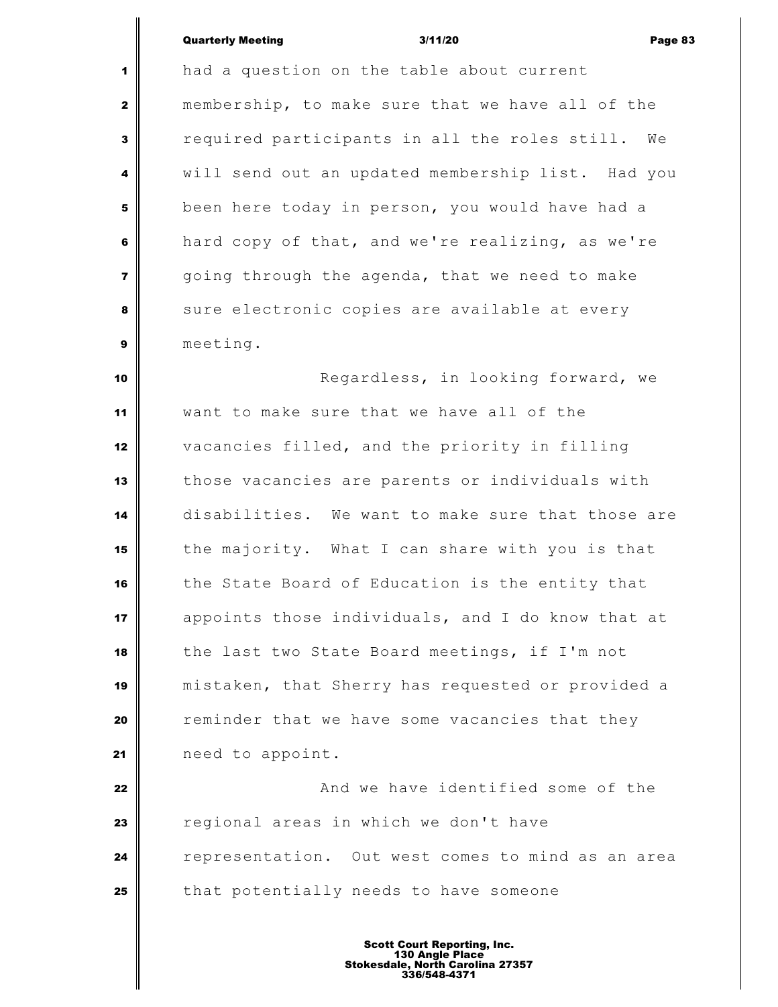had a question on the table about current membership, to make sure that we have all of the required participants in all the roles still. We will send out an updated membership list. Had you been here today in person, you would have had a hard copy of that, and we're realizing, as we're going through the agenda, that we need to make sure electronic copies are available at every meeting. Regardless, in looking forward, we want to make sure that we have all of the vacancies filled, and the priority in filling those vacancies are parents or individuals with disabilities. We want to make sure that those are

 the majority. What I can share with you is that the State Board of Education is the entity that appoints those individuals, and I do know that at the last two State Board meetings, if I'm not mistaken, that Sherry has requested or provided a **c** reminder that we have some vacancies that they need to appoint.

 **And we have identified some of the**  regional areas in which we don't have **representation.** Out west comes to mind as an area that potentially needs to have someone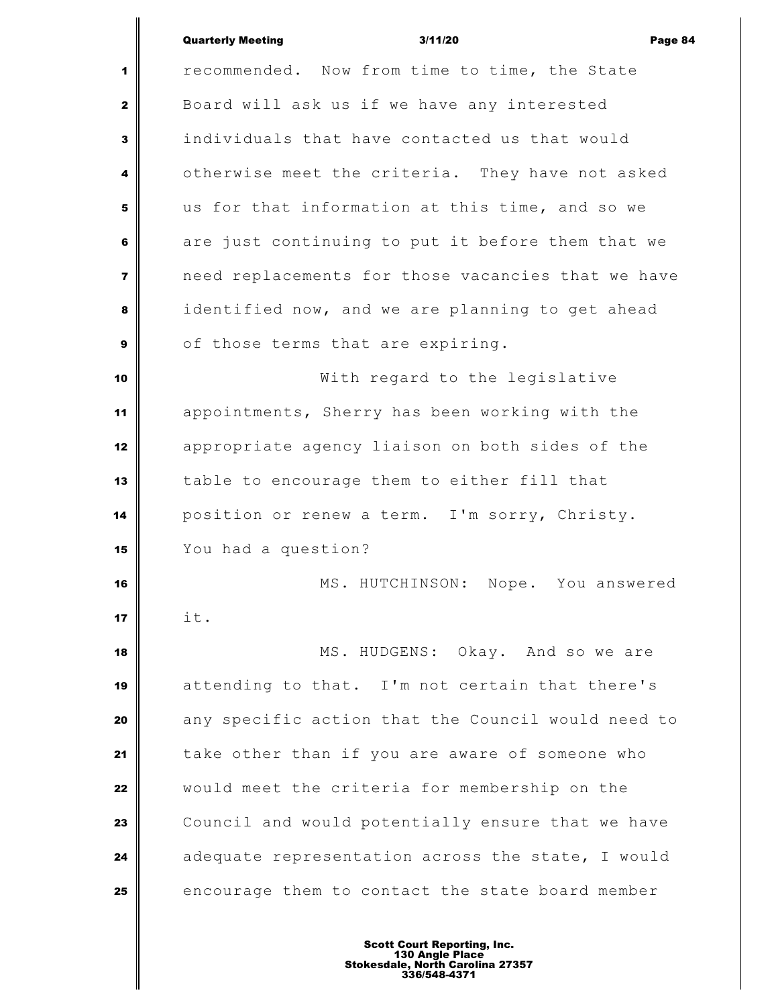|                         | <b>Quarterly Meeting</b><br>3/11/20<br>Page 84     |
|-------------------------|----------------------------------------------------|
| 1                       | recommended. Now from time to time, the State      |
| 2                       | Board will ask us if we have any interested        |
| 3                       | individuals that have contacted us that would      |
| 4                       | otherwise meet the criteria. They have not asked   |
| 5                       | us for that information at this time, and so we    |
|                         | are just continuing to put it before them that we  |
| 6                       |                                                    |
| $\overline{\mathbf{r}}$ | need replacements for those vacancies that we have |
| 8                       | identified now, and we are planning to get ahead   |
| 9                       | of those terms that are expiring.                  |
| 10                      | With regard to the legislative                     |
| 11                      | appointments, Sherry has been working with the     |
| 12                      | appropriate agency liaison on both sides of the    |
| 13                      | table to encourage them to either fill that        |
| 14                      | position or renew a term. I'm sorry, Christy.      |
| 15                      | You had a question?                                |
| 16                      | MS. HUTCHINSON: Nope. You answered                 |
| 17                      | it.                                                |
| 18                      | MS. HUDGENS: Okay. And so we are                   |
| 19                      | attending to that. I'm not certain that there's    |
| 20                      | any specific action that the Council would need to |
| 21                      | take other than if you are aware of someone who    |
| 22                      | would meet the criteria for membership on the      |
| 23                      | Council and would potentially ensure that we have  |
| 24                      | adequate representation across the state, I would  |
| 25                      | encourage them to contact the state board member   |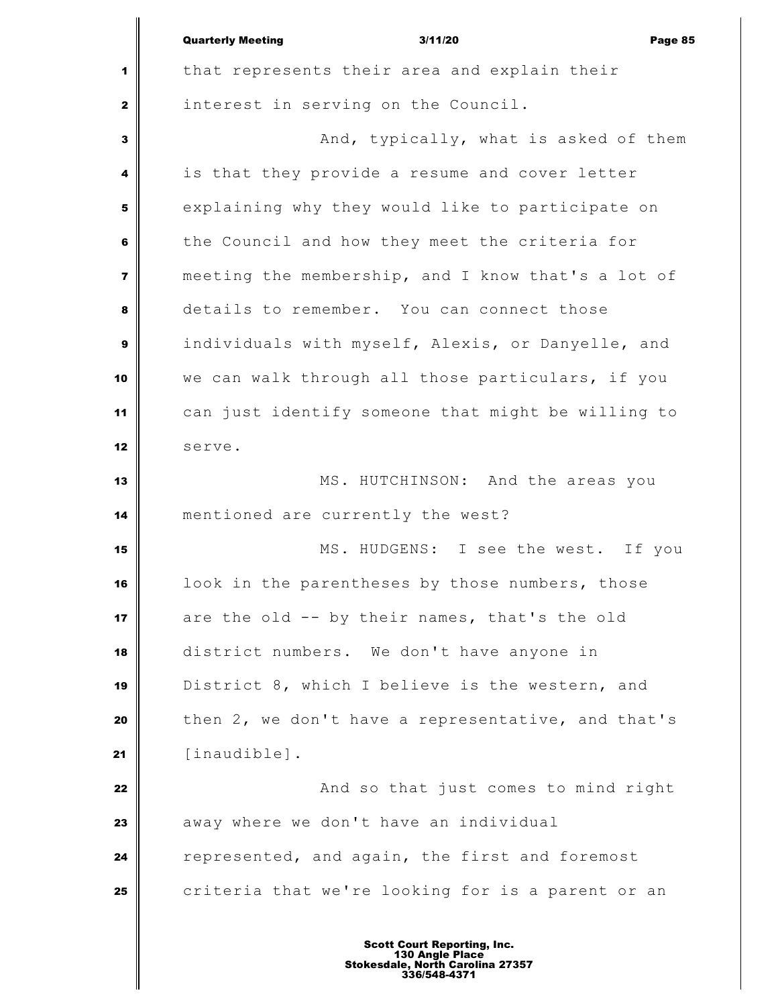|                         | <b>Quarterly Meeting</b><br>3/11/20<br>Page 85     |
|-------------------------|----------------------------------------------------|
| 1                       | that represents their area and explain their       |
| $\mathbf{2}$            | interest in serving on the Council.                |
| 3                       | And, typically, what is asked of them              |
| 4                       | is that they provide a resume and cover letter     |
| 5                       | explaining why they would like to participate on   |
| 6                       | the Council and how they meet the criteria for     |
| $\overline{\mathbf{z}}$ | meeting the membership, and I know that's a lot of |
| 8                       | details to remember. You can connect those         |
| 9                       | individuals with myself, Alexis, or Danyelle, and  |
| 10                      | we can walk through all those particulars, if you  |
| 11                      | can just identify someone that might be willing to |
| 12                      | serve.                                             |
| 13                      | MS. HUTCHINSON: And the areas you                  |
| 14                      | mentioned are currently the west?                  |
| 15                      | MS. HUDGENS: I see the west. If you                |
| 16                      | look in the parentheses by those numbers, those    |
| 17                      | are the old -- by their names, that's the old      |
| 18                      | district numbers. We don't have anyone in          |
| 19                      | District 8, which I believe is the western, and    |
| 20                      | then 2, we don't have a representative, and that's |
| 21                      | [inaudible].                                       |
| 22                      | And so that just comes to mind right               |
| 23                      | away where we don't have an individual             |
| 24                      | represented, and again, the first and foremost     |
| 25                      | criteria that we're looking for is a parent or an  |
|                         |                                                    |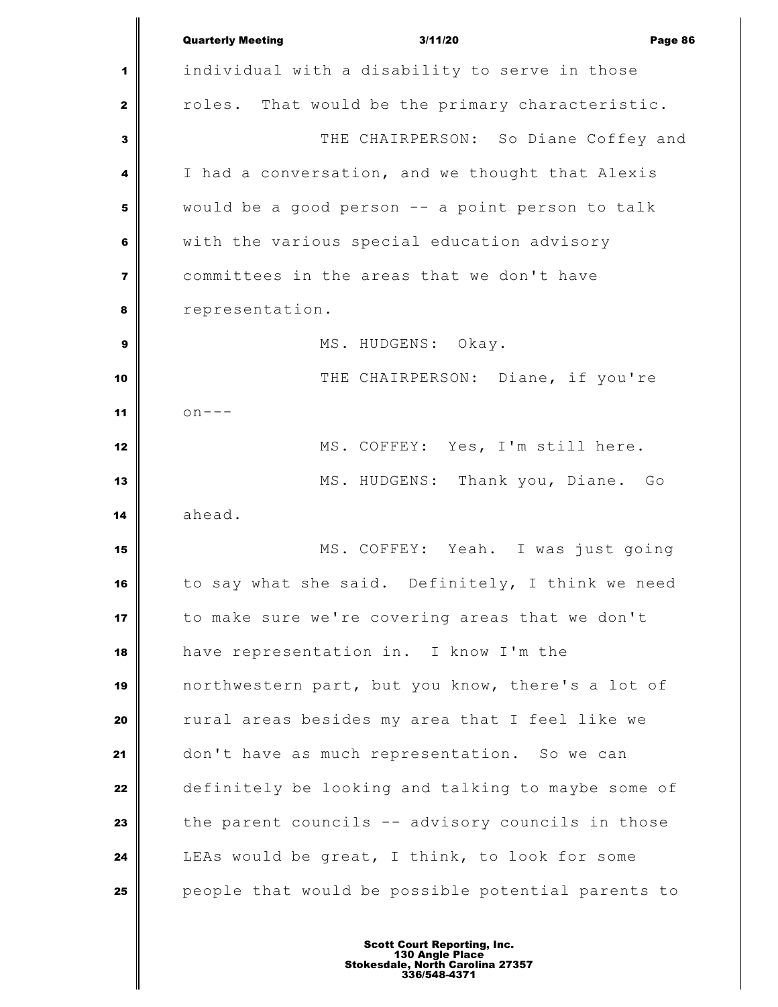|                         | <b>Quarterly Meeting</b><br>3/11/20<br>Page 86     |
|-------------------------|----------------------------------------------------|
| 1                       | individual with a disability to serve in those     |
| $\mathbf{z}$            | roles. That would be the primary characteristic.   |
| $\mathbf{3}$            | THE CHAIRPERSON: So Diane Coffey and               |
| 4                       | I had a conversation, and we thought that Alexis   |
| 5                       | would be a good person -- a point person to talk   |
| 6                       | with the various special education advisory        |
| $\overline{\mathbf{z}}$ | committees in the areas that we don't have         |
| 8                       | representation.                                    |
| 9                       | MS. HUDGENS: Okay.                                 |
| 10                      | THE CHAIRPERSON: Diane, if you're                  |
| 11                      | $on---$                                            |
| 12                      | MS. COFFEY: Yes, I'm still here.                   |
| 13                      | MS. HUDGENS: Thank you, Diane. Go                  |
| 14                      | ahead.                                             |
| 15                      | MS. COFFEY: Yeah. I was just going                 |
| 16                      | to say what she said. Definitely, I think we need  |
| 17                      | to make sure we're covering areas that we don't    |
| 18                      | have representation in. I know I'm the             |
| 19                      | northwestern part, but you know, there's a lot of  |
| 20                      | rural areas besides my area that I feel like we    |
| 21                      | don't have as much representation. So we can       |
| 22                      | definitely be looking and talking to maybe some of |
| 23                      | the parent councils -- advisory councils in those  |
| 24                      | LEAs would be great, I think, to look for some     |
| 25                      | people that would be possible potential parents to |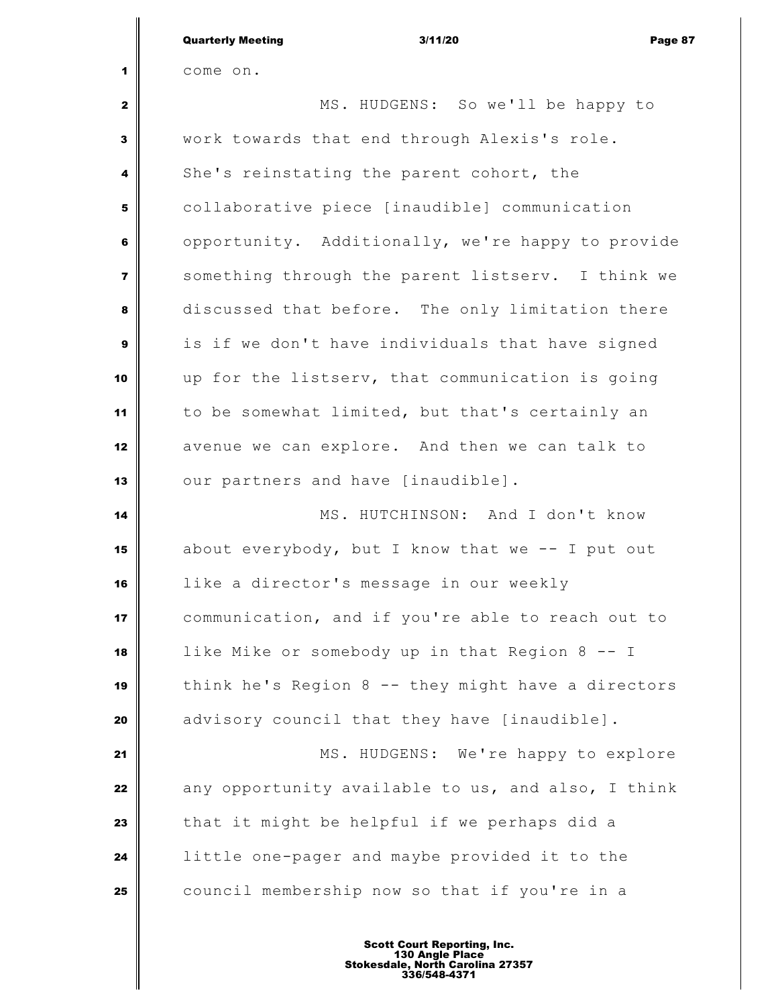|                         | <b>Quarterly Meeting</b><br>3/11/20<br>Page 87     |
|-------------------------|----------------------------------------------------|
| 1                       | come on.                                           |
| 2                       | MS. HUDGENS: So we'll be happy to                  |
| 3                       | work towards that end through Alexis's role.       |
| 4                       | She's reinstating the parent cohort, the           |
| 5                       | collaborative piece [inaudible] communication      |
| 6                       | opportunity. Additionally, we're happy to provide  |
| $\overline{\mathbf{z}}$ | something through the parent listserv. I think we  |
| 8                       | discussed that before. The only limitation there   |
| 9                       | is if we don't have individuals that have signed   |
| 10                      | up for the listserv, that communication is going   |
| 11                      | to be somewhat limited, but that's certainly an    |
| 12                      | avenue we can explore. And then we can talk to     |
| 13                      | our partners and have [inaudible].                 |
| 14                      | MS. HUTCHINSON: And I don't know                   |
| 15                      | about everybody, but I know that we -- I put out   |
| 16                      | like a director's message in our weekly            |
| 17                      | communication, and if you're able to reach out to  |
| 18                      | like Mike or somebody up in that Region 8 -- I     |
| 19                      | think he's Region 8 -- they might have a directors |
| 20                      | advisory council that they have [inaudible].       |
| 21                      | MS. HUDGENS: We're happy to explore                |
| 22                      | any opportunity available to us, and also, I think |
| 23                      | that it might be helpful if we perhaps did a       |
| 24                      | little one-pager and maybe provided it to the      |
| 25                      | council membership now so that if you're in a      |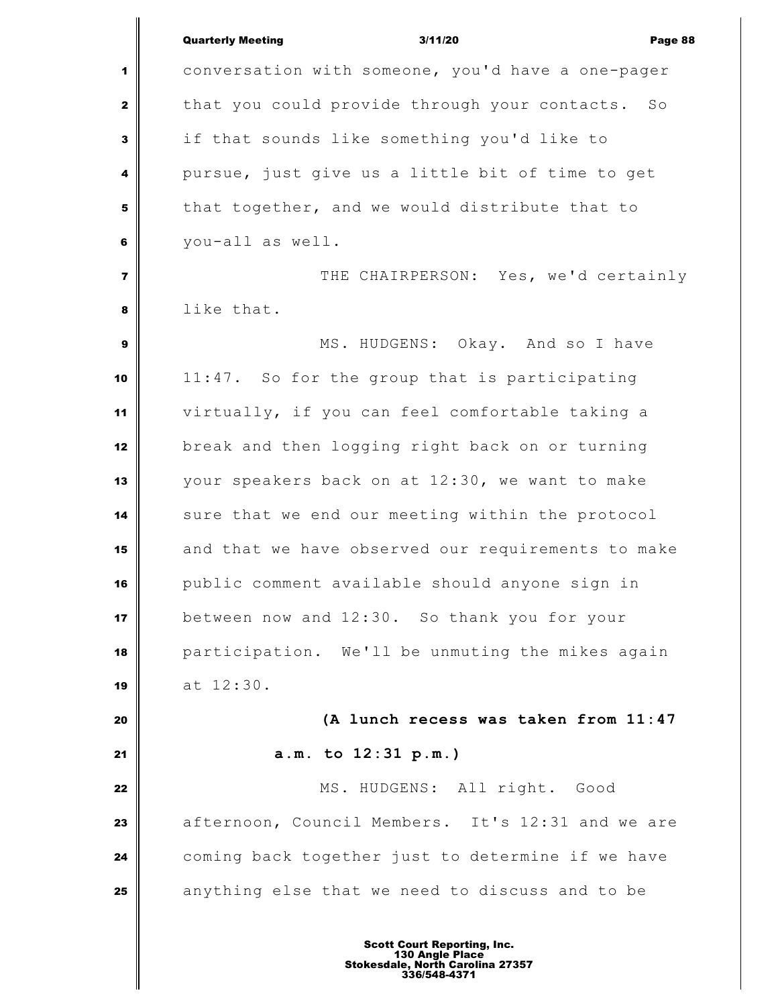|                         | <b>Quarterly Meeting</b><br>3/11/20<br>Page 88     |
|-------------------------|----------------------------------------------------|
| 1                       | conversation with someone, you'd have a one-pager  |
| $\mathbf{2}$            | that you could provide through your contacts. So   |
| 3                       | if that sounds like something you'd like to        |
| 4                       | pursue, just give us a little bit of time to get   |
| 5                       | that together, and we would distribute that to     |
| 6                       | you-all as well.                                   |
| $\overline{\mathbf{z}}$ | THE CHAIRPERSON: Yes, we'd certainly               |
| 8                       | like that.                                         |
| 9                       | MS. HUDGENS: Okay. And so I have                   |
| 10                      | 11:47. So for the group that is participating      |
| 11                      | virtually, if you can feel comfortable taking a    |
| 12                      | break and then logging right back on or turning    |
| 13                      | your speakers back on at 12:30, we want to make    |
| 14                      | sure that we end our meeting within the protocol   |
| 15                      | and that we have observed our requirements to make |
| 16                      | public comment available should anyone sign in     |
| 17                      | between now and 12:30. So thank you for your       |
| 18                      | participation. We'll be unmuting the mikes again   |
| 19                      | at 12:30.                                          |
| 20                      | (A lunch recess was taken from 11:47               |
| 21                      | a.m. to 12:31 p.m.)                                |
| 22                      | MS. HUDGENS: All right. Good                       |
| 23                      | afternoon, Council Members. It's 12:31 and we are  |
| 24                      | coming back together just to determine if we have  |
| 25                      | anything else that we need to discuss and to be    |
|                         |                                                    |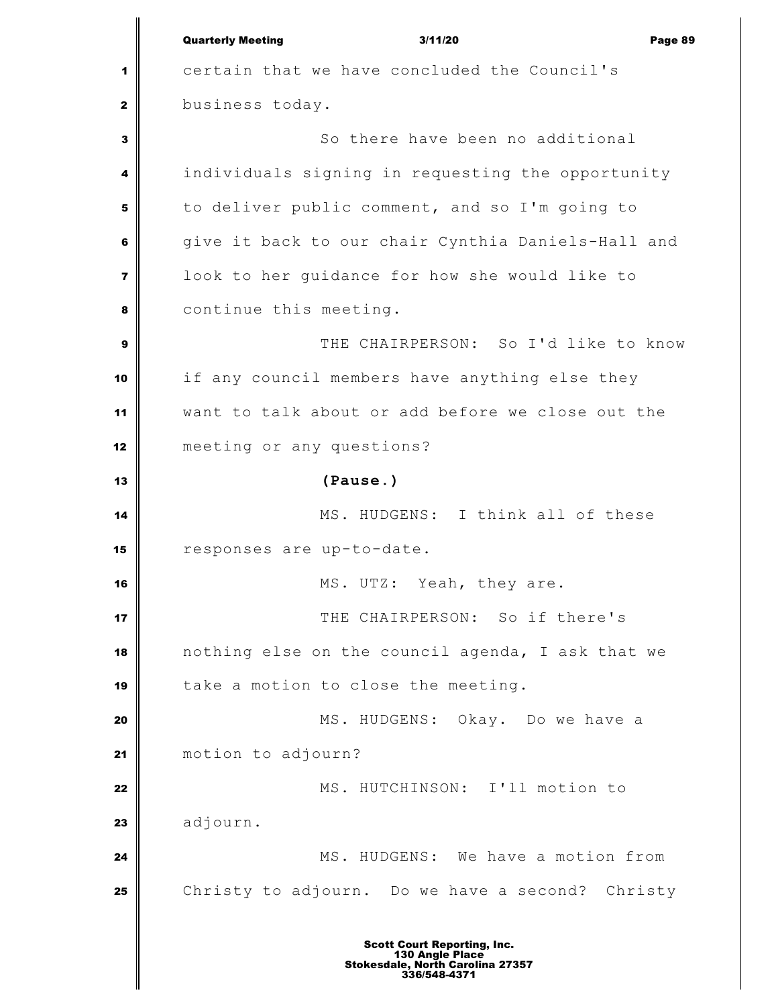Quarterly Meeting 3/11/20 Page 89 certain that we have concluded the Council's business today. So there have been no additional individuals signing in requesting the opportunity to deliver public comment, and so I'm going to give it back to our chair Cynthia Daniels-Hall and look to her guidance for how she would like to continue this meeting.  $\parallel$  THE CHAIRPERSON: So I'd like to know if any council members have anything else they want to talk about or add before we close out the meeting or any questions? **(Pause.)** MS. HUDGENS: I think all of these responses are up-to-date. **MS.** UTZ: Yeah, they are. **I** THE CHAIRPERSON: So if there's nothing else on the council agenda, I ask that we take a motion to close the meeting. MS. HUDGENS: Okay. Do we have a motion to adjourn? **MS. HUTCHINSON:** I'll motion to **adjourn. MS.** HUDGENS: We have a motion from Christy to adjourn. Do we have a second? Christy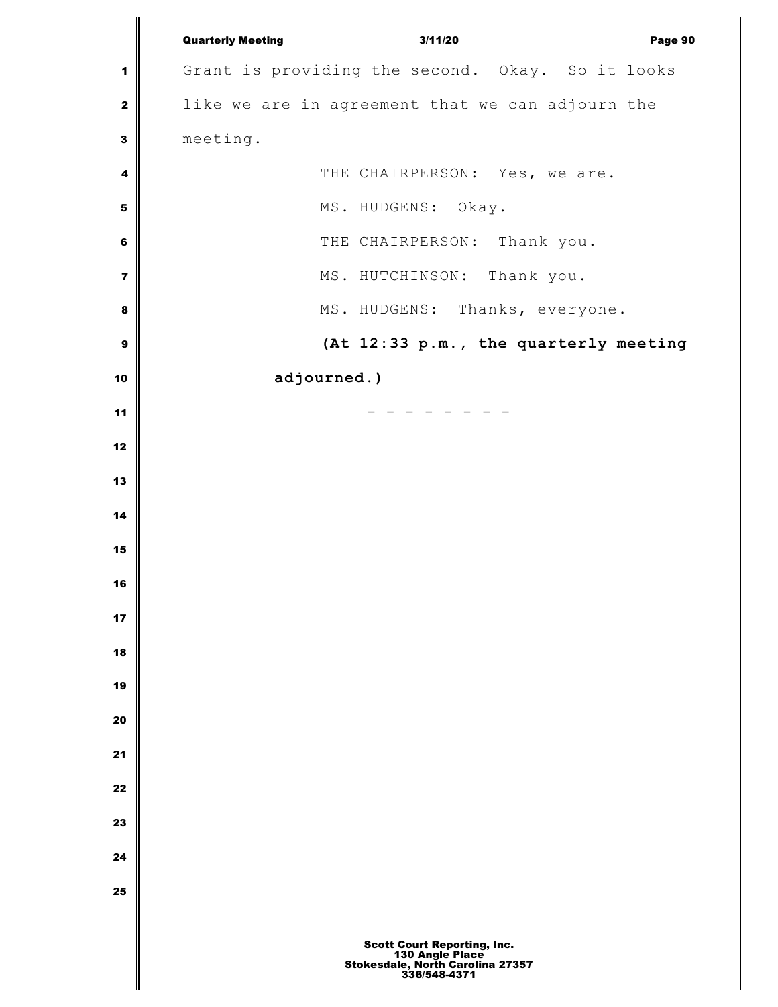Quarterly Meeting 3/11/20 Page 90 1 Grant is providing the second. Okay. So it looks like we are in agreement that we can adjourn the meeting.  $\parallel$  THE CHAIRPERSON: Yes, we are. MS. HUDGENS: Okay. THE CHAIRPERSON: Thank you. MS. HUTCHINSON: Thank you. MS. HUDGENS: Thanks, everyone. **(At 12:33 p.m., the quarterly meeting adjourned.)**  $\parallel$  Scott Court Reporting, Inc. 130 Angle Place Stokesdale, North Carolina 27357 336/548-4371